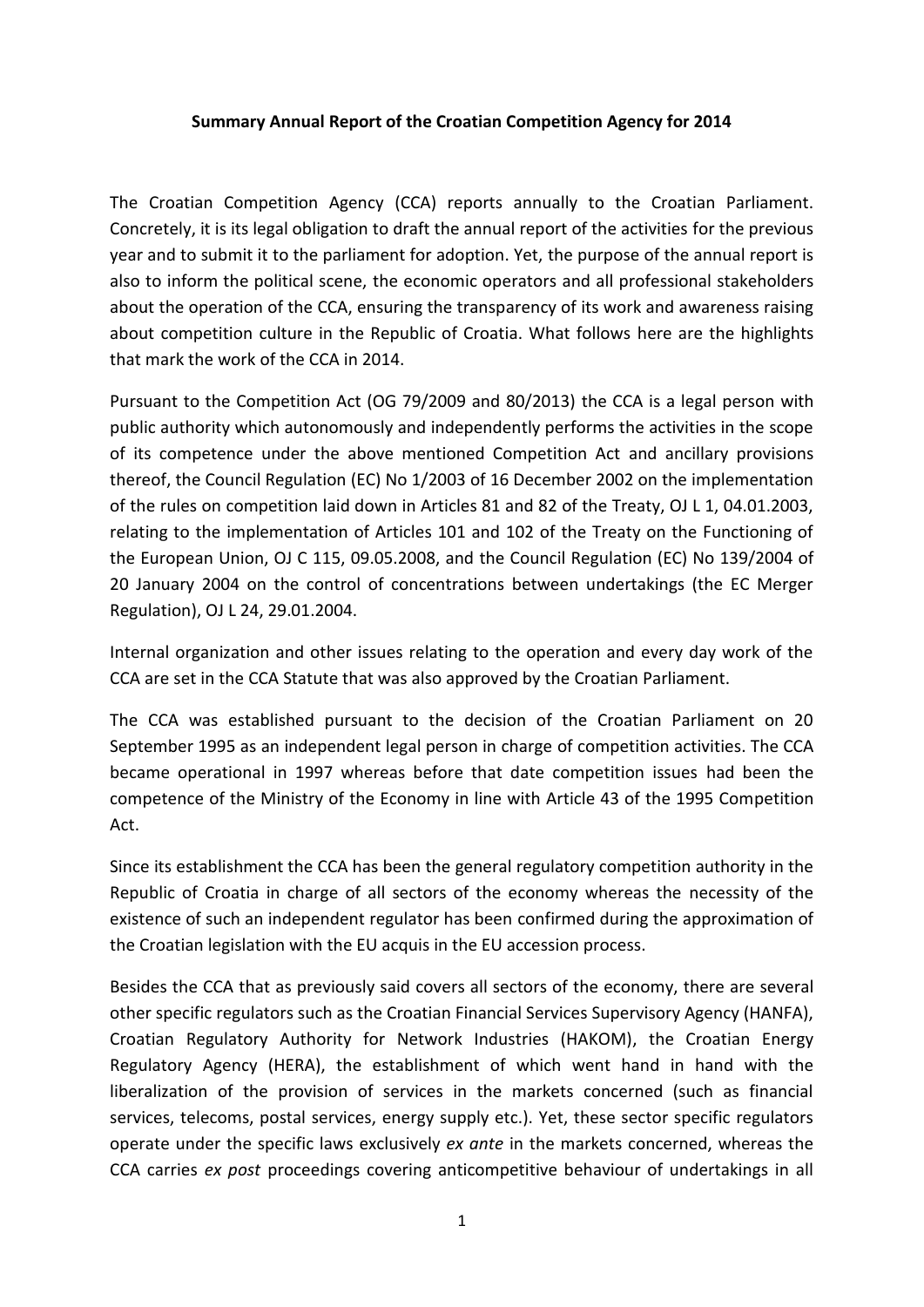## **Summary Annual Report of the Croatian Competition Agency for 2014**

The Croatian Competition Agency (CCA) reports annually to the Croatian Parliament. Concretely, it is its legal obligation to draft the annual report of the activities for the previous year and to submit it to the parliament for adoption. Yet, the purpose of the annual report is also to inform the political scene, the economic operators and all professional stakeholders about the operation of the CCA, ensuring the transparency of its work and awareness raising about competition culture in the Republic of Croatia. What follows here are the highlights that mark the work of the CCA in 2014.

Pursuant to the Competition Act (OG 79/2009 and 80/2013) the CCA is a legal person with public authority which autonomously and independently performs the activities in the scope of its competence under the above mentioned Competition Act and ancillary provisions thereof, the Council Regulation (EC) No 1/2003 of 16 December 2002 on the implementation of the rules on competition laid down in Articles 81 and 82 of the Treaty, OJ L 1, 04.01.2003, relating to the implementation of Articles 101 and 102 of the Treaty on the Functioning of the European Union, OJ C 115, 09.05.2008, and the Council Regulation (EC) No 139/2004 of 20 January 2004 on the control of concentrations between undertakings (the EC Merger Regulation), OJ L 24, 29.01.2004.

Internal organization and other issues relating to the operation and every day work of the CCA are set in the CCA Statute that was also approved by the Croatian Parliament.

The CCA was established pursuant to the decision of the Croatian Parliament on 20 September 1995 as an independent legal person in charge of competition activities. The CCA became operational in 1997 whereas before that date competition issues had been the competence of the Ministry of the Economy in line with Article 43 of the 1995 Competition Act.

Since its establishment the CCA has been the general regulatory competition authority in the Republic of Croatia in charge of all sectors of the economy whereas the necessity of the existence of such an independent regulator has been confirmed during the approximation of the Croatian legislation with the EU acquis in the EU accession process.

Besides the CCA that as previously said covers all sectors of the economy, there are several other specific regulators such as the Croatian Financial Services Supervisory Agency (HANFA), Croatian Regulatory Authority for Network Industries (HAKOM), the Croatian Energy Regulatory Agency (HERA), the establishment of which went hand in hand with the liberalization of the provision of services in the markets concerned (such as financial services, telecoms, postal services, energy supply etc.). Yet, these sector specific regulators operate under the specific laws exclusively *ex ante* in the markets concerned, whereas the CCA carries *ex post* proceedings covering anticompetitive behaviour of undertakings in all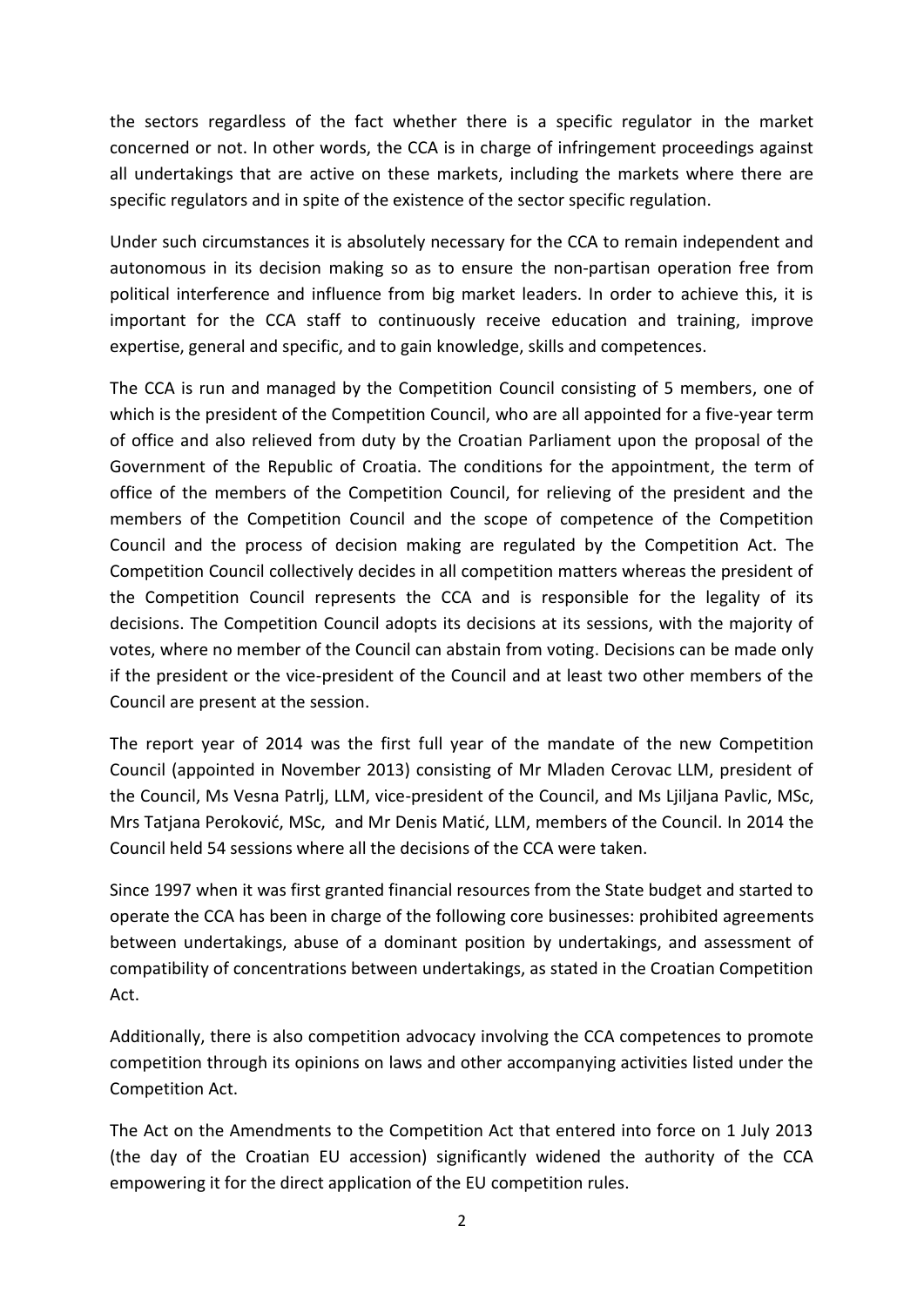the sectors regardless of the fact whether there is a specific regulator in the market concerned or not. In other words, the CCA is in charge of infringement proceedings against all undertakings that are active on these markets, including the markets where there are specific regulators and in spite of the existence of the sector specific regulation.

Under such circumstances it is absolutely necessary for the CCA to remain independent and autonomous in its decision making so as to ensure the non-partisan operation free from political interference and influence from big market leaders. In order to achieve this, it is important for the CCA staff to continuously receive education and training, improve expertise, general and specific, and to gain knowledge, skills and competences.

The CCA is run and managed by the Competition Council consisting of 5 members, one of which is the president of the Competition Council, who are all appointed for a five-year term of office and also relieved from duty by the Croatian Parliament upon the proposal of the Government of the Republic of Croatia. The conditions for the appointment, the term of office of the members of the Competition Council, for relieving of the president and the members of the Competition Council and the scope of competence of the Competition Council and the process of decision making are regulated by the Competition Act. The Competition Council collectively decides in all competition matters whereas the president of the Competition Council represents the CCA and is responsible for the legality of its decisions. The Competition Council adopts its decisions at its sessions, with the majority of votes, where no member of the Council can abstain from voting. Decisions can be made only if the president or the vice-president of the Council and at least two other members of the Council are present at the session.

The report year of 2014 was the first full year of the mandate of the new Competition Council (appointed in November 2013) consisting of Mr Mladen Cerovac LLM, president of the Council, Ms Vesna Patrlj, LLM, vice-president of the Council, and Ms Ljiljana Pavlic, MSc, Mrs Tatjana Peroković, MSc, and Mr Denis Matić, LLM, members of the Council. In 2014 the Council held 54 sessions where all the decisions of the CCA were taken.

Since 1997 when it was first granted financial resources from the State budget and started to operate the CCA has been in charge of the following core businesses: prohibited agreements between undertakings, abuse of a dominant position by undertakings, and assessment of compatibility of concentrations between undertakings, as stated in the Croatian Competition Act.

Additionally, there is also competition advocacy involving the CCA competences to promote competition through its opinions on laws and other accompanying activities listed under the Competition Act.

The Act on the Amendments to the Competition Act that entered into force on 1 July 2013 (the day of the Croatian EU accession) significantly widened the authority of the CCA empowering it for the direct application of the EU competition rules.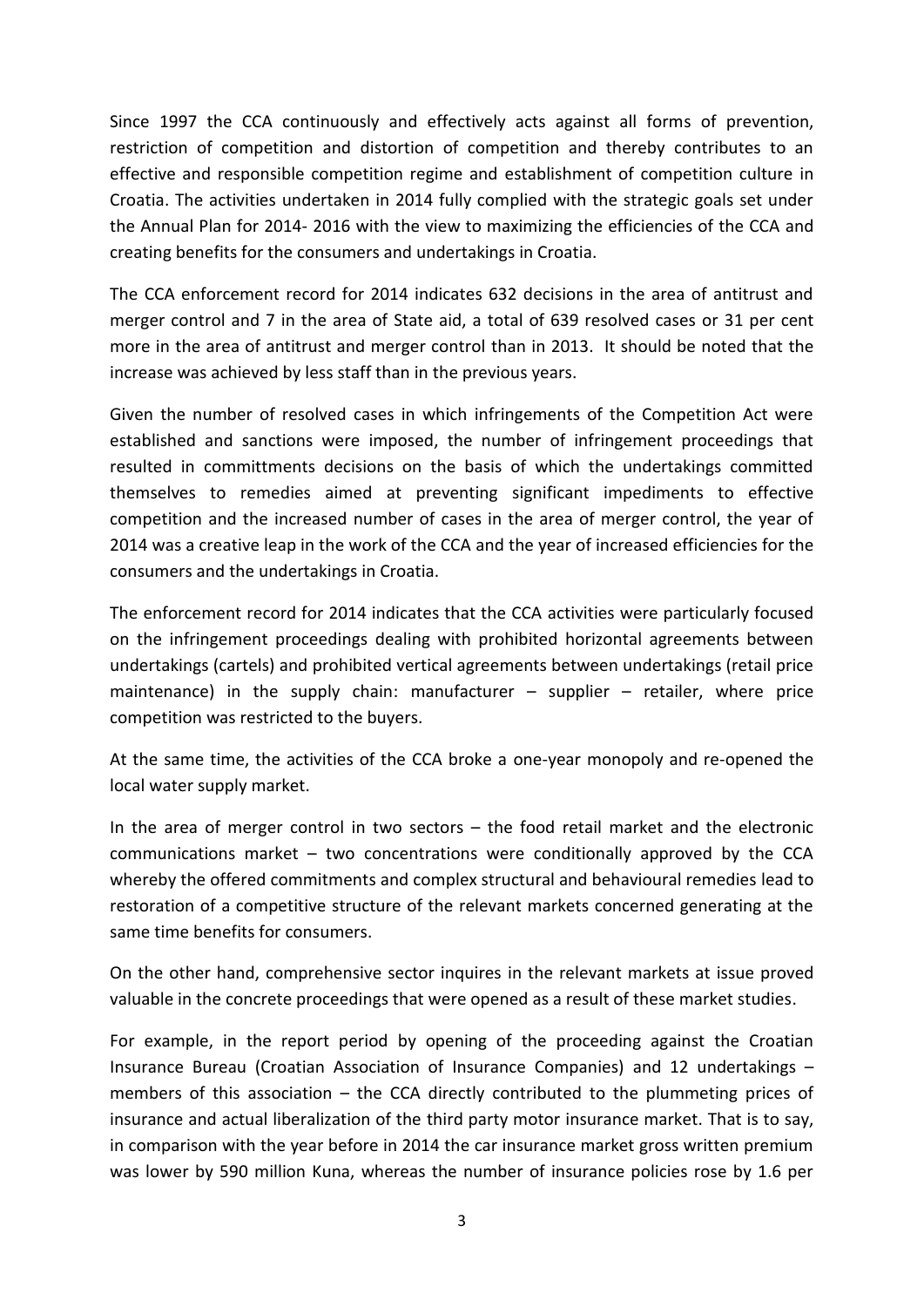Since 1997 the CCA continuously and effectively acts against all forms of prevention, restriction of competition and distortion of competition and thereby contributes to an effective and responsible competition regime and establishment of competition culture in Croatia. The activities undertaken in 2014 fully complied with the strategic goals set under the Annual Plan for 2014- 2016 with the view to maximizing the efficiencies of the CCA and creating benefits for the consumers and undertakings in Croatia.

The CCA enforcement record for 2014 indicates 632 decisions in the area of antitrust and merger control and 7 in the area of State aid, a total of 639 resolved cases or 31 per cent more in the area of antitrust and merger control than in 2013. It should be noted that the increase was achieved by less staff than in the previous years.

Given the number of resolved cases in which infringements of the Competition Act were established and sanctions were imposed, the number of infringement proceedings that resulted in committments decisions on the basis of which the undertakings committed themselves to remedies aimed at preventing significant impediments to effective competition and the increased number of cases in the area of merger control, the year of 2014 was a creative leap in the work of the CCA and the year of increased efficiencies for the consumers and the undertakings in Croatia.

The enforcement record for 2014 indicates that the CCA activities were particularly focused on the infringement proceedings dealing with prohibited horizontal agreements between undertakings (cartels) and prohibited vertical agreements between undertakings (retail price maintenance) in the supply chain: manufacturer  $-$  supplier  $-$  retailer, where price competition was restricted to the buyers.

At the same time, the activities of the CCA broke a one-year monopoly and re-opened the local water supply market.

In the area of merger control in two sectors – the food retail market and the electronic communications market – two concentrations were conditionally approved by the CCA whereby the offered commitments and complex structural and behavioural remedies lead to restoration of a competitive structure of the relevant markets concerned generating at the same time benefits for consumers.

On the other hand, comprehensive sector inquires in the relevant markets at issue proved valuable in the concrete proceedings that were opened as a result of these market studies.

For example, in the report period by opening of the proceeding against the Croatian Insurance Bureau (Croatian Association of Insurance Companies) and 12 undertakings – members of this association – the CCA directly contributed to the plummeting prices of insurance and actual liberalization of the third party motor insurance market. That is to say, in comparison with the year before in 2014 the car insurance market gross written premium was lower by 590 million Kuna, whereas the number of insurance policies rose by 1.6 per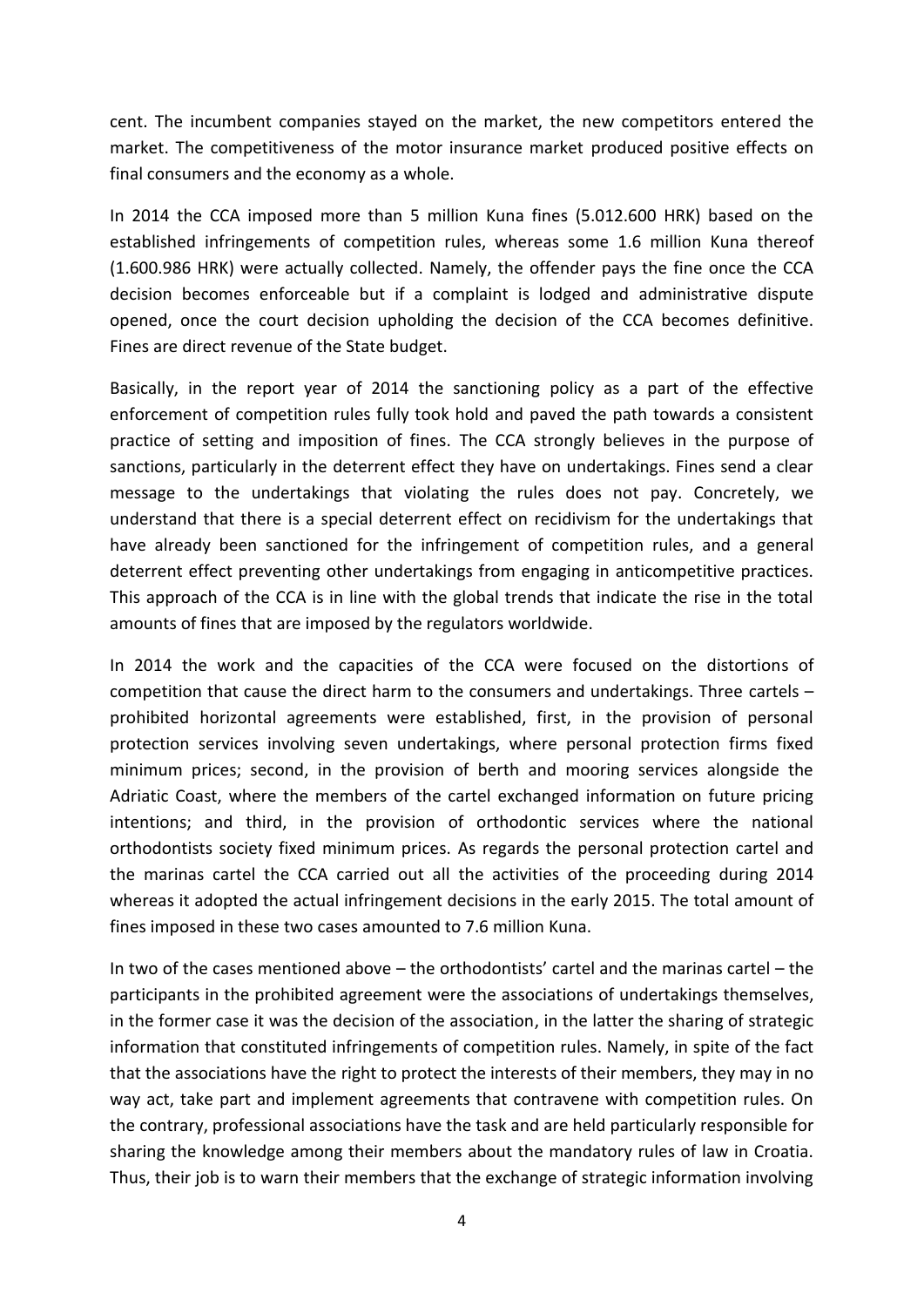cent. The incumbent companies stayed on the market, the new competitors entered the market. The competitiveness of the motor insurance market produced positive effects on final consumers and the economy as a whole.

In 2014 the CCA imposed more than 5 million Kuna fines (5.012.600 HRK) based on the established infringements of competition rules, whereas some 1.6 million Kuna thereof (1.600.986 HRK) were actually collected. Namely, the offender pays the fine once the CCA decision becomes enforceable but if a complaint is lodged and administrative dispute opened, once the court decision upholding the decision of the CCA becomes definitive. Fines are direct revenue of the State budget.

Basically, in the report year of 2014 the sanctioning policy as a part of the effective enforcement of competition rules fully took hold and paved the path towards a consistent practice of setting and imposition of fines. The CCA strongly believes in the purpose of sanctions, particularly in the deterrent effect they have on undertakings. Fines send a clear message to the undertakings that violating the rules does not pay. Concretely, we understand that there is a special deterrent effect on recidivism for the undertakings that have already been sanctioned for the infringement of competition rules, and a general deterrent effect preventing other undertakings from engaging in anticompetitive practices. This approach of the CCA is in line with the global trends that indicate the rise in the total amounts of fines that are imposed by the regulators worldwide.

In 2014 the work and the capacities of the CCA were focused on the distortions of competition that cause the direct harm to the consumers and undertakings. Three cartels – prohibited horizontal agreements were established, first, in the provision of personal protection services involving seven undertakings, where personal protection firms fixed minimum prices; second, in the provision of berth and mooring services alongside the Adriatic Coast, where the members of the cartel exchanged information on future pricing intentions; and third, in the provision of orthodontic services where the national orthodontists society fixed minimum prices. As regards the personal protection cartel and the marinas cartel the CCA carried out all the activities of the proceeding during 2014 whereas it adopted the actual infringement decisions in the early 2015. The total amount of fines imposed in these two cases amounted to 7.6 million Kuna.

In two of the cases mentioned above – the orthodontists' cartel and the marinas cartel – the participants in the prohibited agreement were the associations of undertakings themselves, in the former case it was the decision of the association, in the latter the sharing of strategic information that constituted infringements of competition rules. Namely, in spite of the fact that the associations have the right to protect the interests of their members, they may in no way act, take part and implement agreements that contravene with competition rules. On the contrary, professional associations have the task and are held particularly responsible for sharing the knowledge among their members about the mandatory rules of law in Croatia. Thus, their job is to warn their members that the exchange of strategic information involving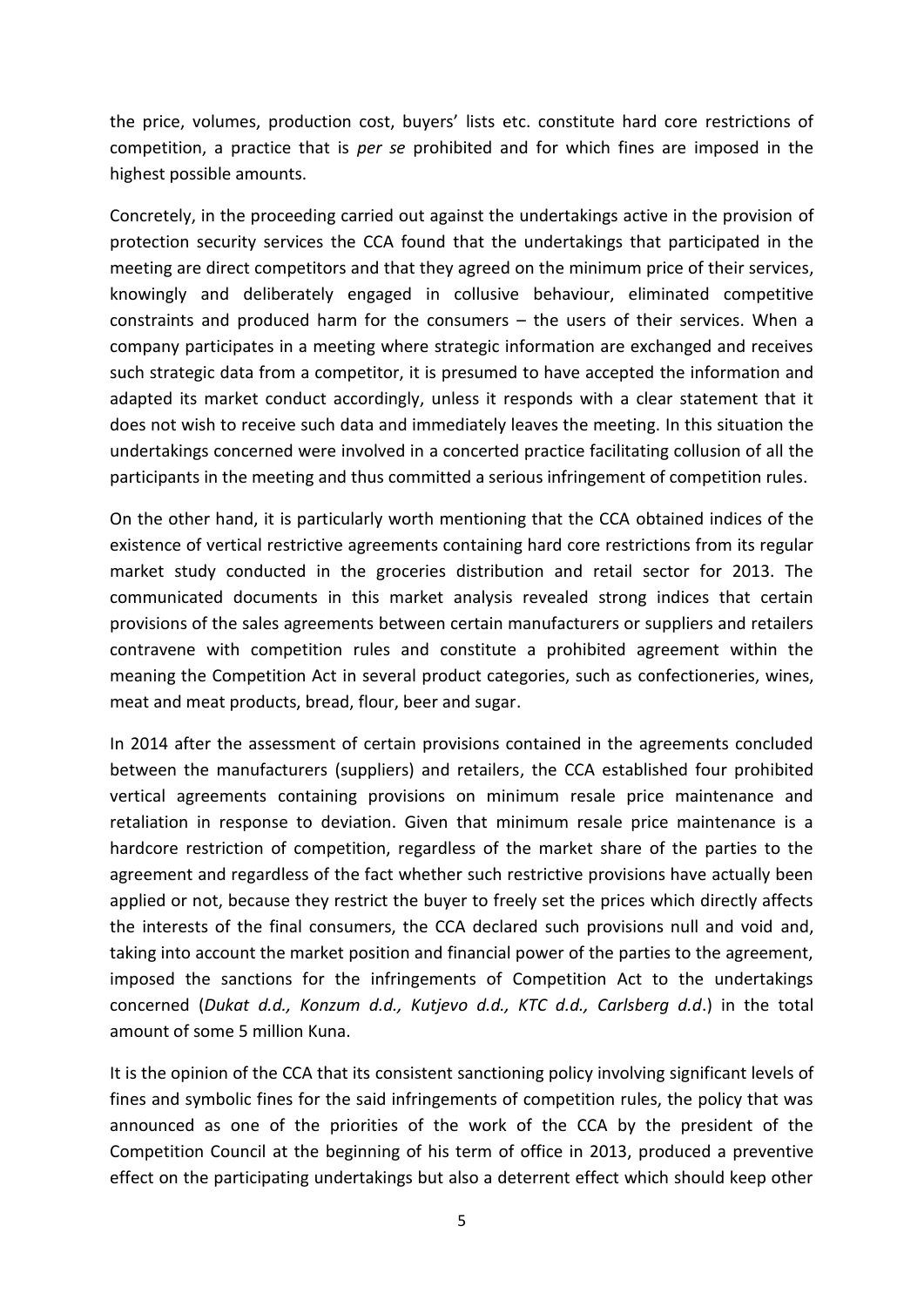the price, volumes, production cost, buyers' lists etc. constitute hard core restrictions of competition, a practice that is *per se* prohibited and for which fines are imposed in the highest possible amounts.

Concretely, in the proceeding carried out against the undertakings active in the provision of protection security services the CCA found that the undertakings that participated in the meeting are direct competitors and that they agreed on the minimum price of their services, knowingly and deliberately engaged in collusive behaviour, eliminated competitive constraints and produced harm for the consumers – the users of their services. When a company participates in a meeting where strategic information are exchanged and receives such strategic data from a competitor, it is presumed to have accepted the information and adapted its market conduct accordingly, unless it responds with a clear statement that it does not wish to receive such data and immediately leaves the meeting. In this situation the undertakings concerned were involved in a concerted practice facilitating collusion of all the participants in the meeting and thus committed a serious infringement of competition rules.

On the other hand, it is particularly worth mentioning that the CCA obtained indices of the existence of vertical restrictive agreements containing hard core restrictions from its regular market study conducted in the groceries distribution and retail sector for 2013. The communicated documents in this market analysis revealed strong indices that certain provisions of the sales agreements between certain manufacturers or suppliers and retailers contravene with competition rules and constitute a prohibited agreement within the meaning the Competition Act in several product categories, such as confectioneries, wines, meat and meat products, bread, flour, beer and sugar.

In 2014 after the assessment of certain provisions contained in the agreements concluded between the manufacturers (suppliers) and retailers, the CCA established four prohibited vertical agreements containing provisions on minimum resale price maintenance and retaliation in response to deviation. Given that minimum resale price maintenance is a hardcore restriction of competition, regardless of the market share of the parties to the agreement and regardless of the fact whether such restrictive provisions have actually been applied or not, because they restrict the buyer to freely set the prices which directly affects the interests of the final consumers, the CCA declared such provisions null and void and, taking into account the market position and financial power of the parties to the agreement, imposed the sanctions for the infringements of Competition Act to the undertakings concerned (*Dukat d.d., Konzum d.d., Kutjevo d.d., KTC d.d., Carlsberg d.d*.) in the total amount of some 5 million Kuna.

It is the opinion of the CCA that its consistent sanctioning policy involving significant levels of fines and symbolic fines for the said infringements of competition rules, the policy that was announced as one of the priorities of the work of the CCA by the president of the Competition Council at the beginning of his term of office in 2013, produced a preventive effect on the participating undertakings but also a deterrent effect which should keep other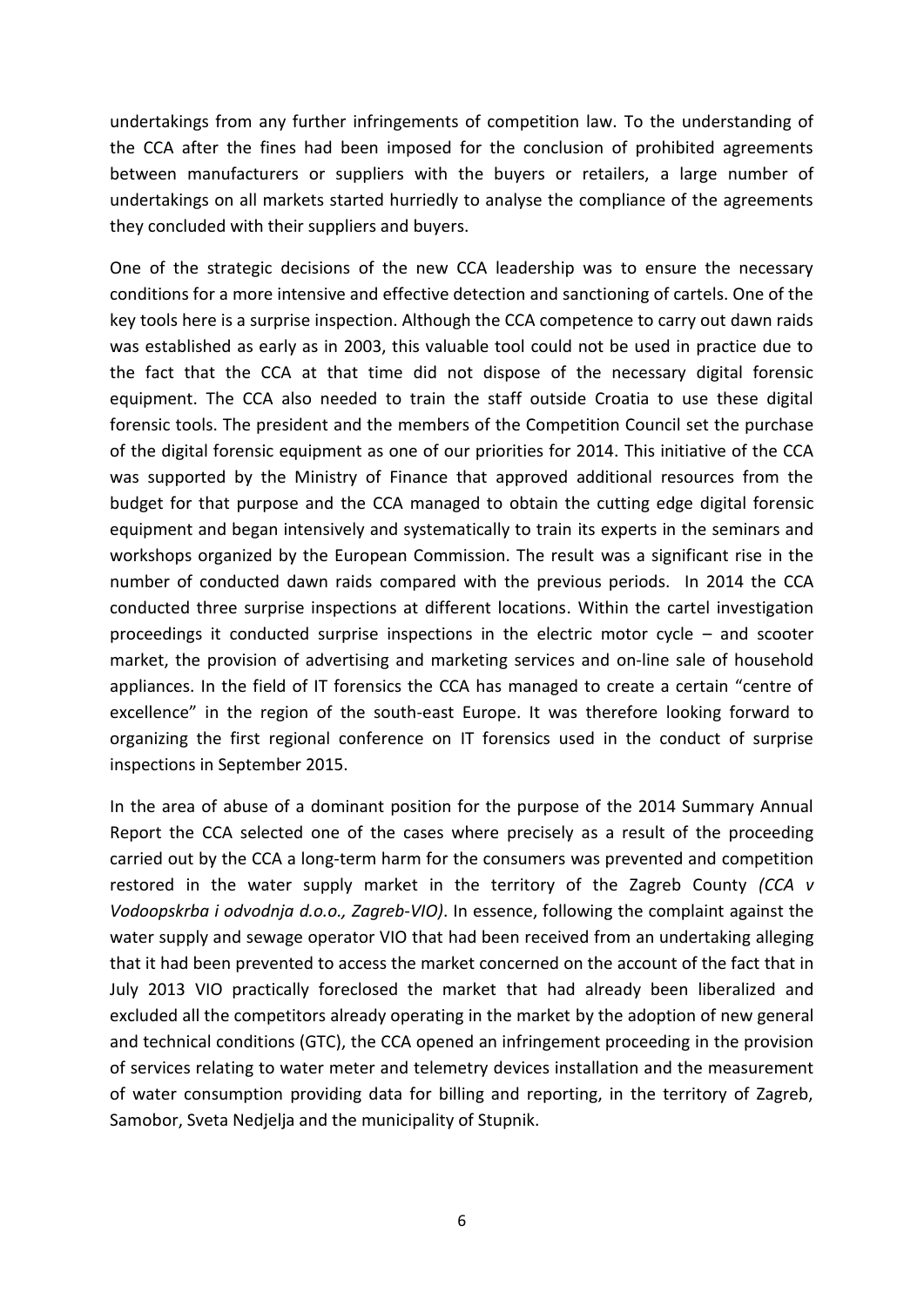undertakings from any further infringements of competition law. To the understanding of the CCA after the fines had been imposed for the conclusion of prohibited agreements between manufacturers or suppliers with the buyers or retailers, a large number of undertakings on all markets started hurriedly to analyse the compliance of the agreements they concluded with their suppliers and buyers.

One of the strategic decisions of the new CCA leadership was to ensure the necessary conditions for a more intensive and effective detection and sanctioning of cartels. One of the key tools here is a surprise inspection. Although the CCA competence to carry out dawn raids was established as early as in 2003, this valuable tool could not be used in practice due to the fact that the CCA at that time did not dispose of the necessary digital forensic equipment. The CCA also needed to train the staff outside Croatia to use these digital forensic tools. The president and the members of the Competition Council set the purchase of the digital forensic equipment as one of our priorities for 2014. This initiative of the CCA was supported by the Ministry of Finance that approved additional resources from the budget for that purpose and the CCA managed to obtain the cutting edge digital forensic equipment and began intensively and systematically to train its experts in the seminars and workshops organized by the European Commission. The result was a significant rise in the number of conducted dawn raids compared with the previous periods. In 2014 the CCA conducted three surprise inspections at different locations. Within the cartel investigation proceedings it conducted surprise inspections in the electric motor cycle – and scooter market, the provision of advertising and marketing services and on-line sale of household appliances. In the field of IT forensics the CCA has managed to create a certain "centre of excellence" in the region of the south-east Europe. It was therefore looking forward to organizing the first regional conference on IT forensics used in the conduct of surprise inspections in September 2015.

In the area of abuse of a dominant position for the purpose of the 2014 Summary Annual Report the CCA selected one of the cases where precisely as a result of the proceeding carried out by the CCA a long-term harm for the consumers was prevented and competition restored in the water supply market in the territory of the Zagreb County *(CCA v Vodoopskrba i odvodnja d.o.o., Zagreb-VIO)*. In essence, following the complaint against the water supply and sewage operator VIO that had been received from an undertaking alleging that it had been prevented to access the market concerned on the account of the fact that in July 2013 VIO practically foreclosed the market that had already been liberalized and excluded all the competitors already operating in the market by the adoption of new general and technical conditions (GTC), the CCA opened an infringement proceeding in the provision of services relating to water meter and telemetry devices installation and the measurement of water consumption providing data for billing and reporting, in the territory of Zagreb, Samobor, Sveta Nedjelja and the municipality of Stupnik.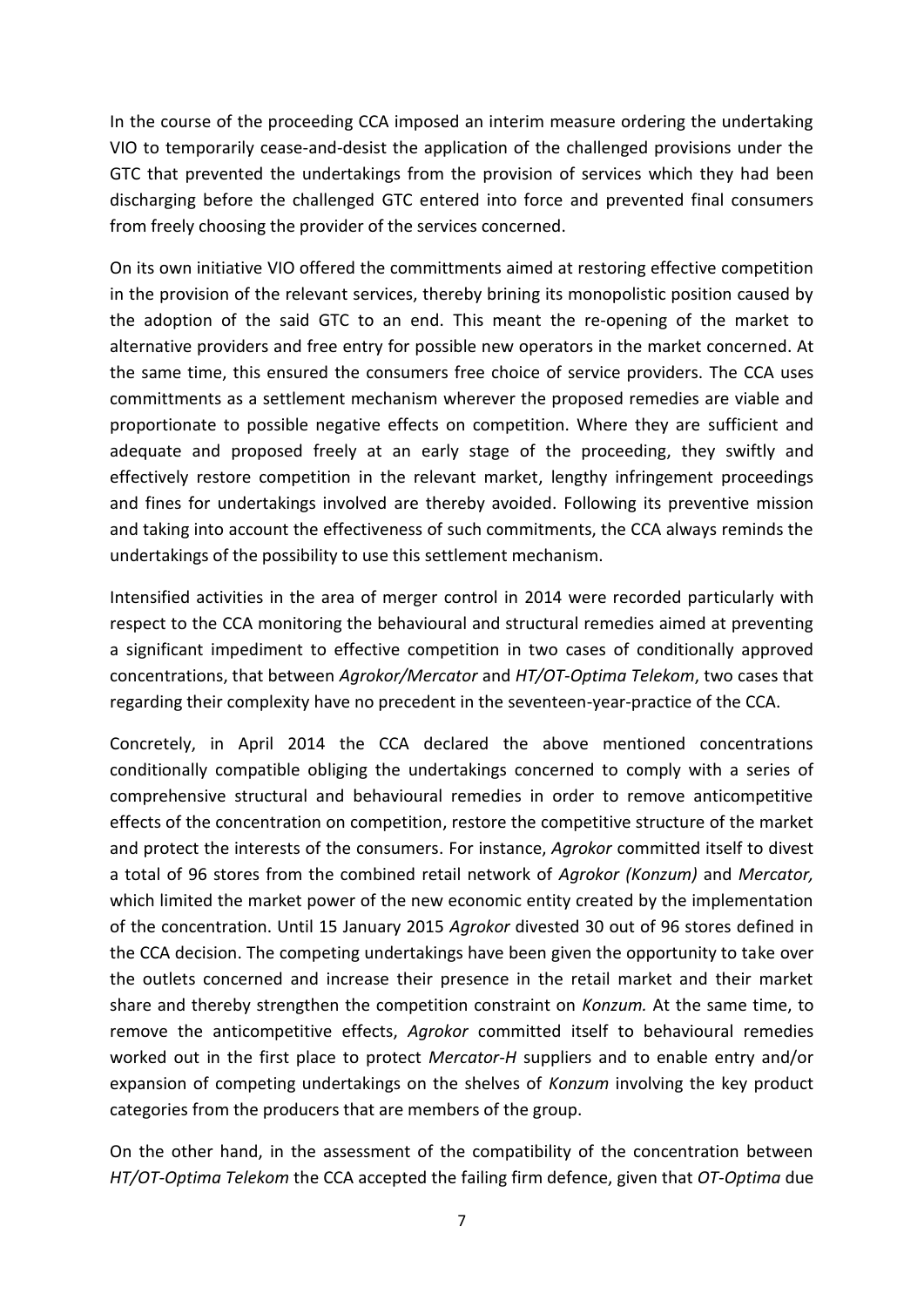In the course of the proceeding CCA imposed an interim measure ordering the undertaking VIO to temporarily cease-and-desist the application of the challenged provisions under the GTC that prevented the undertakings from the provision of services which they had been discharging before the challenged GTC entered into force and prevented final consumers from freely choosing the provider of the services concerned.

On its own initiative VIO offered the committments aimed at restoring effective competition in the provision of the relevant services, thereby brining its monopolistic position caused by the adoption of the said GTC to an end. This meant the re-opening of the market to alternative providers and free entry for possible new operators in the market concerned. At the same time, this ensured the consumers free choice of service providers. The CCA uses committments as a settlement mechanism wherever the proposed remedies are viable and proportionate to possible negative effects on competition. Where they are sufficient and adequate and proposed freely at an early stage of the proceeding, they swiftly and effectively restore competition in the relevant market, lengthy infringement proceedings and fines for undertakings involved are thereby avoided. Following its preventive mission and taking into account the effectiveness of such commitments, the CCA always reminds the undertakings of the possibility to use this settlement mechanism.

Intensified activities in the area of merger control in 2014 were recorded particularly with respect to the CCA monitoring the behavioural and structural remedies aimed at preventing a significant impediment to effective competition in two cases of conditionally approved concentrations, that between *Agrokor/Mercator* and *HT/OT-Optima Telekom*, two cases that regarding their complexity have no precedent in the seventeen-year-practice of the CCA.

Concretely, in April 2014 the CCA declared the above mentioned concentrations conditionally compatible obliging the undertakings concerned to comply with a series of comprehensive structural and behavioural remedies in order to remove anticompetitive effects of the concentration on competition, restore the competitive structure of the market and protect the interests of the consumers. For instance, *Agrokor* committed itself to divest a total of 96 stores from the combined retail network of *Agrokor (Konzum)* and *Mercator,* which limited the market power of the new economic entity created by the implementation of the concentration. Until 15 January 2015 *Agrokor* divested 30 out of 96 stores defined in the CCA decision. The competing undertakings have been given the opportunity to take over the outlets concerned and increase their presence in the retail market and their market share and thereby strengthen the competition constraint on *Konzum.* At the same time, to remove the anticompetitive effects, *Agrokor* committed itself to behavioural remedies worked out in the first place to protect *Mercator-H* suppliers and to enable entry and/or expansion of competing undertakings on the shelves of *Konzum* involving the key product categories from the producers that are members of the group.

On the other hand, in the assessment of the compatibility of the concentration between *HT/OT-Optima Telekom* the CCA accepted the failing firm defence, given that *OT-Optima* due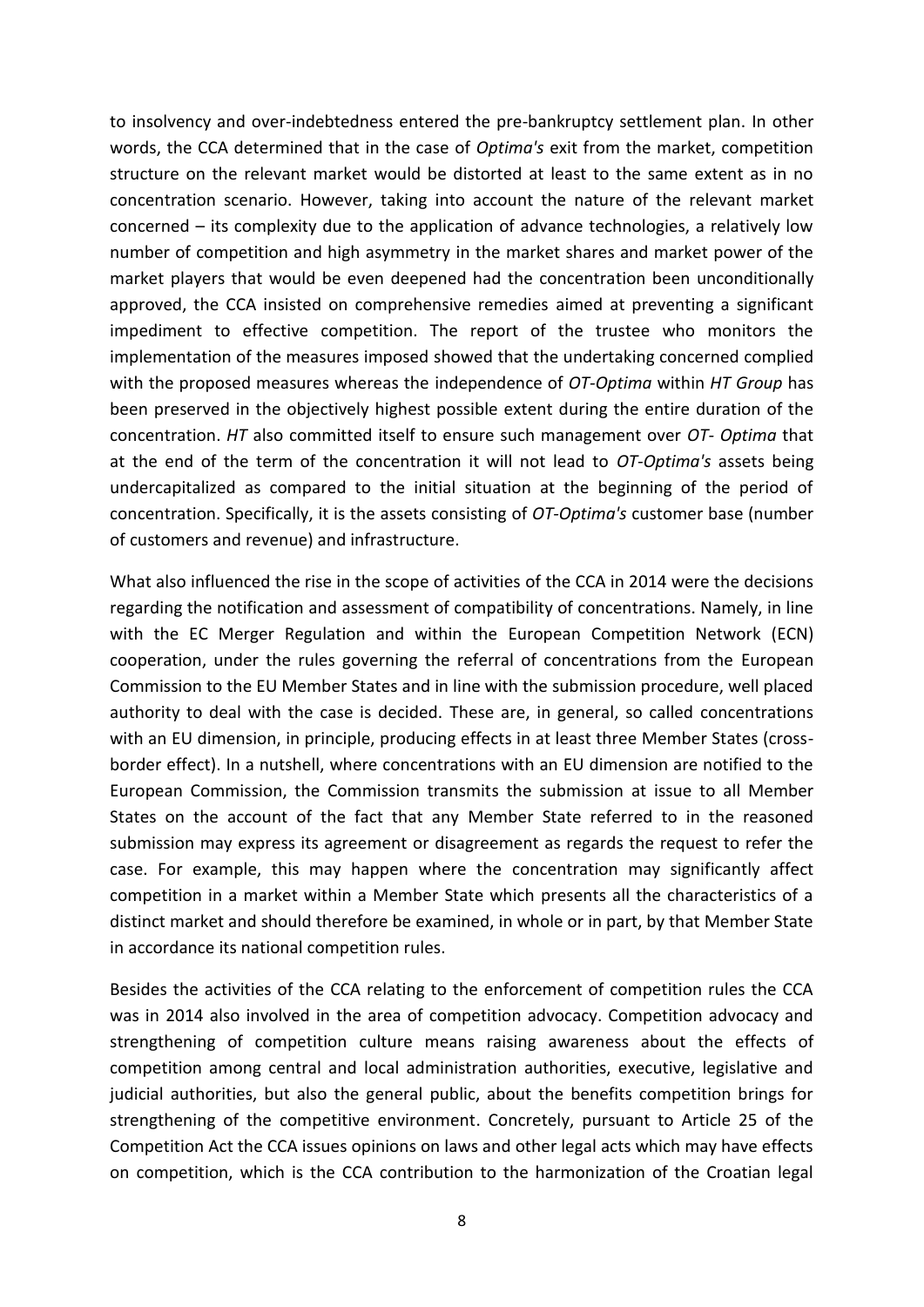to insolvency and over-indebtedness entered the pre-bankruptcy settlement plan. In other words, the CCA determined that in the case of *Optima's* exit from the market, competition structure on the relevant market would be distorted at least to the same extent as in no concentration scenario. However, taking into account the nature of the relevant market concerned – its complexity due to the application of advance technologies, a relatively low number of competition and high asymmetry in the market shares and market power of the market players that would be even deepened had the concentration been unconditionally approved, the CCA insisted on comprehensive remedies aimed at preventing a significant impediment to effective competition. The report of the trustee who monitors the implementation of the measures imposed showed that the undertaking concerned complied with the proposed measures whereas the independence of *OT-Optima* within *HT Group* has been preserved in the objectively highest possible extent during the entire duration of the concentration. *HT* also committed itself to ensure such management over *OT- Optima* that at the end of the term of the concentration it will not lead to *OT-Optima's* assets being undercapitalized as compared to the initial situation at the beginning of the period of concentration. Specifically, it is the assets consisting of *OT-Optima's* customer base (number of customers and revenue) and infrastructure.

What also influenced the rise in the scope of activities of the CCA in 2014 were the decisions regarding the notification and assessment of compatibility of concentrations. Namely, in line with the EC Merger Regulation and within the European Competition Network (ECN) cooperation, under the rules governing the referral of concentrations from the European Commission to the EU Member States and in line with the submission procedure, well placed authority to deal with the case is decided. These are, in general, so called concentrations with an EU dimension, in principle, producing effects in at least three Member States (crossborder effect). In a nutshell, where concentrations with an EU dimension are notified to the European Commission, the Commission transmits the submission at issue to all Member States on the account of the fact that any Member State referred to in the reasoned submission may express its agreement or disagreement as regards the request to refer the case. For example, this may happen where the concentration may significantly affect competition in a market within a Member State which presents all the characteristics of a distinct market and should therefore be examined, in whole or in part, by that Member State in accordance its national competition rules.

Besides the activities of the CCA relating to the enforcement of competition rules the CCA was in 2014 also involved in the area of competition advocacy. Competition advocacy and strengthening of competition culture means raising awareness about the effects of competition among central and local administration authorities, executive, legislative and judicial authorities, but also the general public, about the benefits competition brings for strengthening of the competitive environment. Concretely, pursuant to Article 25 of the Competition Act the CCA issues opinions on laws and other legal acts which may have effects on competition, which is the CCA contribution to the harmonization of the Croatian legal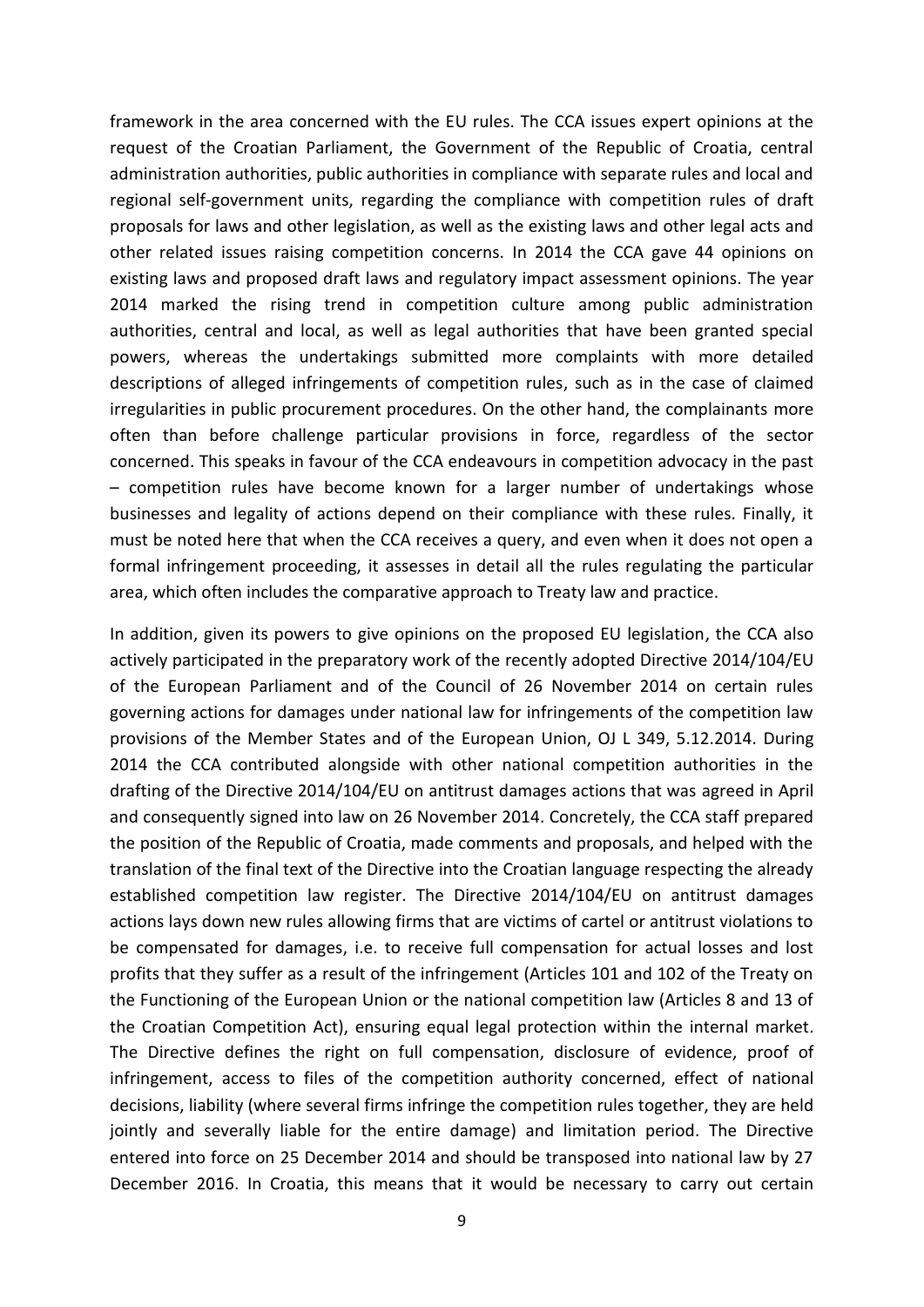framework in the area concerned with the EU rules. The CCA issues expert opinions at the request of the Croatian Parliament, the Government of the Republic of Croatia, central administration authorities, public authorities in compliance with separate rules and local and regional self-government units, regarding the compliance with competition rules of draft proposals for laws and other legislation, as well as the existing laws and other legal acts and other related issues raising competition concerns. In 2014 the CCA gave 44 opinions on existing laws and proposed draft laws and regulatory impact assessment opinions. The year 2014 marked the rising trend in competition culture among public administration authorities, central and local, as well as legal authorities that have been granted special powers, whereas the undertakings submitted more complaints with more detailed descriptions of alleged infringements of competition rules, such as in the case of claimed irregularities in public procurement procedures. On the other hand, the complainants more often than before challenge particular provisions in force, regardless of the sector concerned. This speaks in favour of the CCA endeavours in competition advocacy in the past – competition rules have become known for a larger number of undertakings whose businesses and legality of actions depend on their compliance with these rules. Finally, it must be noted here that when the CCA receives a query, and even when it does not open a formal infringement proceeding, it assesses in detail all the rules regulating the particular area, which often includes the comparative approach to Treaty law and practice.

In addition, given its powers to give opinions on the proposed EU legislation, the CCA also actively participated in the preparatory work of the recently adopted Directive 2014/104/EU of the European Parliament and of the Council of 26 November 2014 on certain rules governing actions for damages under national law for infringements of the competition law provisions of the Member States and of the European Union, OJ L 349, 5.12.2014. During 2014 the CCA contributed alongside with other national competition authorities in the drafting of the Directive 2014/104/EU on antitrust damages actions that was agreed in April and consequently signed into law on 26 November 2014. Concretely, the CCA staff prepared the position of the Republic of Croatia, made comments and proposals, and helped with the translation of the final text of the Directive into the Croatian language respecting the already established competition law register. The Directive 2014/104/EU on antitrust damages actions lays down new rules allowing firms that are victims of cartel or antitrust violations to be compensated for damages, i.e. to receive full compensation for actual losses and lost profits that they suffer as a result of the infringement (Articles 101 and 102 of the Treaty on the Functioning of the European Union or the national competition law (Articles 8 and 13 of the Croatian Competition Act), ensuring equal legal protection within the internal market. The Directive defines the right on full compensation, disclosure of evidence, proof of infringement, access to files of the competition authority concerned, effect of national decisions, liability (where several firms infringe the competition rules together, they are held jointly and severally liable for the entire damage) and limitation period. The Directive entered into force on 25 December 2014 and should be transposed into national law by 27 December 2016. In Croatia, this means that it would be necessary to carry out certain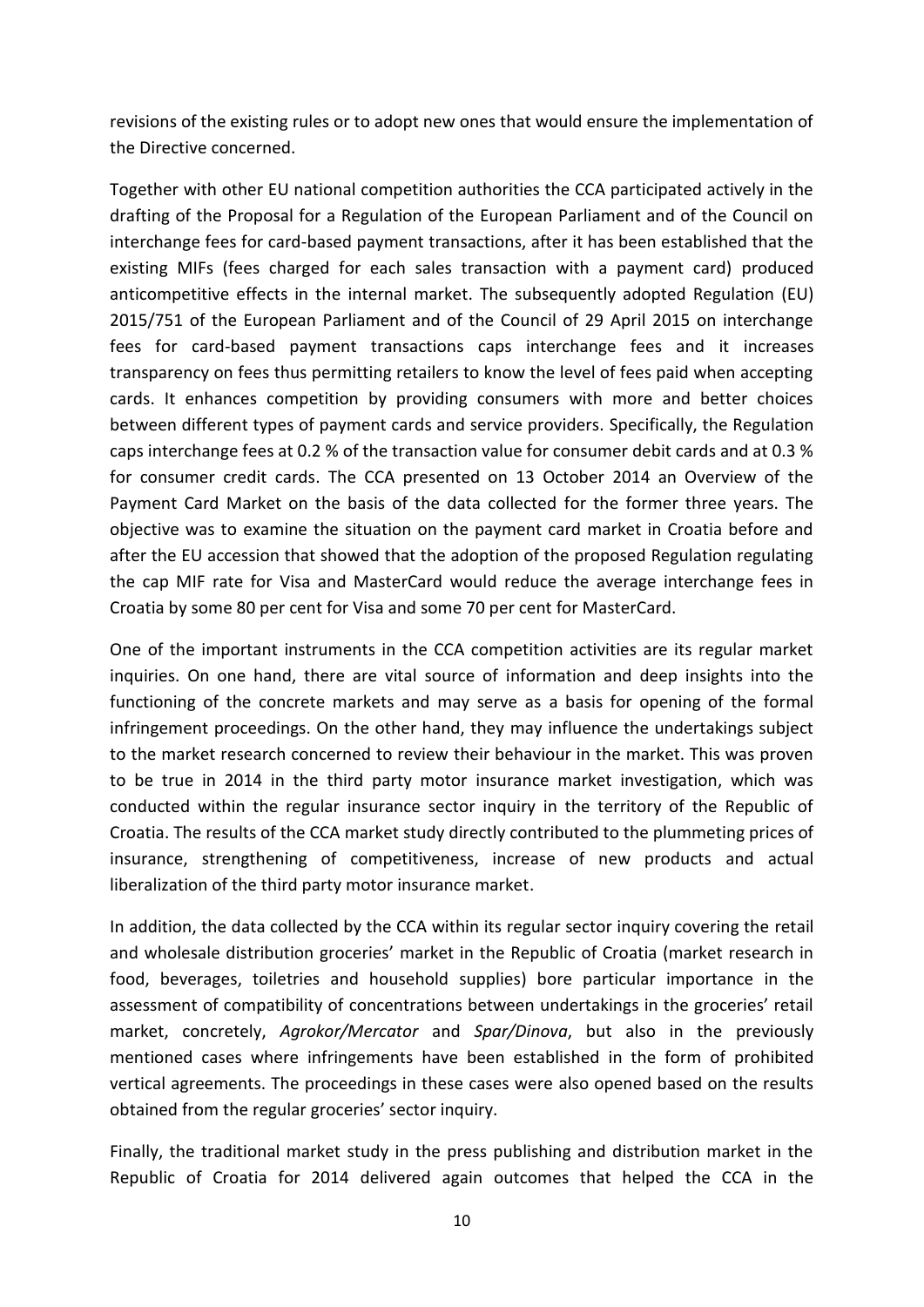revisions of the existing rules or to adopt new ones that would ensure the implementation of the Directive concerned.

Together with other EU national competition authorities the CCA participated actively in the drafting of the Proposal for a Regulation of the European Parliament and of the Council on interchange fees for card-based payment transactions, after it has been established that the existing MIFs (fees charged for each sales transaction with a payment card) produced anticompetitive effects in the internal market. The subsequently adopted Regulation (EU) 2015/751 of the European Parliament and of the Council of 29 April 2015 on interchange fees for card-based payment transactions caps interchange fees and it increases transparency on fees thus permitting retailers to know the level of fees paid when accepting cards. It enhances competition by providing consumers with more and better choices between different types of payment cards and service providers. Specifically, the Regulation caps interchange fees at 0.2 % of the transaction value for consumer debit cards and at 0.3 % for consumer credit cards. The CCA presented on 13 October 2014 an Overview of the Payment Card Market on the basis of the data collected for the former three years. The objective was to examine the situation on the payment card market in Croatia before and after the EU accession that showed that the adoption of the proposed Regulation regulating the cap MIF rate for Visa and MasterCard would reduce the average interchange fees in Croatia by some 80 per cent for Visa and some 70 per cent for MasterCard.

One of the important instruments in the CCA competition activities are its regular market inquiries. On one hand, there are vital source of information and deep insights into the functioning of the concrete markets and may serve as a basis for opening of the formal infringement proceedings. On the other hand, they may influence the undertakings subject to the market research concerned to review their behaviour in the market. This was proven to be true in 2014 in the third party motor insurance market investigation, which was conducted within the regular insurance sector inquiry in the territory of the Republic of Croatia. The results of the CCA market study directly contributed to the plummeting prices of insurance, strengthening of competitiveness, increase of new products and actual liberalization of the third party motor insurance market.

In addition, the data collected by the CCA within its regular sector inquiry covering the retail and wholesale distribution groceries' market in the Republic of Croatia (market research in food, beverages, toiletries and household supplies) bore particular importance in the assessment of compatibility of concentrations between undertakings in the groceries' retail market, concretely, *Agrokor/Mercator* and *Spar/Dinova*, but also in the previously mentioned cases where infringements have been established in the form of prohibited vertical agreements. The proceedings in these cases were also opened based on the results obtained from the regular groceries' sector inquiry.

Finally, the traditional market study in the press publishing and distribution market in the Republic of Croatia for 2014 delivered again outcomes that helped the CCA in the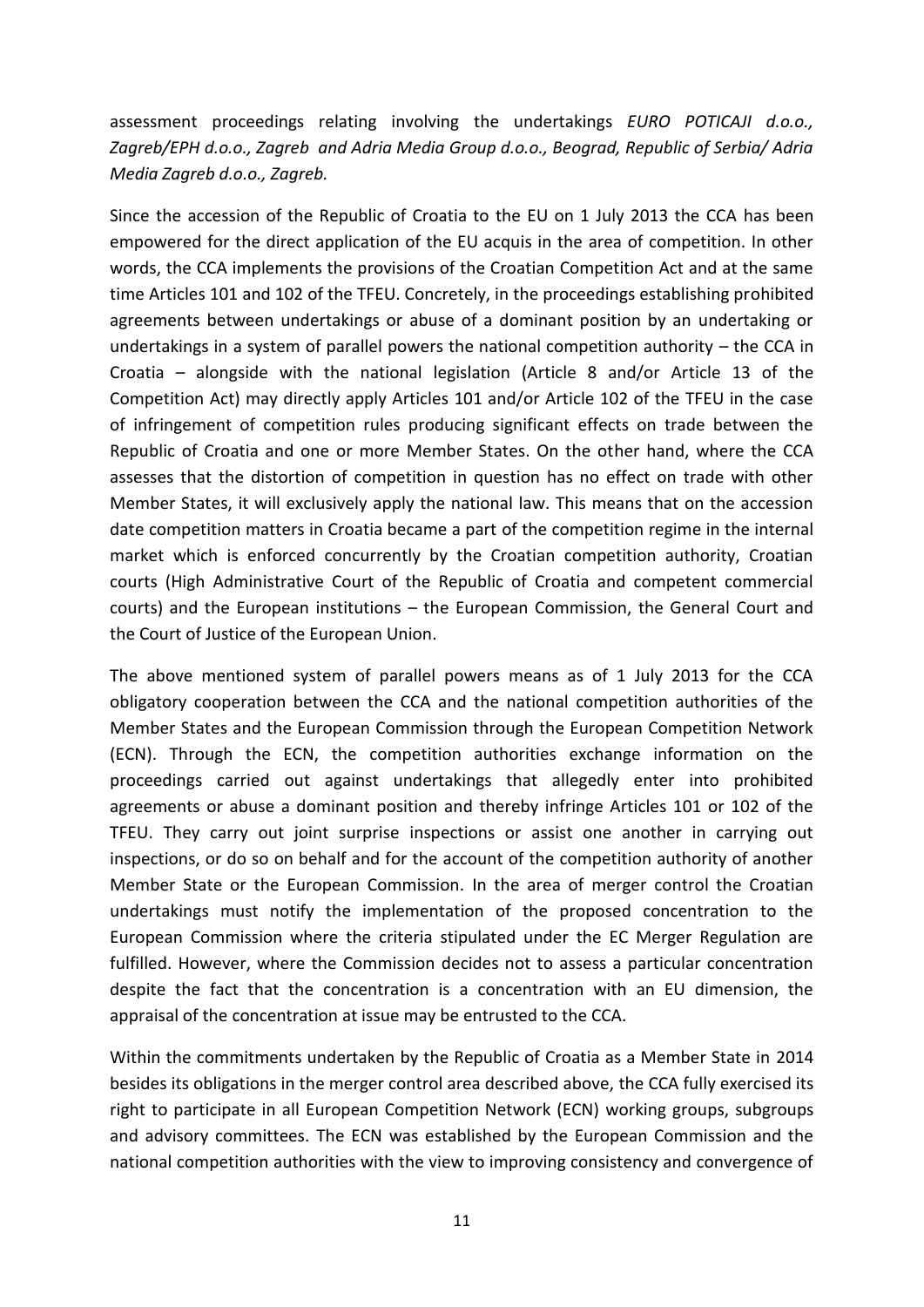assessment proceedings relating involving the undertakings *EURO POTICAJI d.o.o., Zagreb/EPH d.o.o., Zagreb and Adria Media Group d.o.o., Beograd, Republic of Serbia/ Adria Media Zagreb d.o.o., Zagreb.*

Since the accession of the Republic of Croatia to the EU on 1 July 2013 the CCA has been empowered for the direct application of the EU acquis in the area of competition. In other words, the CCA implements the provisions of the Croatian Competition Act and at the same time Articles 101 and 102 of the TFEU. Concretely, in the proceedings establishing prohibited agreements between undertakings or abuse of a dominant position by an undertaking or undertakings in a system of parallel powers the national competition authority – the CCA in Croatia – alongside with the national legislation (Article 8 and/or Article 13 of the Competition Act) may directly apply Articles 101 and/or Article 102 of the TFEU in the case of infringement of competition rules producing significant effects on trade between the Republic of Croatia and one or more Member States. On the other hand, where the CCA assesses that the distortion of competition in question has no effect on trade with other Member States, it will exclusively apply the national law. This means that on the accession date competition matters in Croatia became a part of the competition regime in the internal market which is enforced concurrently by the Croatian competition authority, Croatian courts (High Administrative Court of the Republic of Croatia and competent commercial courts) and the European institutions – the European Commission, the General Court and the Court of Justice of the European Union.

The above mentioned system of parallel powers means as of 1 July 2013 for the CCA obligatory cooperation between the CCA and the national competition authorities of the Member States and the European Commission through the European Competition Network (ECN). Through the ECN, the competition authorities exchange information on the proceedings carried out against undertakings that allegedly enter into prohibited agreements or abuse a dominant position and thereby infringe Articles 101 or 102 of the TFEU. They carry out joint surprise inspections or assist one another in carrying out inspections, or do so on behalf and for the account of the competition authority of another Member State or the European Commission. In the area of merger control the Croatian undertakings must notify the implementation of the proposed concentration to the European Commission where the criteria stipulated under the EC Merger Regulation are fulfilled. However, where the Commission decides not to assess a particular concentration despite the fact that the concentration is a concentration with an EU dimension, the appraisal of the concentration at issue may be entrusted to the CCA.

Within the commitments undertaken by the Republic of Croatia as a Member State in 2014 besides its obligations in the merger control area described above, the CCA fully exercised its right to participate in all European Competition Network (ECN) working groups, subgroups and advisory committees. The ECN was established by the European Commission and the national competition authorities with the view to improving consistency and convergence of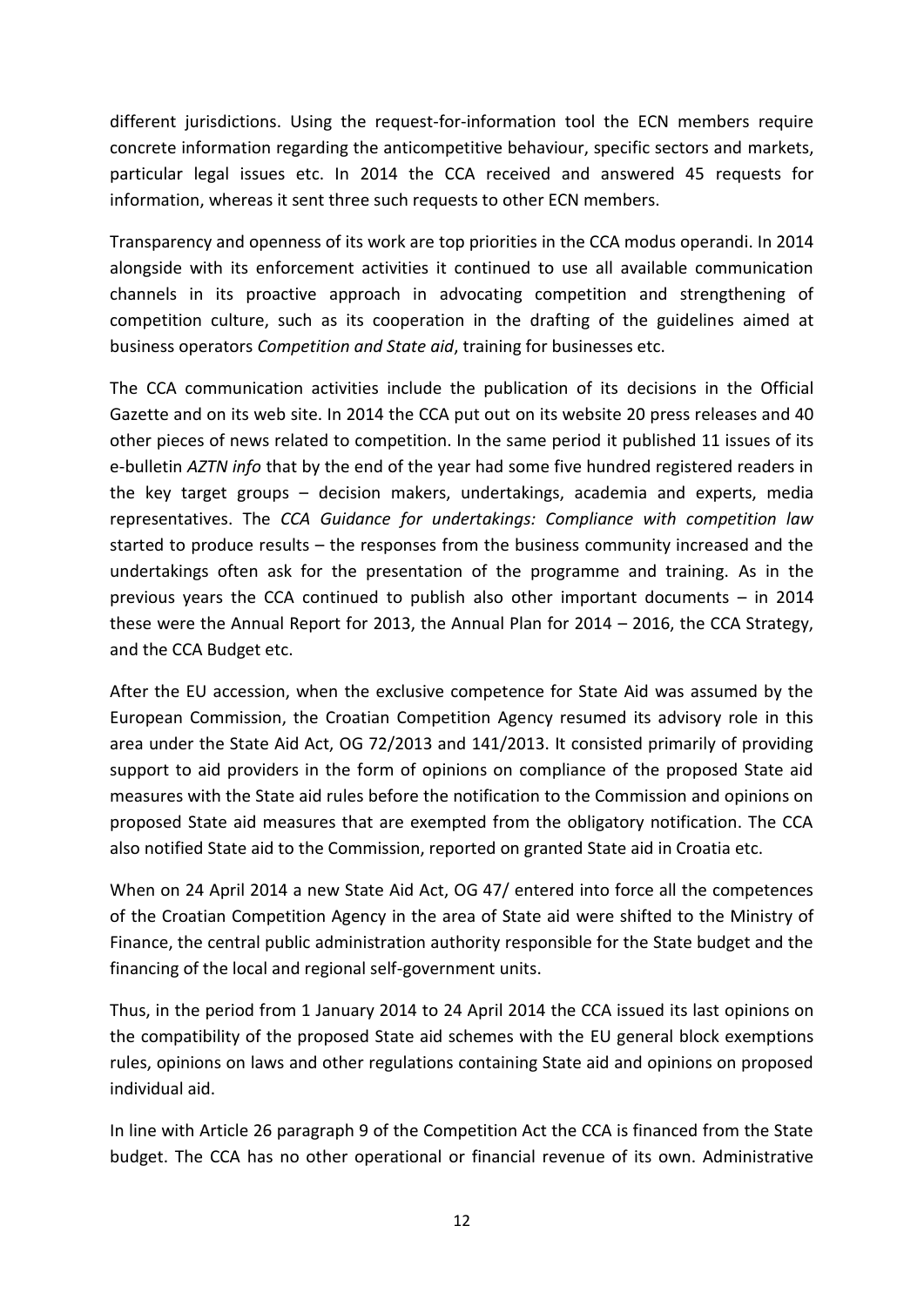different jurisdictions. Using the request-for-information tool the ECN members require concrete information regarding the anticompetitive behaviour, specific sectors and markets, particular legal issues etc. In 2014 the CCA received and answered 45 requests for information, whereas it sent three such requests to other ECN members.

Transparency and openness of its work are top priorities in the CCA modus operandi. In 2014 alongside with its enforcement activities it continued to use all available communication channels in its proactive approach in advocating competition and strengthening of competition culture, such as its cooperation in the drafting of the guidelines aimed at business operators *Competition and State aid*, training for businesses etc.

The CCA communication activities include the publication of its decisions in the Official Gazette and on its web site. In 2014 the CCA put out on its website 20 press releases and 40 other pieces of news related to competition. In the same period it published 11 issues of its e-bulletin *AZTN info* that by the end of the year had some five hundred registered readers in the key target groups – decision makers, undertakings, academia and experts, media representatives. The *CCA Guidance for undertakings: Compliance with competition law* started to produce results – the responses from the business community increased and the undertakings often ask for the presentation of the programme and training. As in the previous years the CCA continued to publish also other important documents – in 2014 these were the Annual Report for 2013, the Annual Plan for 2014 – 2016, the CCA Strategy, and the CCA Budget etc.

After the EU accession, when the exclusive competence for State Aid was assumed by the European Commission, the Croatian Competition Agency resumed its advisory role in this area under the State Aid Act, OG 72/2013 and 141/2013. It consisted primarily of providing support to aid providers in the form of opinions on compliance of the proposed State aid measures with the State aid rules before the notification to the Commission and opinions on proposed State aid measures that are exempted from the obligatory notification. The CCA also notified State aid to the Commission, reported on granted State aid in Croatia etc.

When on 24 April 2014 a new State Aid Act, OG 47/ entered into force all the competences of the Croatian Competition Agency in the area of State aid were shifted to the Ministry of Finance, the central public administration authority responsible for the State budget and the financing of the local and regional self-government units.

Thus, in the period from 1 January 2014 to 24 April 2014 the CCA issued its last opinions on the compatibility of the proposed State aid schemes with the EU general block exemptions rules, opinions on laws and other regulations containing State aid and opinions on proposed individual aid.

In line with Article 26 paragraph 9 of the Competition Act the CCA is financed from the State budget. The CCA has no other operational or financial revenue of its own. Administrative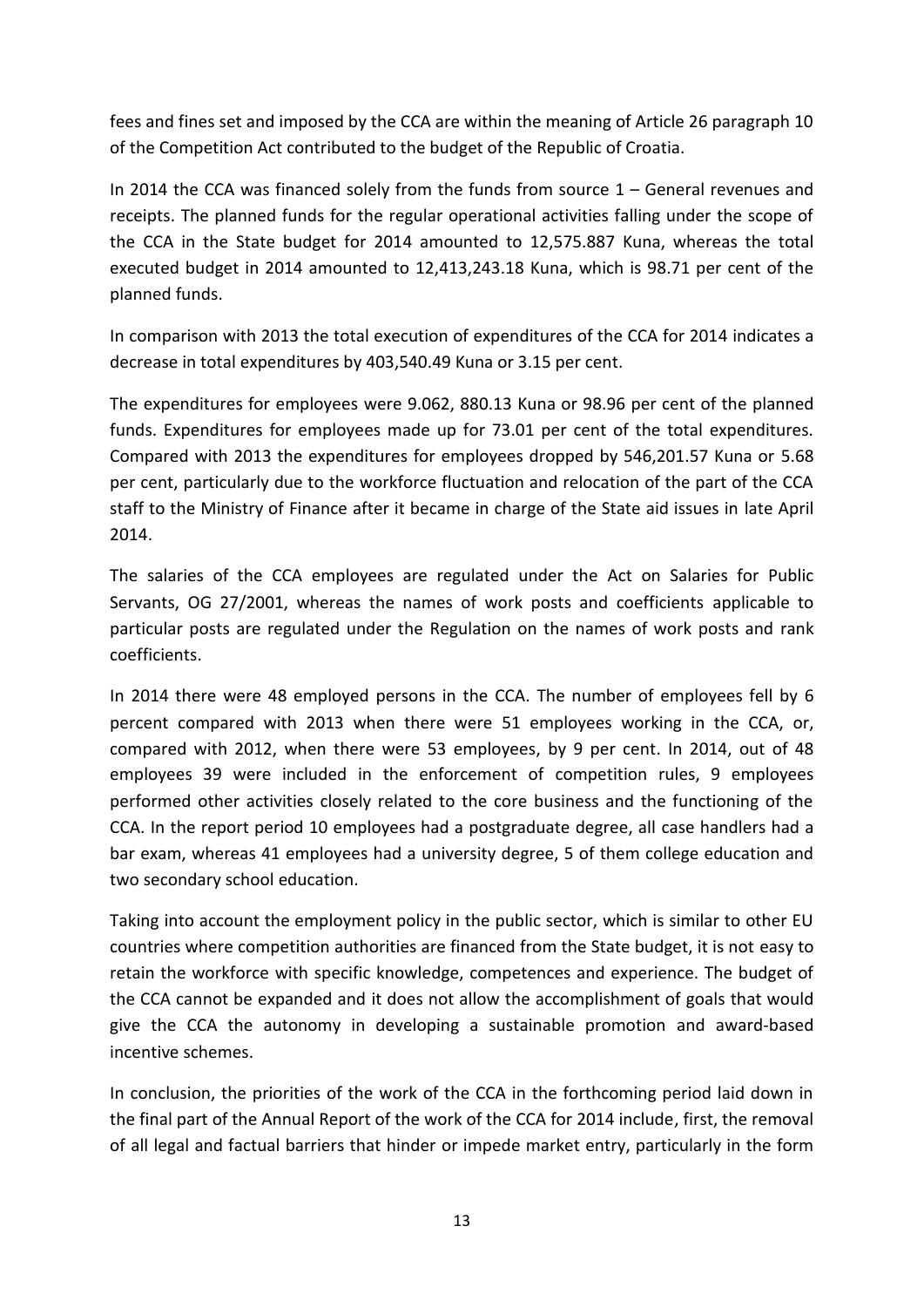fees and fines set and imposed by the CCA are within the meaning of Article 26 paragraph 10 of the Competition Act contributed to the budget of the Republic of Croatia.

In 2014 the CCA was financed solely from the funds from source  $1 -$  General revenues and receipts. The planned funds for the regular operational activities falling under the scope of the CCA in the State budget for 2014 amounted to 12,575.887 Kuna, whereas the total executed budget in 2014 amounted to 12,413,243.18 Kuna, which is 98.71 per cent of the planned funds.

In comparison with 2013 the total execution of expenditures of the CCA for 2014 indicates a decrease in total expenditures by 403,540.49 Kuna or 3.15 per cent.

The expenditures for employees were 9.062, 880.13 Kuna or 98.96 per cent of the planned funds. Expenditures for employees made up for 73.01 per cent of the total expenditures. Compared with 2013 the expenditures for employees dropped by 546,201.57 Kuna or 5.68 per cent, particularly due to the workforce fluctuation and relocation of the part of the CCA staff to the Ministry of Finance after it became in charge of the State aid issues in late April 2014.

The salaries of the CCA employees are regulated under the Act on Salaries for Public Servants, OG 27/2001, whereas the names of work posts and coefficients applicable to particular posts are regulated under the Regulation on the names of work posts and rank coefficients.

In 2014 there were 48 employed persons in the CCA. The number of employees fell by 6 percent compared with 2013 when there were 51 employees working in the CCA, or, compared with 2012, when there were 53 employees, by 9 per cent. In 2014, out of 48 employees 39 were included in the enforcement of competition rules, 9 employees performed other activities closely related to the core business and the functioning of the CCA. In the report period 10 employees had a postgraduate degree, all case handlers had a bar exam, whereas 41 employees had a university degree, 5 of them college education and two secondary school education.

Taking into account the employment policy in the public sector, which is similar to other EU countries where competition authorities are financed from the State budget, it is not easy to retain the workforce with specific knowledge, competences and experience. The budget of the CCA cannot be expanded and it does not allow the accomplishment of goals that would give the CCA the autonomy in developing a sustainable promotion and award-based incentive schemes.

In conclusion, the priorities of the work of the CCA in the forthcoming period laid down in the final part of the Annual Report of the work of the CCA for 2014 include, first, the removal of all legal and factual barriers that hinder or impede market entry, particularly in the form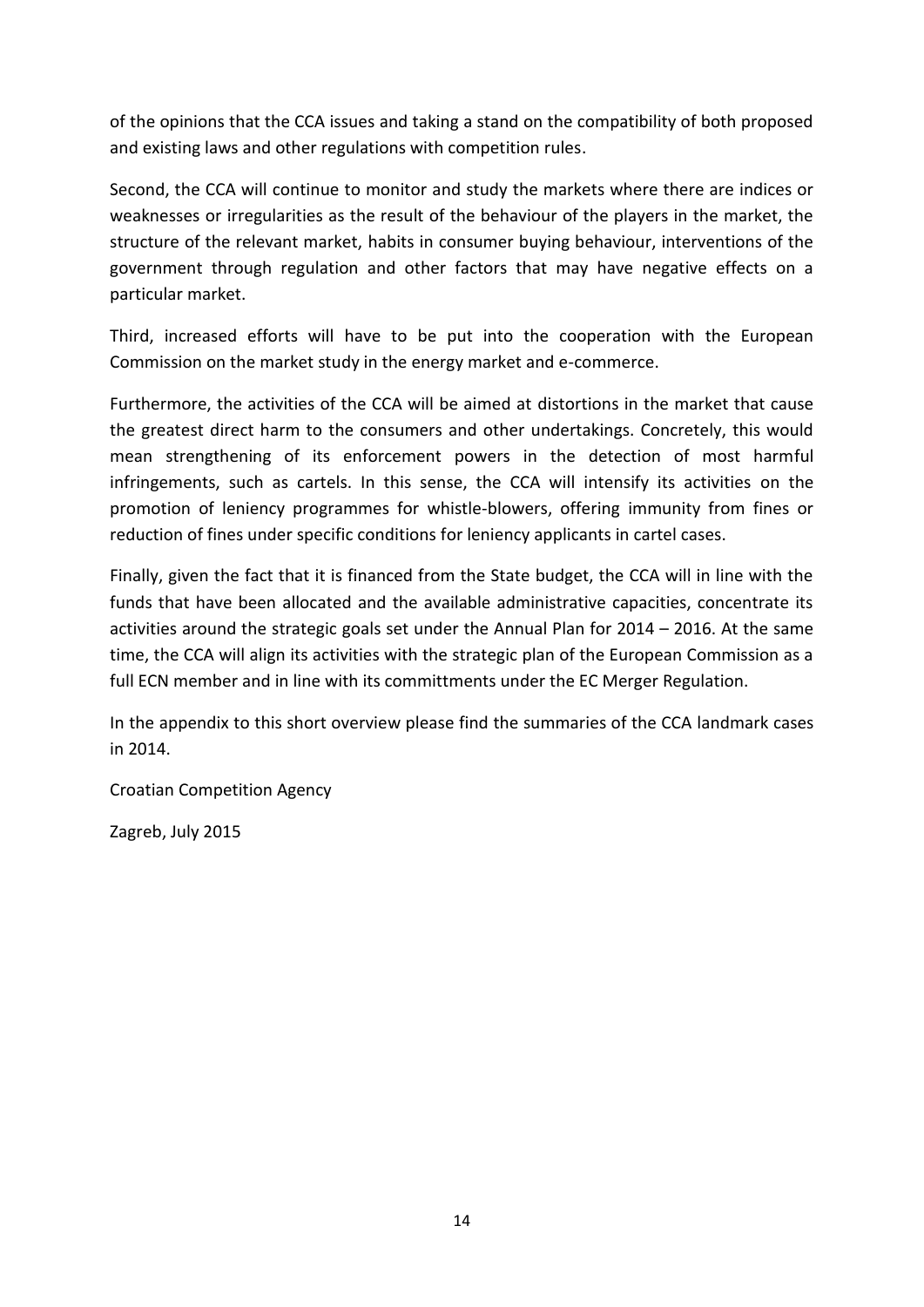of the opinions that the CCA issues and taking a stand on the compatibility of both proposed and existing laws and other regulations with competition rules.

Second, the CCA will continue to monitor and study the markets where there are indices or weaknesses or irregularities as the result of the behaviour of the players in the market, the structure of the relevant market, habits in consumer buying behaviour, interventions of the government through regulation and other factors that may have negative effects on a particular market.

Third, increased efforts will have to be put into the cooperation with the European Commission on the market study in the energy market and e-commerce.

Furthermore, the activities of the CCA will be aimed at distortions in the market that cause the greatest direct harm to the consumers and other undertakings. Concretely, this would mean strengthening of its enforcement powers in the detection of most harmful infringements, such as cartels. In this sense, the CCA will intensify its activities on the promotion of leniency programmes for whistle-blowers, offering immunity from fines or reduction of fines under specific conditions for leniency applicants in cartel cases.

Finally, given the fact that it is financed from the State budget, the CCA will in line with the funds that have been allocated and the available administrative capacities, concentrate its activities around the strategic goals set under the Annual Plan for 2014 – 2016. At the same time, the CCA will align its activities with the strategic plan of the European Commission as a full ECN member and in line with its committments under the EC Merger Regulation.

In the appendix to this short overview please find the summaries of the CCA landmark cases in 2014.

Croatian Competition Agency

Zagreb, July 2015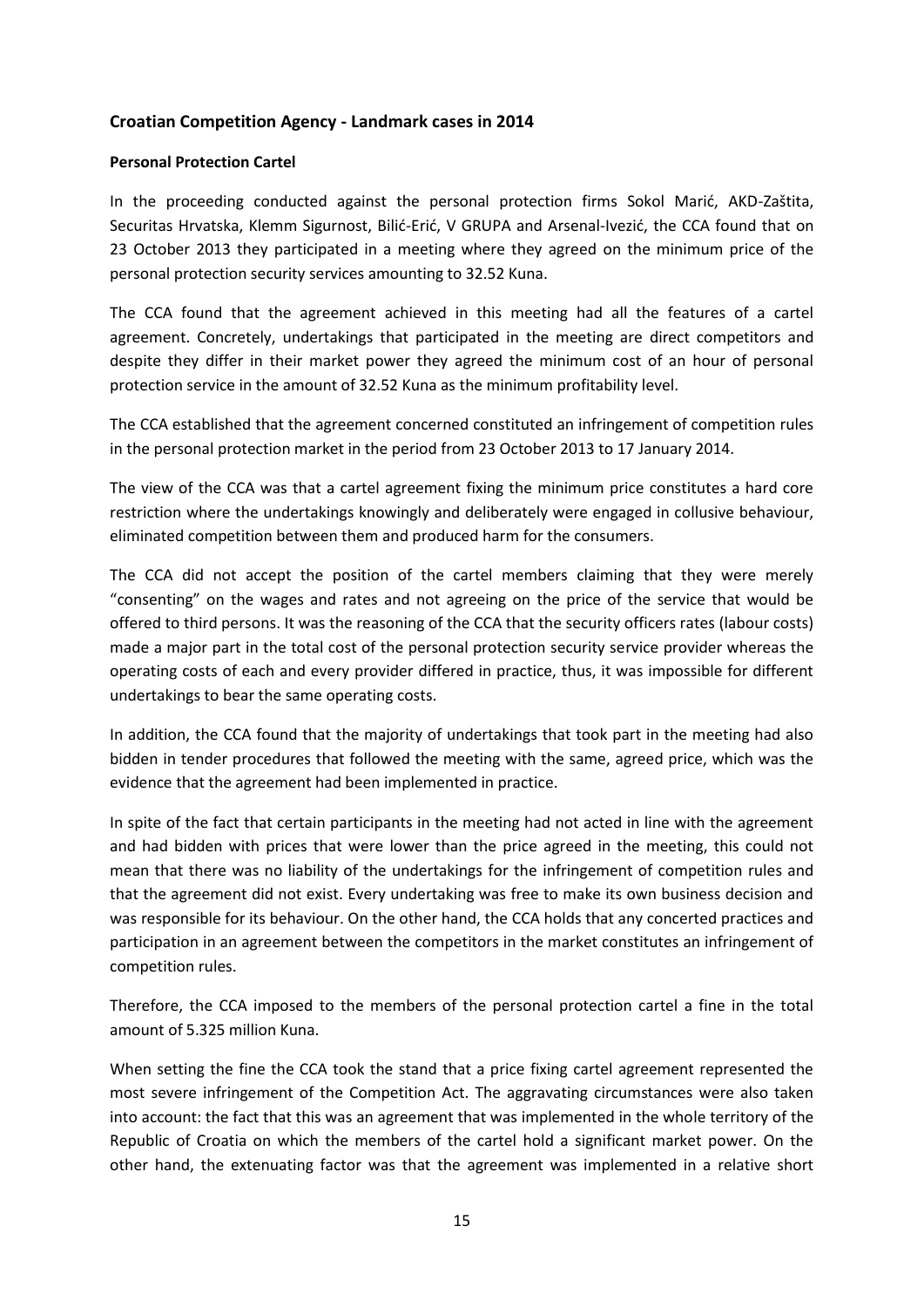### **Croatian Competition Agency - Landmark cases in 2014**

#### **Personal Protection Cartel**

In the proceeding conducted against the personal protection firms Sokol Marić, AKD-Zaštita, Securitas Hrvatska, Klemm Sigurnost, Bilić-Erić, V GRUPA and Arsenal-Ivezić, the CCA found that on 23 October 2013 they participated in a meeting where they agreed on the minimum price of the personal protection security services amounting to 32.52 Kuna.

The CCA found that the agreement achieved in this meeting had all the features of a cartel agreement. Concretely, undertakings that participated in the meeting are direct competitors and despite they differ in their market power they agreed the minimum cost of an hour of personal protection service in the amount of 32.52 Kuna as the minimum profitability level.

The CCA established that the agreement concerned constituted an infringement of competition rules in the personal protection market in the period from 23 October 2013 to 17 January 2014.

The view of the CCA was that a cartel agreement fixing the minimum price constitutes a hard core restriction where the undertakings knowingly and deliberately were engaged in collusive behaviour, eliminated competition between them and produced harm for the consumers.

The CCA did not accept the position of the cartel members claiming that they were merely "consenting" on the wages and rates and not agreeing on the price of the service that would be offered to third persons. It was the reasoning of the CCA that the security officers rates (labour costs) made a major part in the total cost of the personal protection security service provider whereas the operating costs of each and every provider differed in practice, thus, it was impossible for different undertakings to bear the same operating costs.

In addition, the CCA found that the majority of undertakings that took part in the meeting had also bidden in tender procedures that followed the meeting with the same, agreed price, which was the evidence that the agreement had been implemented in practice.

In spite of the fact that certain participants in the meeting had not acted in line with the agreement and had bidden with prices that were lower than the price agreed in the meeting, this could not mean that there was no liability of the undertakings for the infringement of competition rules and that the agreement did not exist. Every undertaking was free to make its own business decision and was responsible for its behaviour. On the other hand, the CCA holds that any concerted practices and participation in an agreement between the competitors in the market constitutes an infringement of competition rules.

Therefore, the CCA imposed to the members of the personal protection cartel a fine in the total amount of 5.325 million Kuna.

When setting the fine the CCA took the stand that a price fixing cartel agreement represented the most severe infringement of the Competition Act. The aggravating circumstances were also taken into account: the fact that this was an agreement that was implemented in the whole territory of the Republic of Croatia on which the members of the cartel hold a significant market power. On the other hand, the extenuating factor was that the agreement was implemented in a relative short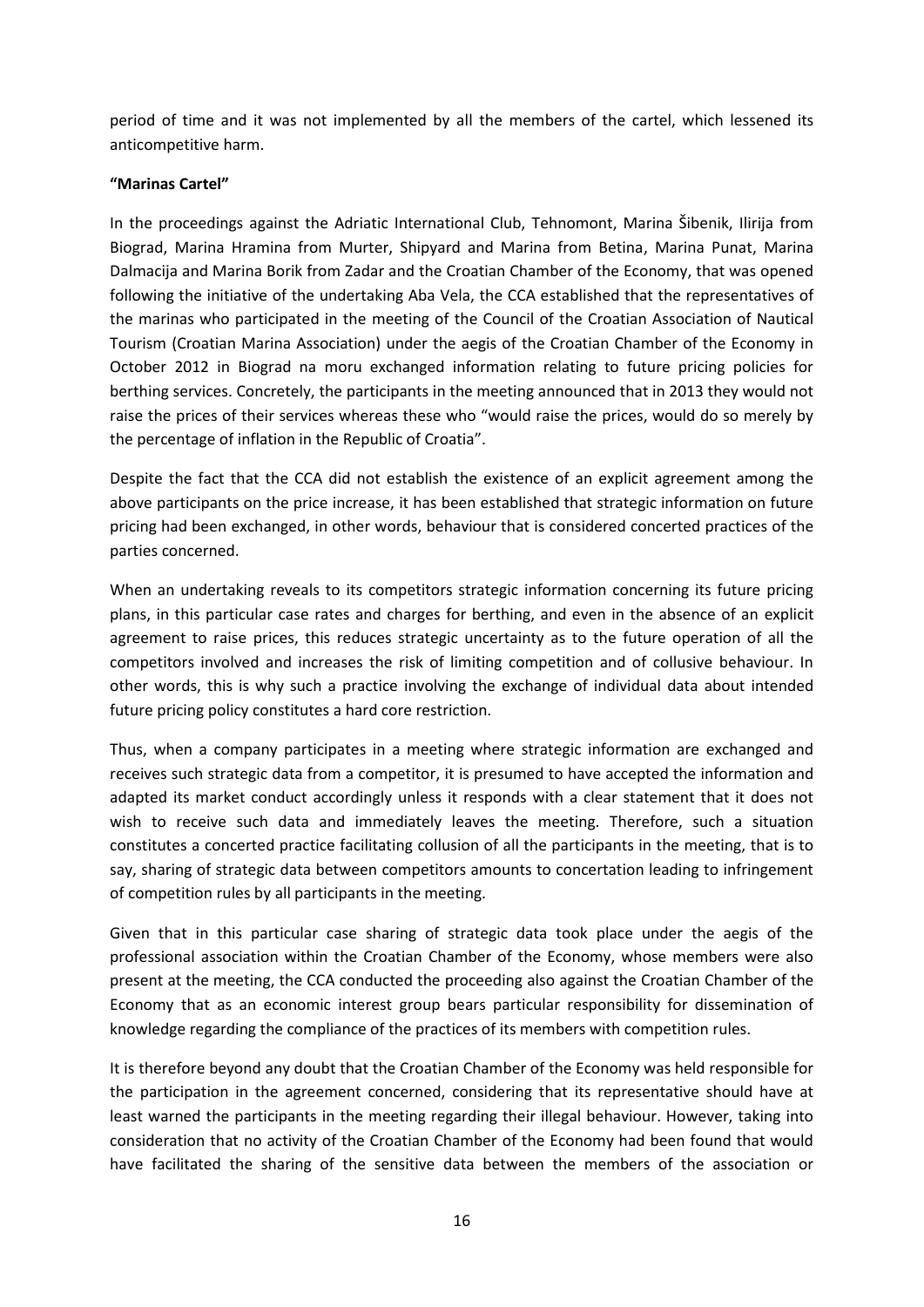period of time and it was not implemented by all the members of the cartel, which lessened its anticompetitive harm.

### **"Marinas Cartel"**

In the proceedings against the Adriatic International Club, Tehnomont, Marina Šibenik, Ilirija from Biograd, Marina Hramina from Murter, Shipyard and Marina from Betina, Marina Punat, Marina Dalmacija and Marina Borik from Zadar and the Croatian Chamber of the Economy, that was opened following the initiative of the undertaking Aba Vela, the CCA established that the representatives of the marinas who participated in the meeting of the Council of the Croatian Association of Nautical Tourism (Croatian Marina Association) under the aegis of the Croatian Chamber of the Economy in October 2012 in Biograd na moru exchanged information relating to future pricing policies for berthing services. Concretely, the participants in the meeting announced that in 2013 they would not raise the prices of their services whereas these who "would raise the prices, would do so merely by the percentage of inflation in the Republic of Croatia".

Despite the fact that the CCA did not establish the existence of an explicit agreement among the above participants on the price increase, it has been established that strategic information on future pricing had been exchanged, in other words, behaviour that is considered concerted practices of the parties concerned.

When an undertaking reveals to its competitors strategic information concerning its future pricing plans, in this particular case rates and charges for berthing, and even in the absence of an explicit agreement to raise prices, this reduces strategic uncertainty as to the future operation of all the competitors involved and increases the risk of limiting competition and of collusive behaviour. In other words, this is why such a practice involving the exchange of individual data about intended future pricing policy constitutes a hard core restriction.

Thus, when a company participates in a meeting where strategic information are exchanged and receives such strategic data from a competitor, it is presumed to have accepted the information and adapted its market conduct accordingly unless it responds with a clear statement that it does not wish to receive such data and immediately leaves the meeting. Therefore, such a situation constitutes a concerted practice facilitating collusion of all the participants in the meeting, that is to say, sharing of strategic data between competitors amounts to concertation leading to infringement of competition rules by all participants in the meeting.

Given that in this particular case sharing of strategic data took place under the aegis of the professional association within the Croatian Chamber of the Economy, whose members were also present at the meeting, the CCA conducted the proceeding also against the Croatian Chamber of the Economy that as an economic interest group bears particular responsibility for dissemination of knowledge regarding the compliance of the practices of its members with competition rules.

It is therefore beyond any doubt that the Croatian Chamber of the Economy was held responsible for the participation in the agreement concerned, considering that its representative should have at least warned the participants in the meeting regarding their illegal behaviour. However, taking into consideration that no activity of the Croatian Chamber of the Economy had been found that would have facilitated the sharing of the sensitive data between the members of the association or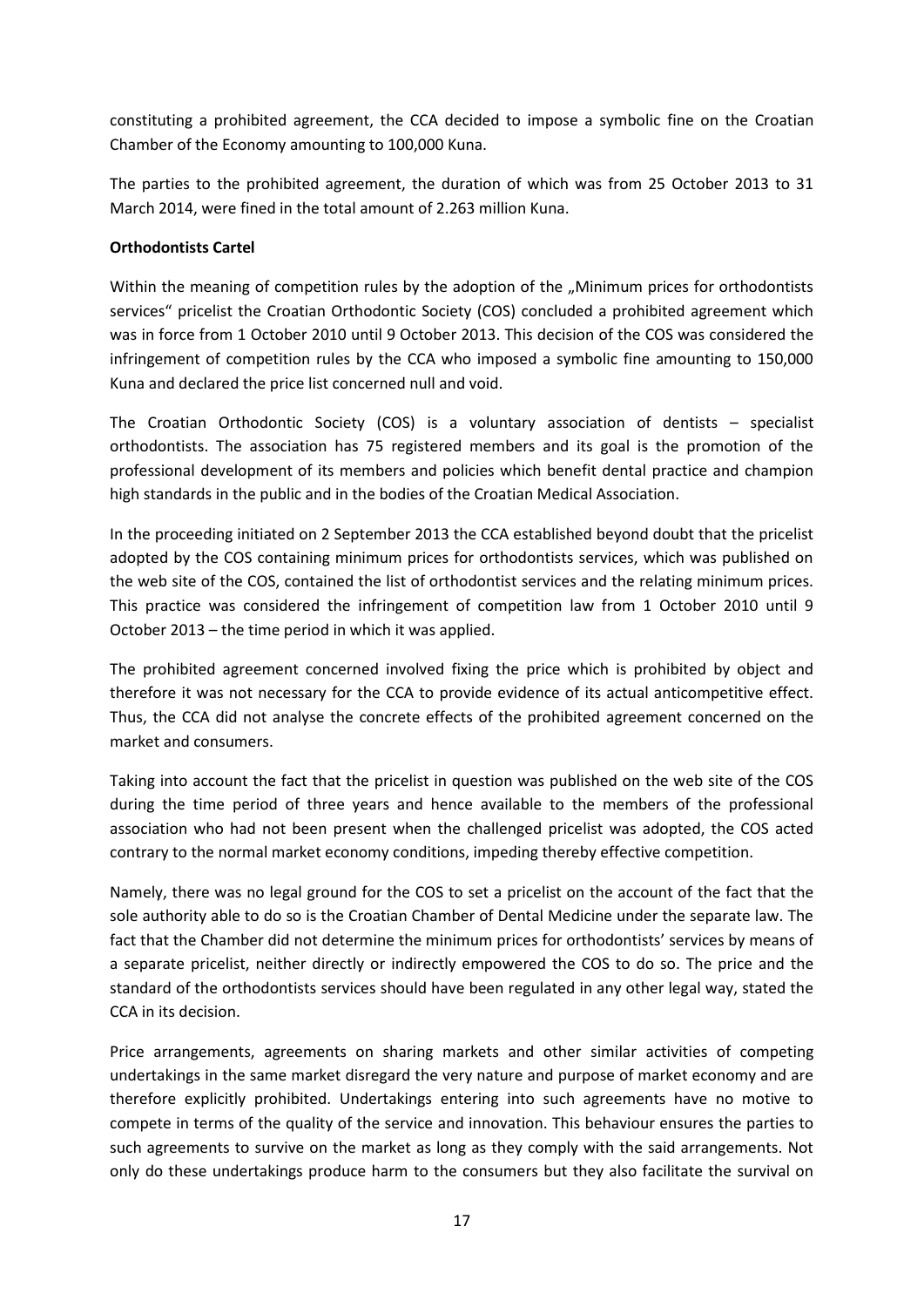constituting a prohibited agreement, the CCA decided to impose a symbolic fine on the Croatian Chamber of the Economy amounting to 100,000 Kuna.

The parties to the prohibited agreement, the duration of which was from 25 October 2013 to 31 March 2014, were fined in the total amount of 2.263 million Kuna.

## **Orthodontists Cartel**

Within the meaning of competition rules by the adoption of the ..Minimum prices for orthodontists services" pricelist the Croatian Orthodontic Society (COS) concluded a prohibited agreement which was in force from 1 October 2010 until 9 October 2013. This decision of the COS was considered the infringement of competition rules by the CCA who imposed a symbolic fine amounting to 150,000 Kuna and declared the price list concerned null and void.

The Croatian Orthodontic Society (COS) is a voluntary association of dentists – specialist orthodontists. The association has 75 registered members and its goal is the promotion of the professional development of its members and policies which benefit dental practice and champion high standards in the public and in the bodies of the Croatian Medical Association.

In the proceeding initiated on 2 September 2013 the CCA established beyond doubt that the pricelist adopted by the COS containing minimum prices for orthodontists services, which was published on the web site of the COS, contained the list of orthodontist services and the relating minimum prices. This practice was considered the infringement of competition law from 1 October 2010 until 9 October 2013 – the time period in which it was applied.

The prohibited agreement concerned involved fixing the price which is prohibited by object and therefore it was not necessary for the CCA to provide evidence of its actual anticompetitive effect. Thus, the CCA did not analyse the concrete effects of the prohibited agreement concerned on the market and consumers.

Taking into account the fact that the pricelist in question was published on the web site of the COS during the time period of three years and hence available to the members of the professional association who had not been present when the challenged pricelist was adopted, the COS acted contrary to the normal market economy conditions, impeding thereby effective competition.

Namely, there was no legal ground for the COS to set a pricelist on the account of the fact that the sole authority able to do so is the Croatian Chamber of Dental Medicine under the separate law. The fact that the Chamber did not determine the minimum prices for orthodontists' services by means of a separate pricelist, neither directly or indirectly empowered the COS to do so. The price and the standard of the orthodontists services should have been regulated in any other legal way, stated the CCA in its decision.

Price arrangements, agreements on sharing markets and other similar activities of competing undertakings in the same market disregard the very nature and purpose of market economy and are therefore explicitly prohibited. Undertakings entering into such agreements have no motive to compete in terms of the quality of the service and innovation. This behaviour ensures the parties to such agreements to survive on the market as long as they comply with the said arrangements. Not only do these undertakings produce harm to the consumers but they also facilitate the survival on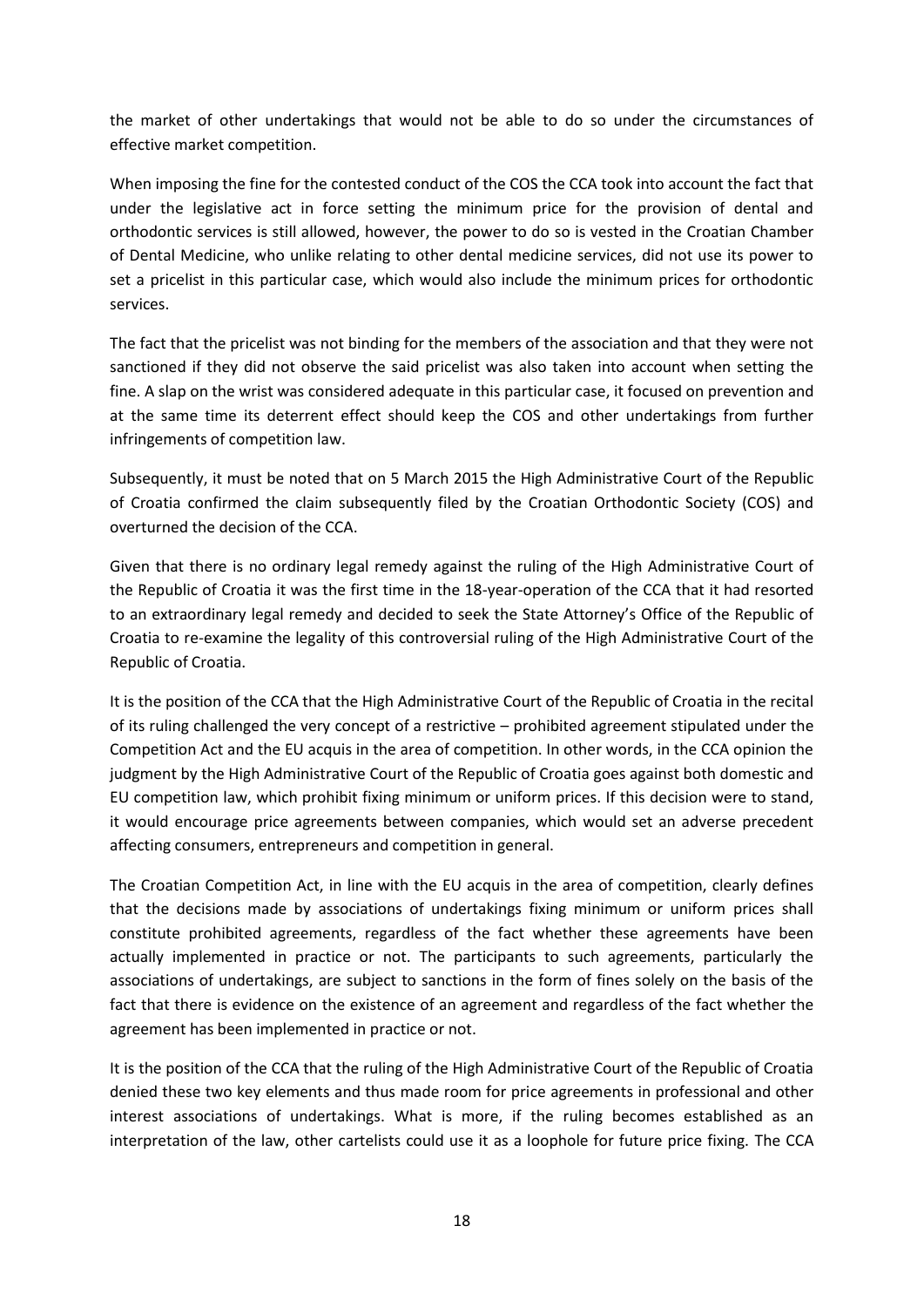the market of other undertakings that would not be able to do so under the circumstances of effective market competition.

When imposing the fine for the contested conduct of the COS the CCA took into account the fact that under the legislative act in force setting the minimum price for the provision of dental and orthodontic services is still allowed, however, the power to do so is vested in the Croatian Chamber of Dental Medicine, who unlike relating to other dental medicine services, did not use its power to set a pricelist in this particular case, which would also include the minimum prices for orthodontic services.

The fact that the pricelist was not binding for the members of the association and that they were not sanctioned if they did not observe the said pricelist was also taken into account when setting the fine. A slap on the wrist was considered adequate in this particular case, it focused on prevention and at the same time its deterrent effect should keep the COS and other undertakings from further infringements of competition law.

Subsequently, it must be noted that on 5 March 2015 the High Administrative Court of the Republic of Croatia confirmed the claim subsequently filed by the Croatian Orthodontic Society (COS) and overturned the decision of the CCA.

Given that there is no ordinary legal remedy against the ruling of the High Administrative Court of the Republic of Croatia it was the first time in the 18-year-operation of the CCA that it had resorted to an extraordinary legal remedy and decided to seek the State Attorney's Office of the Republic of Croatia to re-examine the legality of this controversial ruling of the High Administrative Court of the Republic of Croatia.

It is the position of the CCA that the High Administrative Court of the Republic of Croatia in the recital of its ruling challenged the very concept of a restrictive – prohibited agreement stipulated under the Competition Act and the EU acquis in the area of competition. In other words, in the CCA opinion the judgment by the High Administrative Court of the Republic of Croatia goes against both domestic and EU competition law, which prohibit fixing minimum or uniform prices. If this decision were to stand, it would encourage price agreements between companies, which would set an adverse precedent affecting consumers, entrepreneurs and competition in general.

The Croatian Competition Act, in line with the EU acquis in the area of competition, clearly defines that the decisions made by associations of undertakings fixing minimum or uniform prices shall constitute prohibited agreements, regardless of the fact whether these agreements have been actually implemented in practice or not. The participants to such agreements, particularly the associations of undertakings, are subject to sanctions in the form of fines solely on the basis of the fact that there is evidence on the existence of an agreement and regardless of the fact whether the agreement has been implemented in practice or not.

It is the position of the CCA that the ruling of the High Administrative Court of the Republic of Croatia denied these two key elements and thus made room for price agreements in professional and other interest associations of undertakings. What is more, if the ruling becomes established as an interpretation of the law, other cartelists could use it as a loophole for future price fixing. The CCA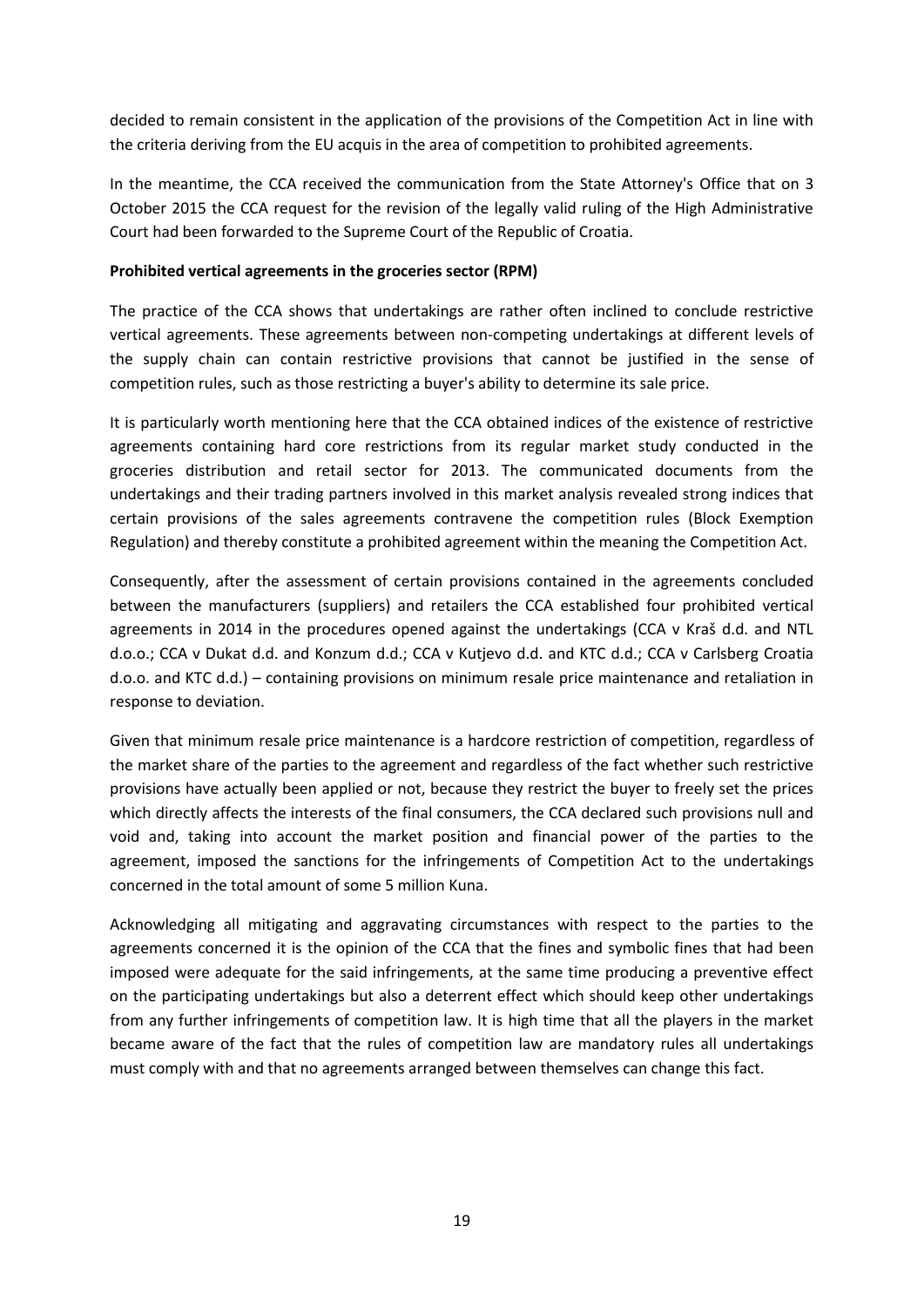decided to remain consistent in the application of the provisions of the Competition Act in line with the criteria deriving from the EU acquis in the area of competition to prohibited agreements.

In the meantime, the CCA received the communication from the State Attorney's Office that on 3 October 2015 the CCA request for the revision of the legally valid ruling of the High Administrative Court had been forwarded to the Supreme Court of the Republic of Croatia.

#### **Prohibited vertical agreements in the groceries sector (RPM)**

The practice of the CCA shows that undertakings are rather often inclined to conclude restrictive vertical agreements. These agreements between non-competing undertakings at different levels of the supply chain can contain restrictive provisions that cannot be justified in the sense of competition rules, such as those restricting a buyer's ability to determine its sale price.

It is particularly worth mentioning here that the CCA obtained indices of the existence of restrictive agreements containing hard core restrictions from its regular market study conducted in the groceries distribution and retail sector for 2013. The communicated documents from the undertakings and their trading partners involved in this market analysis revealed strong indices that certain provisions of the sales agreements contravene the competition rules (Block Exemption Regulation) and thereby constitute a prohibited agreement within the meaning the Competition Act.

Consequently, after the assessment of certain provisions contained in the agreements concluded between the manufacturers (suppliers) and retailers the CCA established four prohibited vertical agreements in 2014 in the procedures opened against the undertakings (CCA v Kraš d.d. and NTL d.o.o.; CCA v Dukat d.d. and Konzum d.d.; CCA v Kutjevo d.d. and KTC d.d.; CCA v Carlsberg Croatia d.o.o. and KTC d.d.) – containing provisions on minimum resale price maintenance and retaliation in response to deviation.

Given that minimum resale price maintenance is a hardcore restriction of competition, regardless of the market share of the parties to the agreement and regardless of the fact whether such restrictive provisions have actually been applied or not, because they restrict the buyer to freely set the prices which directly affects the interests of the final consumers, the CCA declared such provisions null and void and, taking into account the market position and financial power of the parties to the agreement, imposed the sanctions for the infringements of Competition Act to the undertakings concerned in the total amount of some 5 million Kuna.

Acknowledging all mitigating and aggravating circumstances with respect to the parties to the agreements concerned it is the opinion of the CCA that the fines and symbolic fines that had been imposed were adequate for the said infringements, at the same time producing a preventive effect on the participating undertakings but also a deterrent effect which should keep other undertakings from any further infringements of competition law. It is high time that all the players in the market became aware of the fact that the rules of competition law are mandatory rules all undertakings must comply with and that no agreements arranged between themselves can change this fact.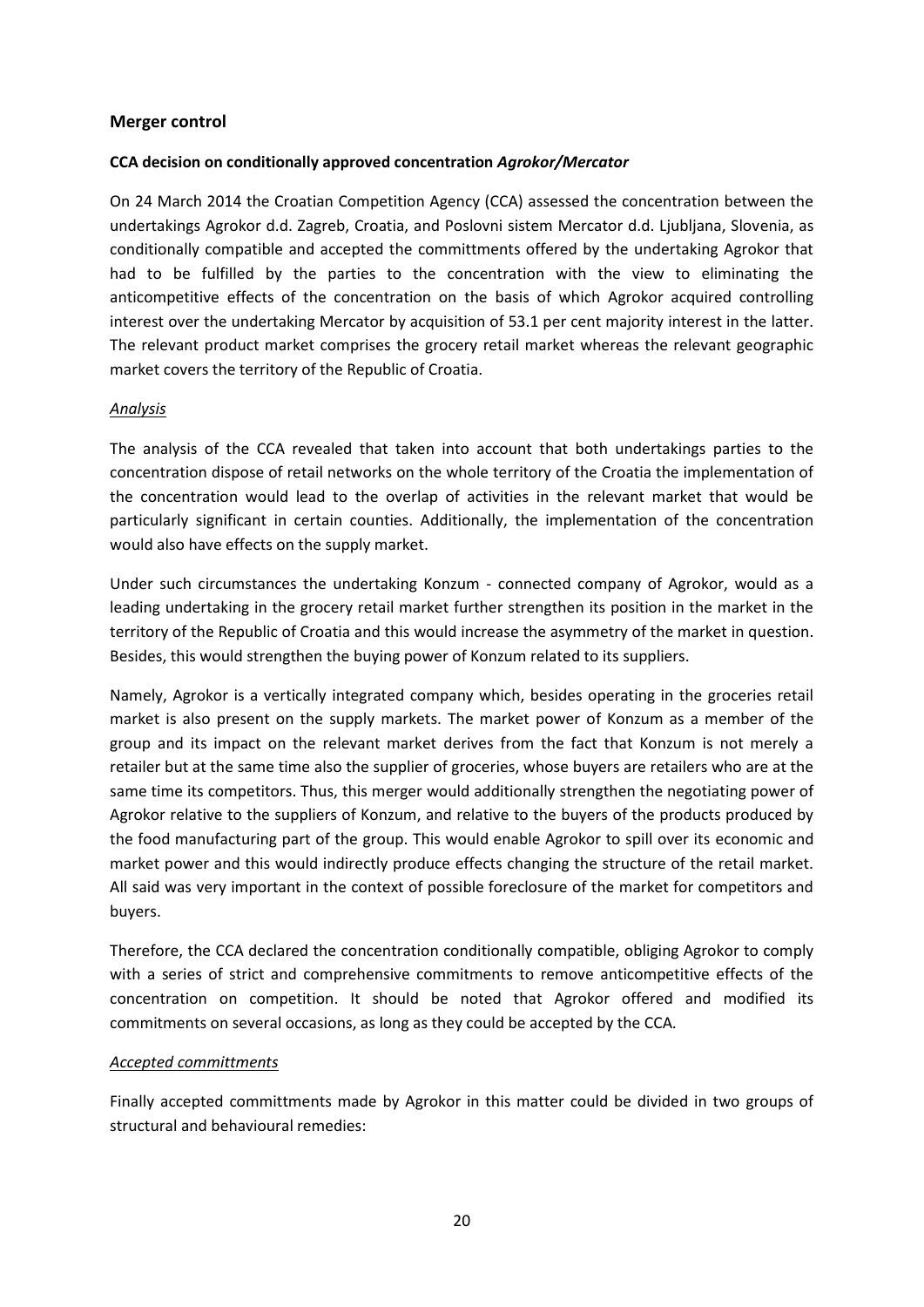#### **Merger control**

#### **CCA decision on conditionally approved concentration** *Agrokor/Mercator*

On 24 March 2014 the Croatian Competition Agency (CCA) assessed the concentration between the undertakings Agrokor d.d. Zagreb, Croatia, and Poslovni sistem Mercator d.d. Ljubljana, Slovenia, as conditionally compatible and accepted the committments offered by the undertaking Agrokor that had to be fulfilled by the parties to the concentration with the view to eliminating the anticompetitive effects of the concentration on the basis of which Agrokor acquired controlling interest over the undertaking Mercator by acquisition of 53.1 per cent majority interest in the latter. The relevant product market comprises the grocery retail market whereas the relevant geographic market covers the territory of the Republic of Croatia.

#### *Analysis*

The analysis of the CCA revealed that taken into account that both undertakings parties to the concentration dispose of retail networks on the whole territory of the Croatia the implementation of the concentration would lead to the overlap of activities in the relevant market that would be particularly significant in certain counties. Additionally, the implementation of the concentration would also have effects on the supply market.

Under such circumstances the undertaking Konzum - connected company of Agrokor, would as a leading undertaking in the grocery retail market further strengthen its position in the market in the territory of the Republic of Croatia and this would increase the asymmetry of the market in question. Besides, this would strengthen the buying power of Konzum related to its suppliers.

Namely, Agrokor is a vertically integrated company which, besides operating in the groceries retail market is also present on the supply markets. The market power of Konzum as a member of the group and its impact on the relevant market derives from the fact that Konzum is not merely a retailer but at the same time also the supplier of groceries, whose buyers are retailers who are at the same time its competitors. Thus, this merger would additionally strengthen the negotiating power of Agrokor relative to the suppliers of Konzum, and relative to the buyers of the products produced by the food manufacturing part of the group. This would enable Agrokor to spill over its economic and market power and this would indirectly produce effects changing the structure of the retail market. All said was very important in the context of possible foreclosure of the market for competitors and buyers.

Therefore, the CCA declared the concentration conditionally compatible, obliging Agrokor to comply with a series of strict and comprehensive commitments to remove anticompetitive effects of the concentration on competition. It should be noted that Agrokor offered and modified its commitments on several occasions, as long as they could be accepted by the CCA.

#### *Accepted committments*

Finally accepted committments made by Agrokor in this matter could be divided in two groups of structural and behavioural remedies: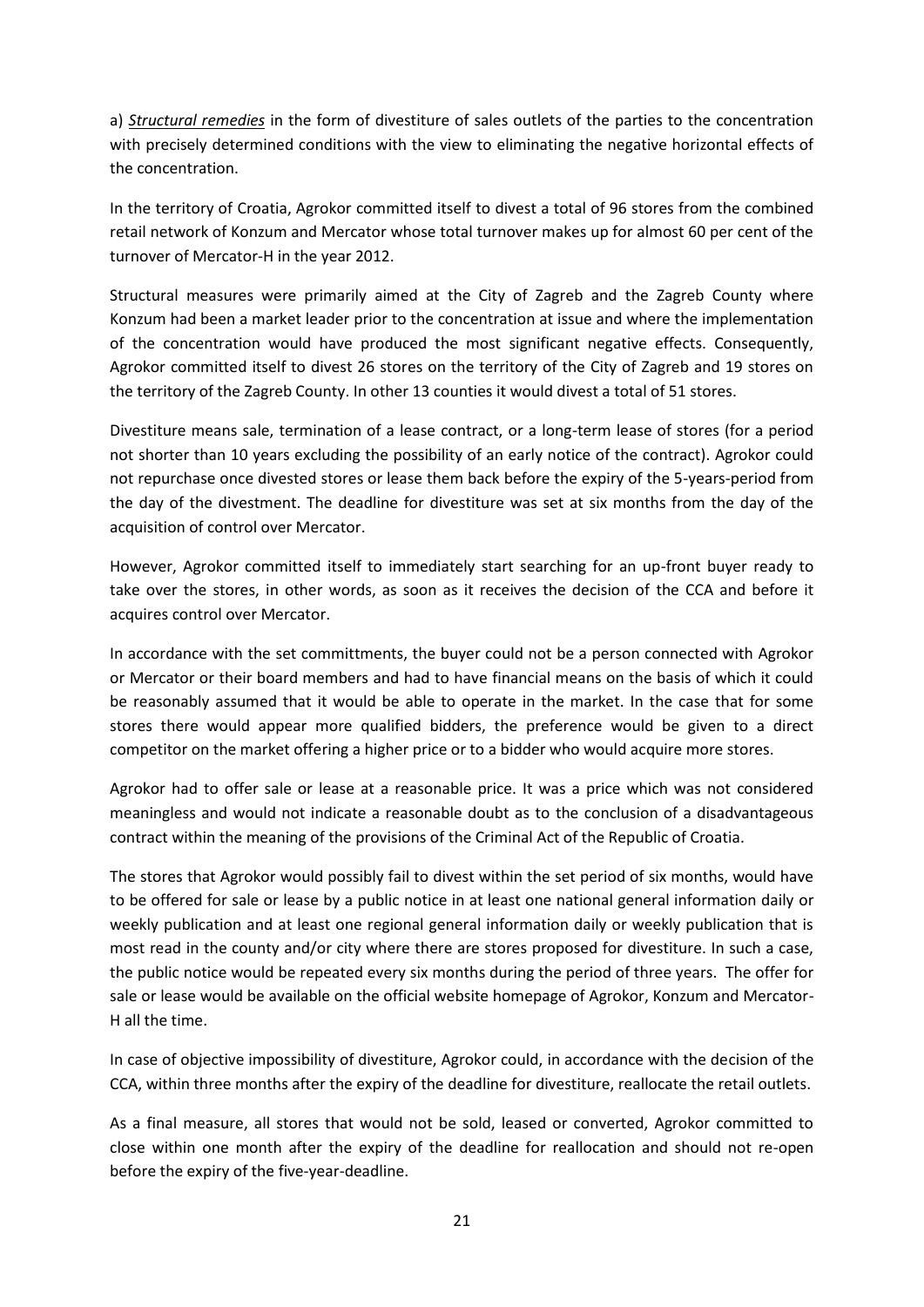a) *Structural remedies* in the form of divestiture of sales outlets of the parties to the concentration with precisely determined conditions with the view to eliminating the negative horizontal effects of the concentration.

In the territory of Croatia, Agrokor committed itself to divest a total of 96 stores from the combined retail network of Konzum and Mercator whose total turnover makes up for almost 60 per cent of the turnover of Mercator-H in the year 2012.

Structural measures were primarily aimed at the City of Zagreb and the Zagreb County where Konzum had been a market leader prior to the concentration at issue and where the implementation of the concentration would have produced the most significant negative effects. Consequently, Agrokor committed itself to divest 26 stores on the territory of the City of Zagreb and 19 stores on the territory of the Zagreb County. In other 13 counties it would divest a total of 51 stores.

Divestiture means sale, termination of a lease contract, or a long-term lease of stores (for a period not shorter than 10 years excluding the possibility of an early notice of the contract). Agrokor could not repurchase once divested stores or lease them back before the expiry of the 5-years-period from the day of the divestment. The deadline for divestiture was set at six months from the day of the acquisition of control over Mercator.

However, Agrokor committed itself to immediately start searching for an up-front buyer ready to take over the stores, in other words, as soon as it receives the decision of the CCA and before it acquires control over Mercator.

In accordance with the set committments, the buyer could not be a person connected with Agrokor or Mercator or their board members and had to have financial means on the basis of which it could be reasonably assumed that it would be able to operate in the market. In the case that for some stores there would appear more qualified bidders, the preference would be given to a direct competitor on the market offering a higher price or to a bidder who would acquire more stores.

Agrokor had to offer sale or lease at a reasonable price. It was a price which was not considered meaningless and would not indicate a reasonable doubt as to the conclusion of a disadvantageous contract within the meaning of the provisions of the Criminal Act of the Republic of Croatia.

The stores that Agrokor would possibly fail to divest within the set period of six months, would have to be offered for sale or lease by a public notice in at least one national general information daily or weekly publication and at least one regional general information daily or weekly publication that is most read in the county and/or city where there are stores proposed for divestiture. In such a case, the public notice would be repeated every six months during the period of three years. The offer for sale or lease would be available on the official website homepage of Agrokor, Konzum and Mercator-H all the time.

In case of objective impossibility of divestiture, Agrokor could, in accordance with the decision of the CCA, within three months after the expiry of the deadline for divestiture, reallocate the retail outlets.

As a final measure, all stores that would not be sold, leased or converted, Agrokor committed to close within one month after the expiry of the deadline for reallocation and should not re-open before the expiry of the five-year-deadline.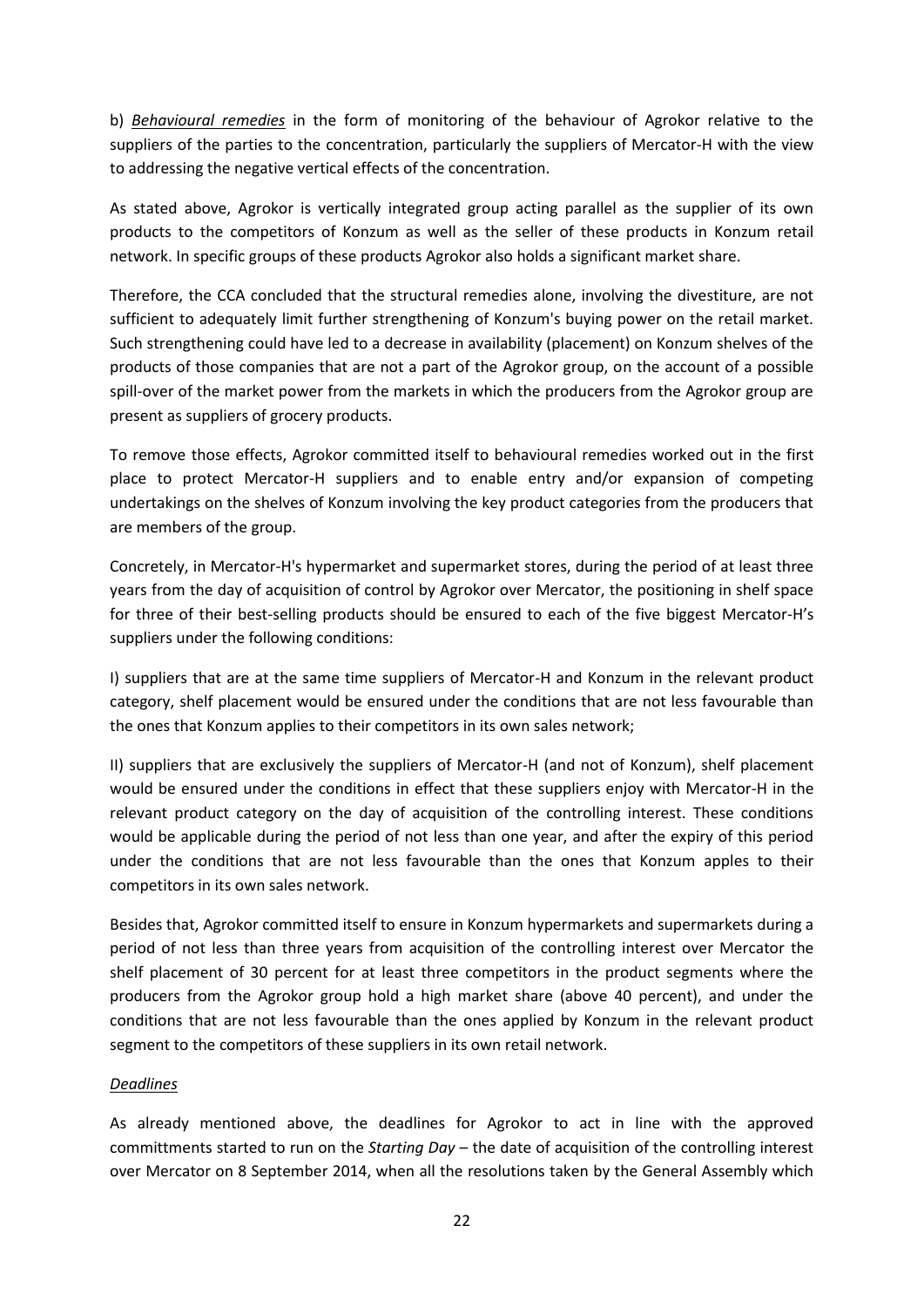b) *Behavioural remedies* in the form of monitoring of the behaviour of Agrokor relative to the suppliers of the parties to the concentration, particularly the suppliers of Mercator-H with the view to addressing the negative vertical effects of the concentration.

As stated above, Agrokor is vertically integrated group acting parallel as the supplier of its own products to the competitors of Konzum as well as the seller of these products in Konzum retail network. In specific groups of these products Agrokor also holds a significant market share.

Therefore, the CCA concluded that the structural remedies alone, involving the divestiture, are not sufficient to adequately limit further strengthening of Konzum's buying power on the retail market. Such strengthening could have led to a decrease in availability (placement) on Konzum shelves of the products of those companies that are not a part of the Agrokor group, on the account of a possible spill-over of the market power from the markets in which the producers from the Agrokor group are present as suppliers of grocery products.

To remove those effects, Agrokor committed itself to behavioural remedies worked out in the first place to protect Mercator-H suppliers and to enable entry and/or expansion of competing undertakings on the shelves of Konzum involving the key product categories from the producers that are members of the group.

Concretely, in Mercator-H's hypermarket and supermarket stores, during the period of at least three years from the day of acquisition of control by Agrokor over Mercator, the positioning in shelf space for three of their best-selling products should be ensured to each of the five biggest Mercator-H's suppliers under the following conditions:

I) suppliers that are at the same time suppliers of Mercator-H and Konzum in the relevant product category, shelf placement would be ensured under the conditions that are not less favourable than the ones that Konzum applies to their competitors in its own sales network;

II) suppliers that are exclusively the suppliers of Mercator-H (and not of Konzum), shelf placement would be ensured under the conditions in effect that these suppliers enjoy with Mercator-H in the relevant product category on the day of acquisition of the controlling interest. These conditions would be applicable during the period of not less than one year, and after the expiry of this period under the conditions that are not less favourable than the ones that Konzum apples to their competitors in its own sales network.

Besides that, Agrokor committed itself to ensure in Konzum hypermarkets and supermarkets during a period of not less than three years from acquisition of the controlling interest over Mercator the shelf placement of 30 percent for at least three competitors in the product segments where the producers from the Agrokor group hold a high market share (above 40 percent), and under the conditions that are not less favourable than the ones applied by Konzum in the relevant product segment to the competitors of these suppliers in its own retail network.

## *Deadlines*

As already mentioned above, the deadlines for Agrokor to act in line with the approved committments started to run on the *Starting Day* – the date of acquisition of the controlling interest over Mercator on 8 September 2014, when all the resolutions taken by the General Assembly which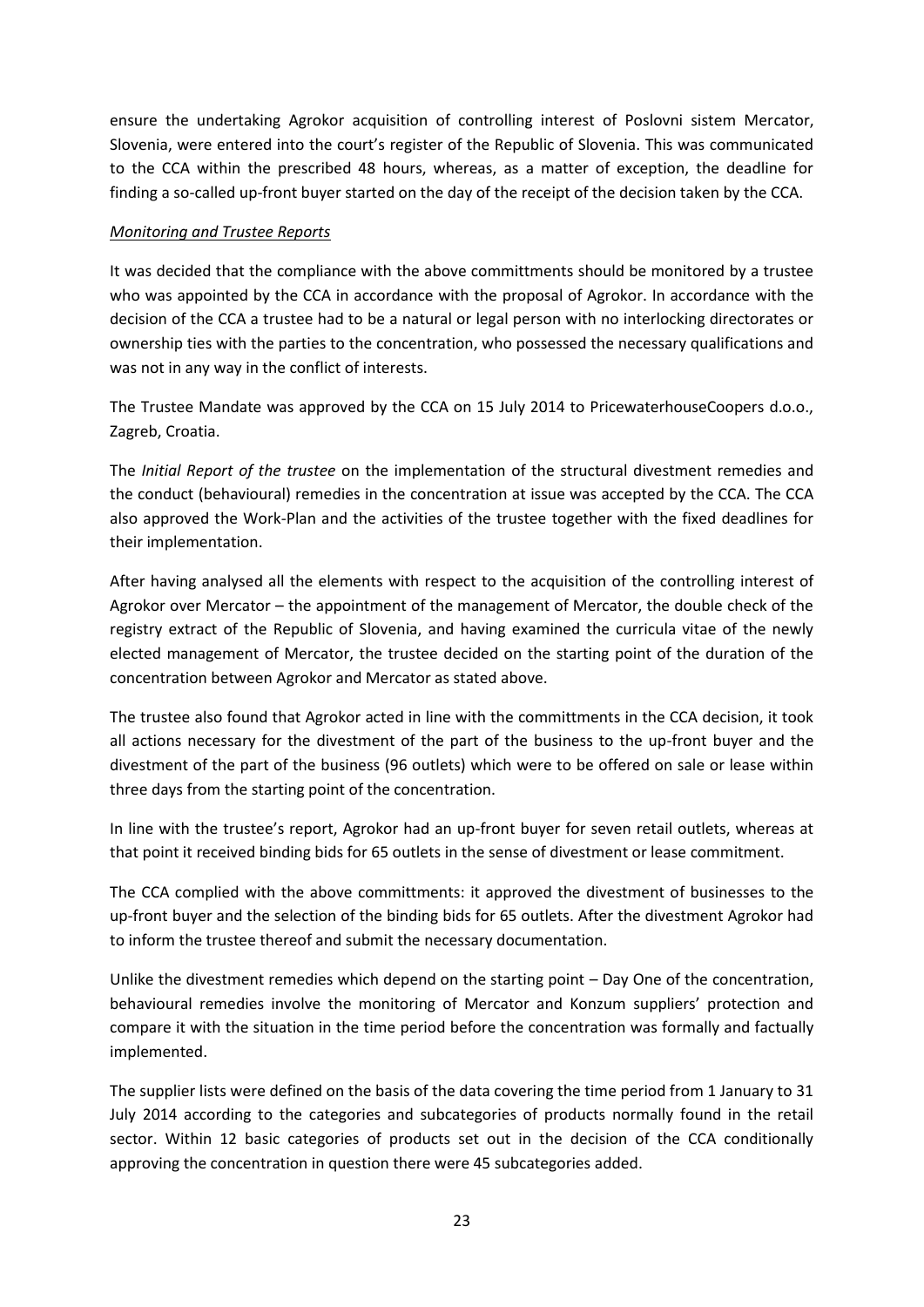ensure the undertaking Agrokor acquisition of controlling interest of Poslovni sistem Mercator, Slovenia, were entered into the court's register of the Republic of Slovenia. This was communicated to the CCA within the prescribed 48 hours, whereas, as a matter of exception, the deadline for finding a so-called up-front buyer started on the day of the receipt of the decision taken by the CCA.

### *Monitoring and Trustee Reports*

It was decided that the compliance with the above committments should be monitored by a trustee who was appointed by the CCA in accordance with the proposal of Agrokor. In accordance with the decision of the CCA a trustee had to be a natural or legal person with no interlocking directorates or ownership ties with the parties to the concentration, who possessed the necessary qualifications and was not in any way in the conflict of interests.

The Trustee Mandate was approved by the CCA on 15 July 2014 to PricewaterhouseCoopers d.o.o., Zagreb, Croatia.

The *Initial Report of the trustee* on the implementation of the structural divestment remedies and the conduct (behavioural) remedies in the concentration at issue was accepted by the CCA. The CCA also approved the Work-Plan and the activities of the trustee together with the fixed deadlines for their implementation.

After having analysed all the elements with respect to the acquisition of the controlling interest of Agrokor over Mercator – the appointment of the management of Mercator, the double check of the registry extract of the Republic of Slovenia, and having examined the curricula vitae of the newly elected management of Mercator, the trustee decided on the starting point of the duration of the concentration between Agrokor and Mercator as stated above.

The trustee also found that Agrokor acted in line with the committments in the CCA decision, it took all actions necessary for the divestment of the part of the business to the up-front buyer and the divestment of the part of the business (96 outlets) which were to be offered on sale or lease within three days from the starting point of the concentration.

In line with the trustee's report, Agrokor had an up-front buyer for seven retail outlets, whereas at that point it received binding bids for 65 outlets in the sense of divestment or lease commitment.

The CCA complied with the above committments: it approved the divestment of businesses to the up-front buyer and the selection of the binding bids for 65 outlets. After the divestment Agrokor had to inform the trustee thereof and submit the necessary documentation.

Unlike the divestment remedies which depend on the starting point – Day One of the concentration, behavioural remedies involve the monitoring of Mercator and Konzum suppliers' protection and compare it with the situation in the time period before the concentration was formally and factually implemented.

The supplier lists were defined on the basis of the data covering the time period from 1 January to 31 July 2014 according to the categories and subcategories of products normally found in the retail sector. Within 12 basic categories of products set out in the decision of the CCA conditionally approving the concentration in question there were 45 subcategories added.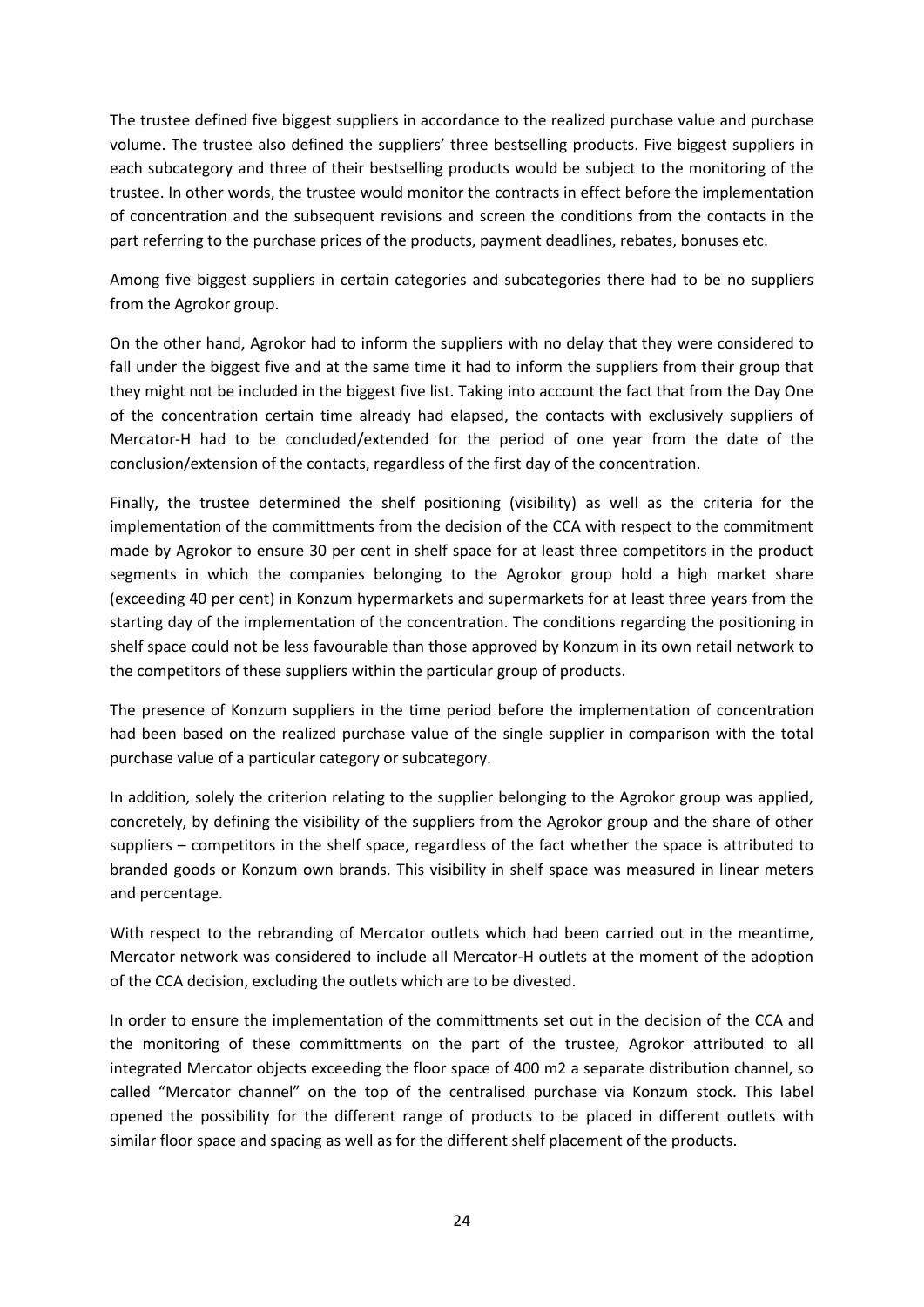The trustee defined five biggest suppliers in accordance to the realized purchase value and purchase volume. The trustee also defined the suppliers' three bestselling products. Five biggest suppliers in each subcategory and three of their bestselling products would be subject to the monitoring of the trustee. In other words, the trustee would monitor the contracts in effect before the implementation of concentration and the subsequent revisions and screen the conditions from the contacts in the part referring to the purchase prices of the products, payment deadlines, rebates, bonuses etc.

Among five biggest suppliers in certain categories and subcategories there had to be no suppliers from the Agrokor group.

On the other hand, Agrokor had to inform the suppliers with no delay that they were considered to fall under the biggest five and at the same time it had to inform the suppliers from their group that they might not be included in the biggest five list. Taking into account the fact that from the Day One of the concentration certain time already had elapsed, the contacts with exclusively suppliers of Mercator-H had to be concluded/extended for the period of one year from the date of the conclusion/extension of the contacts, regardless of the first day of the concentration.

Finally, the trustee determined the shelf positioning (visibility) as well as the criteria for the implementation of the committments from the decision of the CCA with respect to the commitment made by Agrokor to ensure 30 per cent in shelf space for at least three competitors in the product segments in which the companies belonging to the Agrokor group hold a high market share (exceeding 40 per cent) in Konzum hypermarkets and supermarkets for at least three years from the starting day of the implementation of the concentration. The conditions regarding the positioning in shelf space could not be less favourable than those approved by Konzum in its own retail network to the competitors of these suppliers within the particular group of products.

The presence of Konzum suppliers in the time period before the implementation of concentration had been based on the realized purchase value of the single supplier in comparison with the total purchase value of a particular category or subcategory.

In addition, solely the criterion relating to the supplier belonging to the Agrokor group was applied, concretely, by defining the visibility of the suppliers from the Agrokor group and the share of other suppliers – competitors in the shelf space, regardless of the fact whether the space is attributed to branded goods or Konzum own brands. This visibility in shelf space was measured in linear meters and percentage.

With respect to the rebranding of Mercator outlets which had been carried out in the meantime, Mercator network was considered to include all Mercator-H outlets at the moment of the adoption of the CCA decision, excluding the outlets which are to be divested.

In order to ensure the implementation of the committments set out in the decision of the CCA and the monitoring of these committments on the part of the trustee, Agrokor attributed to all integrated Mercator objects exceeding the floor space of 400 m2 a separate distribution channel, so called "Mercator channel" on the top of the centralised purchase via Konzum stock. This label opened the possibility for the different range of products to be placed in different outlets with similar floor space and spacing as well as for the different shelf placement of the products.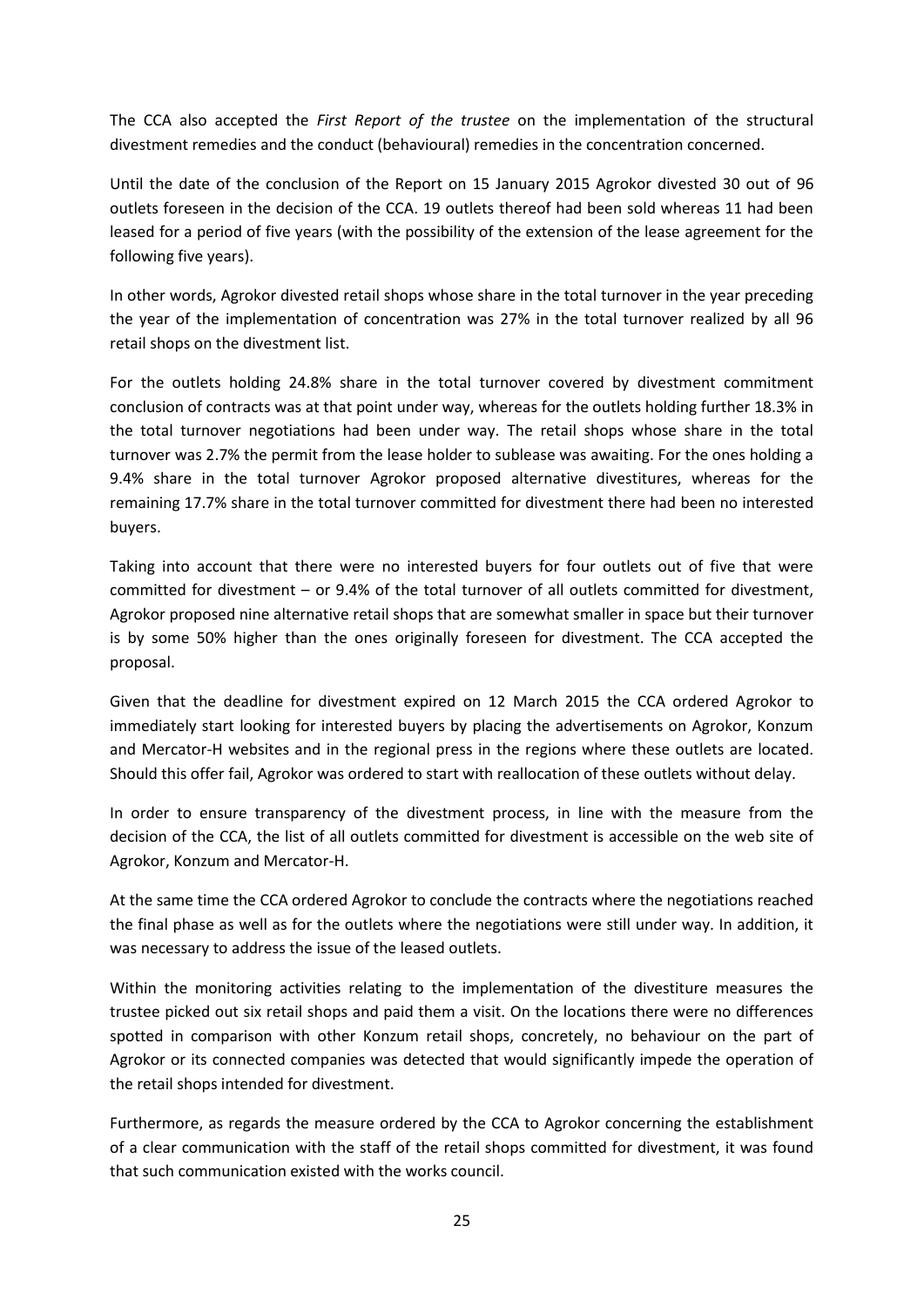The CCA also accepted the *First Report of the trustee* on the implementation of the structural divestment remedies and the conduct (behavioural) remedies in the concentration concerned.

Until the date of the conclusion of the Report on 15 January 2015 Agrokor divested 30 out of 96 outlets foreseen in the decision of the CCA. 19 outlets thereof had been sold whereas 11 had been leased for a period of five years (with the possibility of the extension of the lease agreement for the following five years).

In other words, Agrokor divested retail shops whose share in the total turnover in the year preceding the year of the implementation of concentration was 27% in the total turnover realized by all 96 retail shops on the divestment list.

For the outlets holding 24.8% share in the total turnover covered by divestment commitment conclusion of contracts was at that point under way, whereas for the outlets holding further 18.3% in the total turnover negotiations had been under way. The retail shops whose share in the total turnover was 2.7% the permit from the lease holder to sublease was awaiting. For the ones holding a 9.4% share in the total turnover Agrokor proposed alternative divestitures, whereas for the remaining 17.7% share in the total turnover committed for divestment there had been no interested buyers.

Taking into account that there were no interested buyers for four outlets out of five that were committed for divestment – or 9.4% of the total turnover of all outlets committed for divestment, Agrokor proposed nine alternative retail shops that are somewhat smaller in space but their turnover is by some 50% higher than the ones originally foreseen for divestment. The CCA accepted the proposal.

Given that the deadline for divestment expired on 12 March 2015 the CCA ordered Agrokor to immediately start looking for interested buyers by placing the advertisements on Agrokor, Konzum and Mercator-H websites and in the regional press in the regions where these outlets are located. Should this offer fail, Agrokor was ordered to start with reallocation of these outlets without delay.

In order to ensure transparency of the divestment process, in line with the measure from the decision of the CCA, the list of all outlets committed for divestment is accessible on the web site of Agrokor, Konzum and Mercator-H.

At the same time the CCA ordered Agrokor to conclude the contracts where the negotiations reached the final phase as well as for the outlets where the negotiations were still under way. In addition, it was necessary to address the issue of the leased outlets.

Within the monitoring activities relating to the implementation of the divestiture measures the trustee picked out six retail shops and paid them a visit. On the locations there were no differences spotted in comparison with other Konzum retail shops, concretely, no behaviour on the part of Agrokor or its connected companies was detected that would significantly impede the operation of the retail shops intended for divestment.

Furthermore, as regards the measure ordered by the CCA to Agrokor concerning the establishment of a clear communication with the staff of the retail shops committed for divestment, it was found that such communication existed with the works council.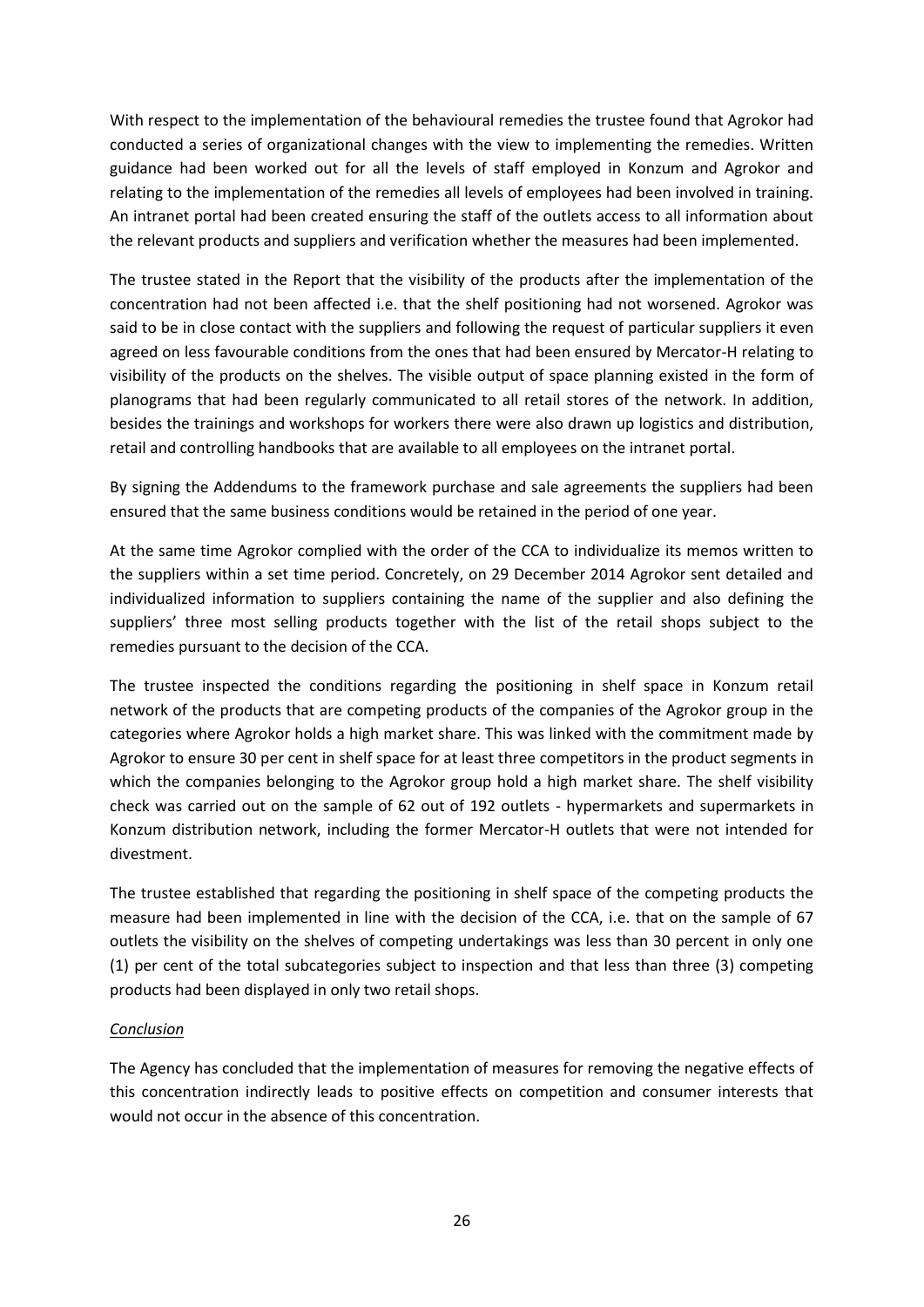With respect to the implementation of the behavioural remedies the trustee found that Agrokor had conducted a series of organizational changes with the view to implementing the remedies. Written guidance had been worked out for all the levels of staff employed in Konzum and Agrokor and relating to the implementation of the remedies all levels of employees had been involved in training. An intranet portal had been created ensuring the staff of the outlets access to all information about the relevant products and suppliers and verification whether the measures had been implemented.

The trustee stated in the Report that the visibility of the products after the implementation of the concentration had not been affected i.e. that the shelf positioning had not worsened. Agrokor was said to be in close contact with the suppliers and following the request of particular suppliers it even agreed on less favourable conditions from the ones that had been ensured by Mercator-H relating to visibility of the products on the shelves. The visible output of space planning existed in the form of planograms that had been regularly communicated to all retail stores of the network. In addition, besides the trainings and workshops for workers there were also drawn up logistics and distribution, retail and controlling handbooks that are available to all employees on the intranet portal.

By signing the Addendums to the framework purchase and sale agreements the suppliers had been ensured that the same business conditions would be retained in the period of one year.

At the same time Agrokor complied with the order of the CCA to individualize its memos written to the suppliers within a set time period. Concretely, on 29 December 2014 Agrokor sent detailed and individualized information to suppliers containing the name of the supplier and also defining the suppliers' three most selling products together with the list of the retail shops subject to the remedies pursuant to the decision of the CCA.

The trustee inspected the conditions regarding the positioning in shelf space in Konzum retail network of the products that are competing products of the companies of the Agrokor group in the categories where Agrokor holds a high market share. This was linked with the commitment made by Agrokor to ensure 30 per cent in shelf space for at least three competitors in the product segments in which the companies belonging to the Agrokor group hold a high market share. The shelf visibility check was carried out on the sample of 62 out of 192 outlets - hypermarkets and supermarkets in Konzum distribution network, including the former Mercator-H outlets that were not intended for divestment.

The trustee established that regarding the positioning in shelf space of the competing products the measure had been implemented in line with the decision of the CCA, i.e. that on the sample of 67 outlets the visibility on the shelves of competing undertakings was less than 30 percent in only one (1) per cent of the total subcategories subject to inspection and that less than three (3) competing products had been displayed in only two retail shops.

#### *Conclusion*

The Agency has concluded that the implementation of measures for removing the negative effects of this concentration indirectly leads to positive effects on competition and consumer interests that would not occur in the absence of this concentration.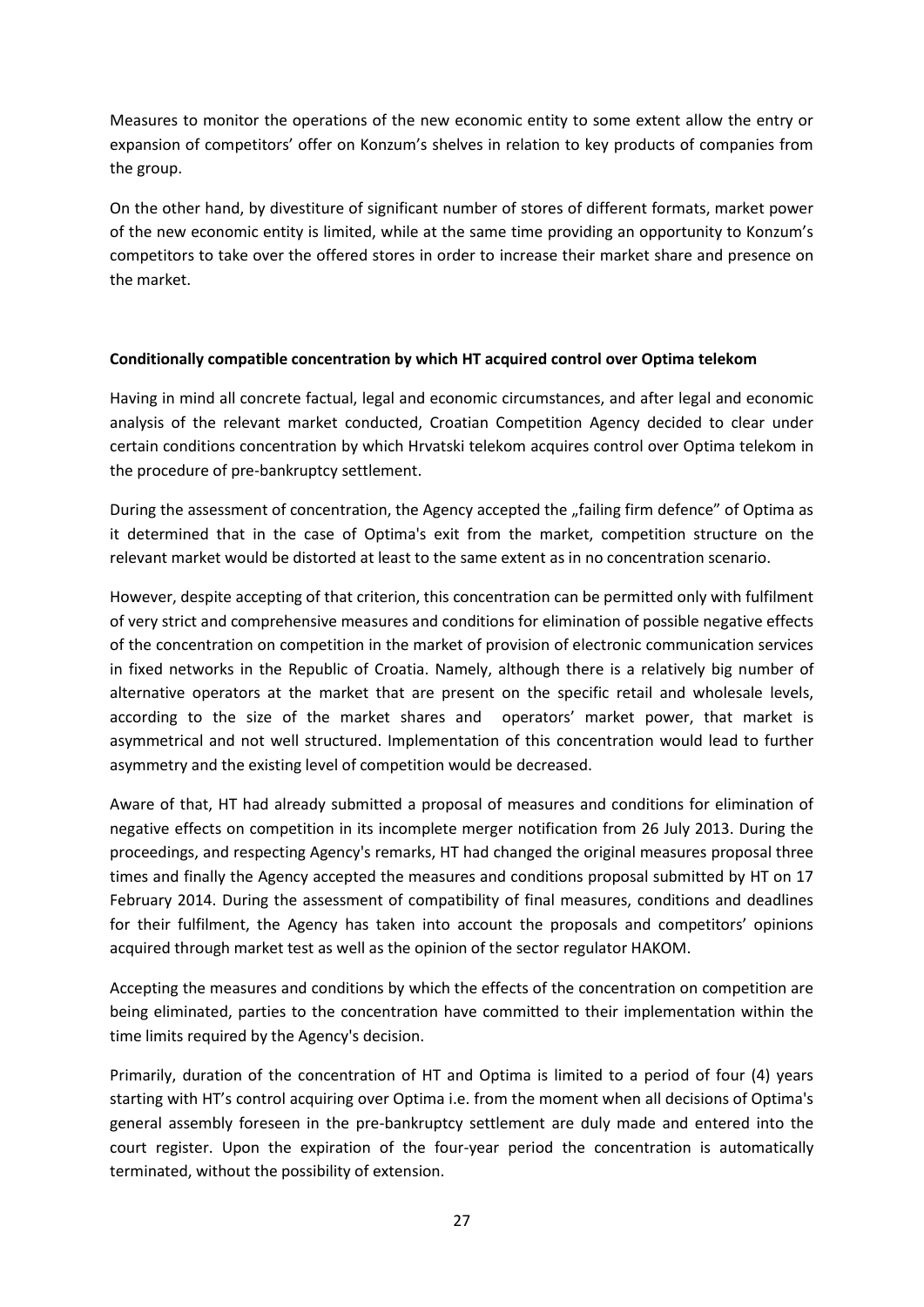Measures to monitor the operations of the new economic entity to some extent allow the entry or expansion of competitors' offer on Konzum's shelves in relation to key products of companies from the group.

On the other hand, by divestiture of significant number of stores of different formats, market power of the new economic entity is limited, while at the same time providing an opportunity to Konzum's competitors to take over the offered stores in order to increase their market share and presence on the market.

## **Conditionally compatible concentration by which HT acquired control over Optima telekom**

Having in mind all concrete factual, legal and economic circumstances, and after legal and economic analysis of the relevant market conducted, Croatian Competition Agency decided to clear under certain conditions concentration by which Hrvatski telekom acquires control over Optima telekom in the procedure of pre-bankruptcy settlement.

During the assessment of concentration, the Agency accepted the "failing firm defence" of Optima as it determined that in the case of Optima's exit from the market, competition structure on the relevant market would be distorted at least to the same extent as in no concentration scenario.

However, despite accepting of that criterion, this concentration can be permitted only with fulfilment of very strict and comprehensive measures and conditions for elimination of possible negative effects of the concentration on competition in the market of provision of electronic communication services in fixed networks in the Republic of Croatia. Namely, although there is a relatively big number of alternative operators at the market that are present on the specific retail and wholesale levels, according to the size of the market shares and operators' market power, that market is asymmetrical and not well structured. Implementation of this concentration would lead to further asymmetry and the existing level of competition would be decreased.

Aware of that, HT had already submitted a proposal of measures and conditions for elimination of negative effects on competition in its incomplete merger notification from 26 July 2013. During the proceedings, and respecting Agency's remarks, HT had changed the original measures proposal three times and finally the Agency accepted the measures and conditions proposal submitted by HT on 17 February 2014. During the assessment of compatibility of final measures, conditions and deadlines for their fulfilment, the Agency has taken into account the proposals and competitors' opinions acquired through market test as well as the opinion of the sector regulator HAKOM.

Accepting the measures and conditions by which the effects of the concentration on competition are being eliminated, parties to the concentration have committed to their implementation within the time limits required by the Agency's decision.

Primarily, duration of the concentration of HT and Optima is limited to a period of four (4) years starting with HT's control acquiring over Optima i.e. from the moment when all decisions of Optima's general assembly foreseen in the pre-bankruptcy settlement are duly made and entered into the court register. Upon the expiration of the four-year period the concentration is automatically terminated, without the possibility of extension.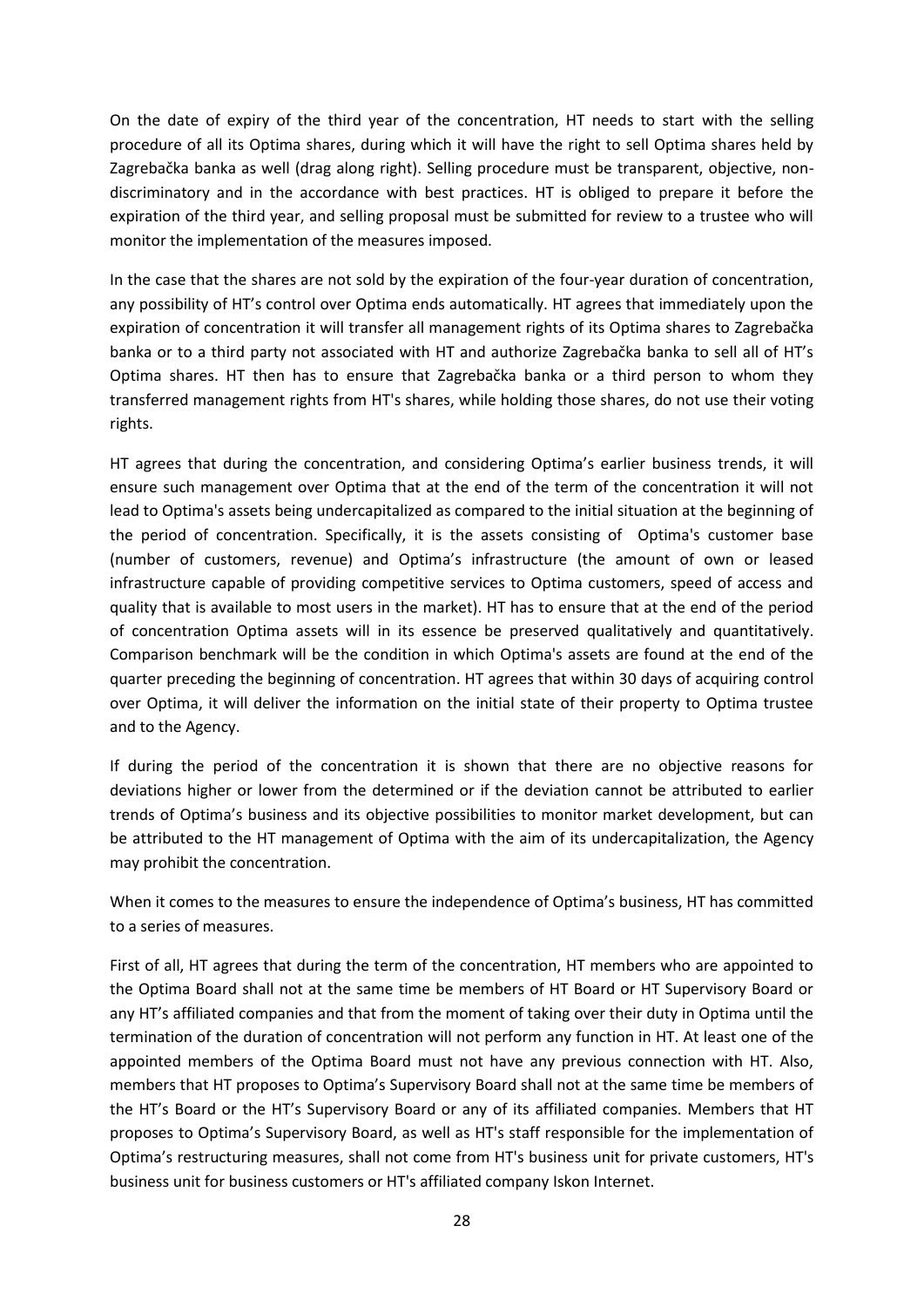On the date of expiry of the third year of the concentration, HT needs to start with the selling procedure of all its Optima shares, during which it will have the right to sell Optima shares held by Zagrebačka banka as well (drag along right). Selling procedure must be transparent, objective, nondiscriminatory and in the accordance with best practices. HT is obliged to prepare it before the expiration of the third year, and selling proposal must be submitted for review to a trustee who will monitor the implementation of the measures imposed.

In the case that the shares are not sold by the expiration of the four-year duration of concentration, any possibility of HT's control over Optima ends automatically. HT agrees that immediately upon the expiration of concentration it will transfer all management rights of its Optima shares to Zagrebačka banka or to a third party not associated with HT and authorize Zagrebačka banka to sell all of HT's Optima shares. HT then has to ensure that Zagrebačka banka or a third person to whom they transferred management rights from HT's shares, while holding those shares, do not use their voting rights.

HT agrees that during the concentration, and considering Optima's earlier business trends, it will ensure such management over Optima that at the end of the term of the concentration it will not lead to Optima's assets being undercapitalized as compared to the initial situation at the beginning of the period of concentration. Specifically, it is the assets consisting of Optima's customer base (number of customers, revenue) and Optima's infrastructure (the amount of own or leased infrastructure capable of providing competitive services to Optima customers, speed of access and quality that is available to most users in the market). HT has to ensure that at the end of the period of concentration Optima assets will in its essence be preserved qualitatively and quantitatively. Comparison benchmark will be the condition in which Optima's assets are found at the end of the quarter preceding the beginning of concentration. HT agrees that within 30 days of acquiring control over Optima, it will deliver the information on the initial state of their property to Optima trustee and to the Agency.

If during the period of the concentration it is shown that there are no objective reasons for deviations higher or lower from the determined or if the deviation cannot be attributed to earlier trends of Optima's business and its objective possibilities to monitor market development, but can be attributed to the HT management of Optima with the aim of its undercapitalization, the Agency may prohibit the concentration.

When it comes to the measures to ensure the independence of Optima's business, HT has committed to a series of measures.

First of all, HT agrees that during the term of the concentration, HT members who are appointed to the Optima Board shall not at the same time be members of HT Board or HT Supervisory Board or any HT's affiliated companies and that from the moment of taking over their duty in Optima until the termination of the duration of concentration will not perform any function in HT. At least one of the appointed members of the Optima Board must not have any previous connection with HT. Also, members that HT proposes to Optima's Supervisory Board shall not at the same time be members of the HT's Board or the HT's Supervisory Board or any of its affiliated companies. Members that HT proposes to Optima's Supervisory Board, as well as HT's staff responsible for the implementation of Optima's restructuring measures, shall not come from HT's business unit for private customers, HT's business unit for business customers or HT's affiliated company Iskon Internet.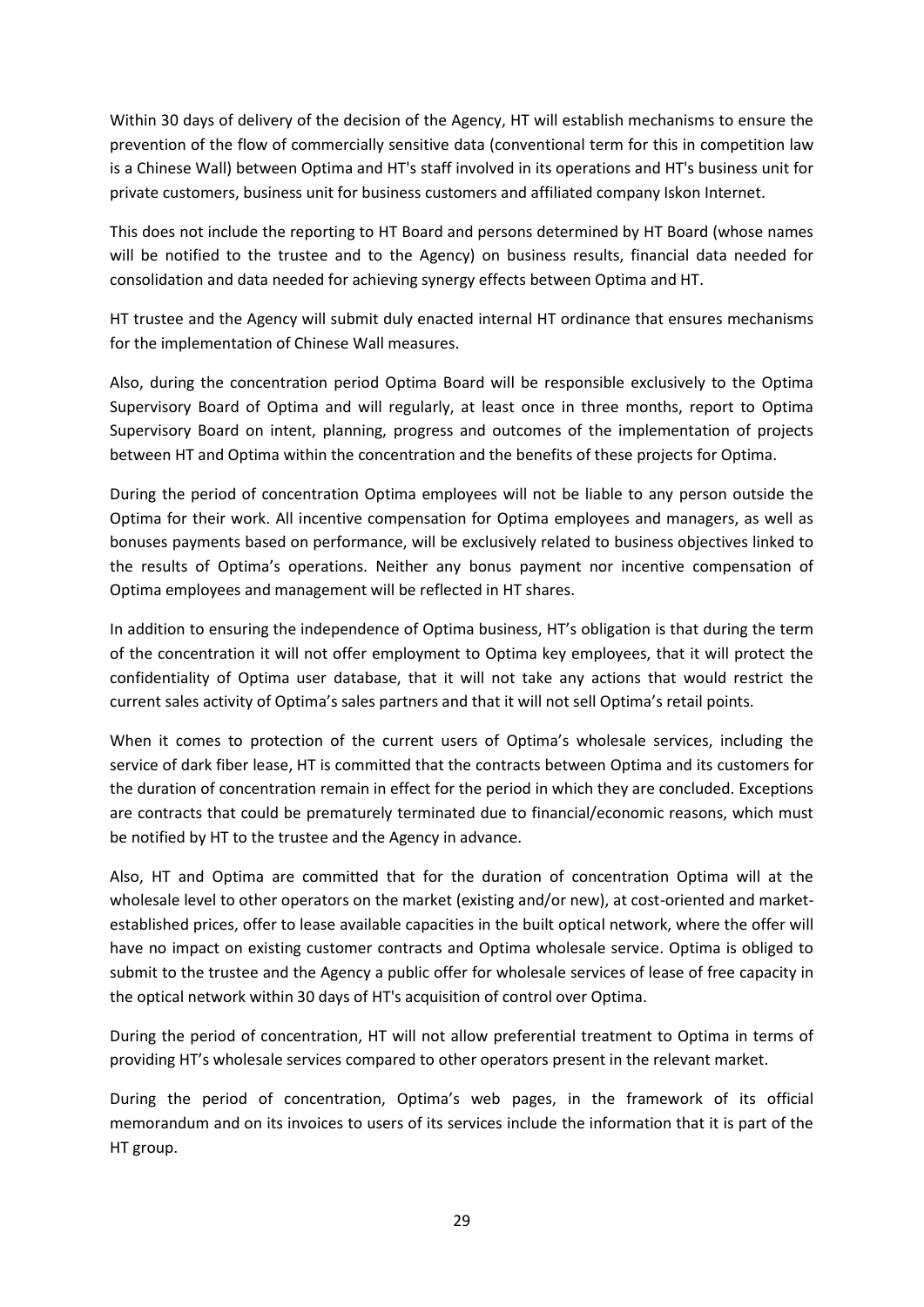Within 30 days of delivery of the decision of the Agency, HT will establish mechanisms to ensure the prevention of the flow of commercially sensitive data (conventional term for this in competition law is a Chinese Wall) between Optima and HT's staff involved in its operations and HT's business unit for private customers, business unit for business customers and affiliated company Iskon Internet.

This does not include the reporting to HT Board and persons determined by HT Board (whose names will be notified to the trustee and to the Agency) on business results, financial data needed for consolidation and data needed for achieving synergy effects between Optima and HT.

HT trustee and the Agency will submit duly enacted internal HT ordinance that ensures mechanisms for the implementation of Chinese Wall measures.

Also, during the concentration period Optima Board will be responsible exclusively to the Optima Supervisory Board of Optima and will regularly, at least once in three months, report to Optima Supervisory Board on intent, planning, progress and outcomes of the implementation of projects between HT and Optima within the concentration and the benefits of these projects for Optima.

During the period of concentration Optima employees will not be liable to any person outside the Optima for their work. All incentive compensation for Optima employees and managers, as well as bonuses payments based on performance, will be exclusively related to business objectives linked to the results of Optima's operations. Neither any bonus payment nor incentive compensation of Optima employees and management will be reflected in HT shares.

In addition to ensuring the independence of Optima business, HT's obligation is that during the term of the concentration it will not offer employment to Optima key employees, that it will protect the confidentiality of Optima user database, that it will not take any actions that would restrict the current sales activity of Optima's sales partners and that it will not sell Optima's retail points.

When it comes to protection of the current users of Optima's wholesale services, including the service of dark fiber lease, HT is committed that the contracts between Optima and its customers for the duration of concentration remain in effect for the period in which they are concluded. Exceptions are contracts that could be prematurely terminated due to financial/economic reasons, which must be notified by HT to the trustee and the Agency in advance.

Also, HT and Optima are committed that for the duration of concentration Optima will at the wholesale level to other operators on the market (existing and/or new), at cost-oriented and marketestablished prices, offer to lease available capacities in the built optical network, where the offer will have no impact on existing customer contracts and Optima wholesale service. Optima is obliged to submit to the trustee and the Agency a public offer for wholesale services of lease of free capacity in the optical network within 30 days of HT's acquisition of control over Optima.

During the period of concentration, HT will not allow preferential treatment to Optima in terms of providing HT's wholesale services compared to other operators present in the relevant market.

During the period of concentration, Optima's web pages, in the framework of its official memorandum and on its invoices to users of its services include the information that it is part of the HT group.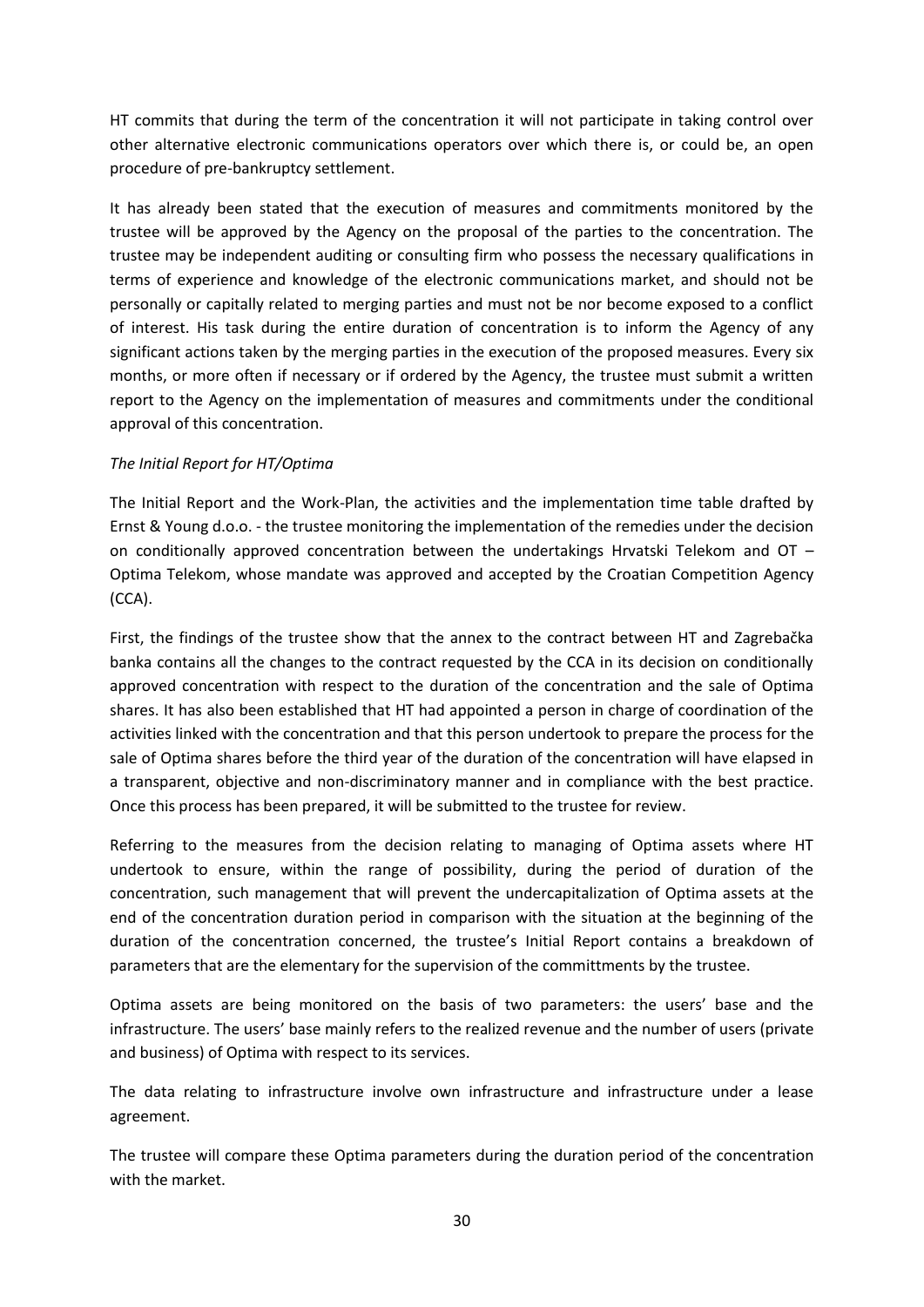HT commits that during the term of the concentration it will not participate in taking control over other alternative electronic communications operators over which there is, or could be, an open procedure of pre-bankruptcy settlement.

It has already been stated that the execution of measures and commitments monitored by the trustee will be approved by the Agency on the proposal of the parties to the concentration. The trustee may be independent auditing or consulting firm who possess the necessary qualifications in terms of experience and knowledge of the electronic communications market, and should not be personally or capitally related to merging parties and must not be nor become exposed to a conflict of interest. His task during the entire duration of concentration is to inform the Agency of any significant actions taken by the merging parties in the execution of the proposed measures. Every six months, or more often if necessary or if ordered by the Agency, the trustee must submit a written report to the Agency on the implementation of measures and commitments under the conditional approval of this concentration.

## *The Initial Report for HT/Optima*

The Initial Report and the Work-Plan, the activities and the implementation time table drafted by Ernst & Young d.o.o. - the trustee monitoring the implementation of the remedies under the decision on conditionally approved concentration between the undertakings Hrvatski Telekom and OT – Optima Telekom, whose mandate was approved and accepted by the Croatian Competition Agency (CCA).

First, the findings of the trustee show that the annex to the contract between HT and Zagrebačka banka contains all the changes to the contract requested by the CCA in its decision on conditionally approved concentration with respect to the duration of the concentration and the sale of Optima shares. It has also been established that HT had appointed a person in charge of coordination of the activities linked with the concentration and that this person undertook to prepare the process for the sale of Optima shares before the third year of the duration of the concentration will have elapsed in a transparent, objective and non-discriminatory manner and in compliance with the best practice. Once this process has been prepared, it will be submitted to the trustee for review.

Referring to the measures from the decision relating to managing of Optima assets where HT undertook to ensure, within the range of possibility, during the period of duration of the concentration, such management that will prevent the undercapitalization of Optima assets at the end of the concentration duration period in comparison with the situation at the beginning of the duration of the concentration concerned, the trustee's Initial Report contains a breakdown of parameters that are the elementary for the supervision of the committments by the trustee.

Optima assets are being monitored on the basis of two parameters: the users' base and the infrastructure. The users' base mainly refers to the realized revenue and the number of users (private and business) of Optima with respect to its services.

The data relating to infrastructure involve own infrastructure and infrastructure under a lease agreement.

The trustee will compare these Optima parameters during the duration period of the concentration with the market.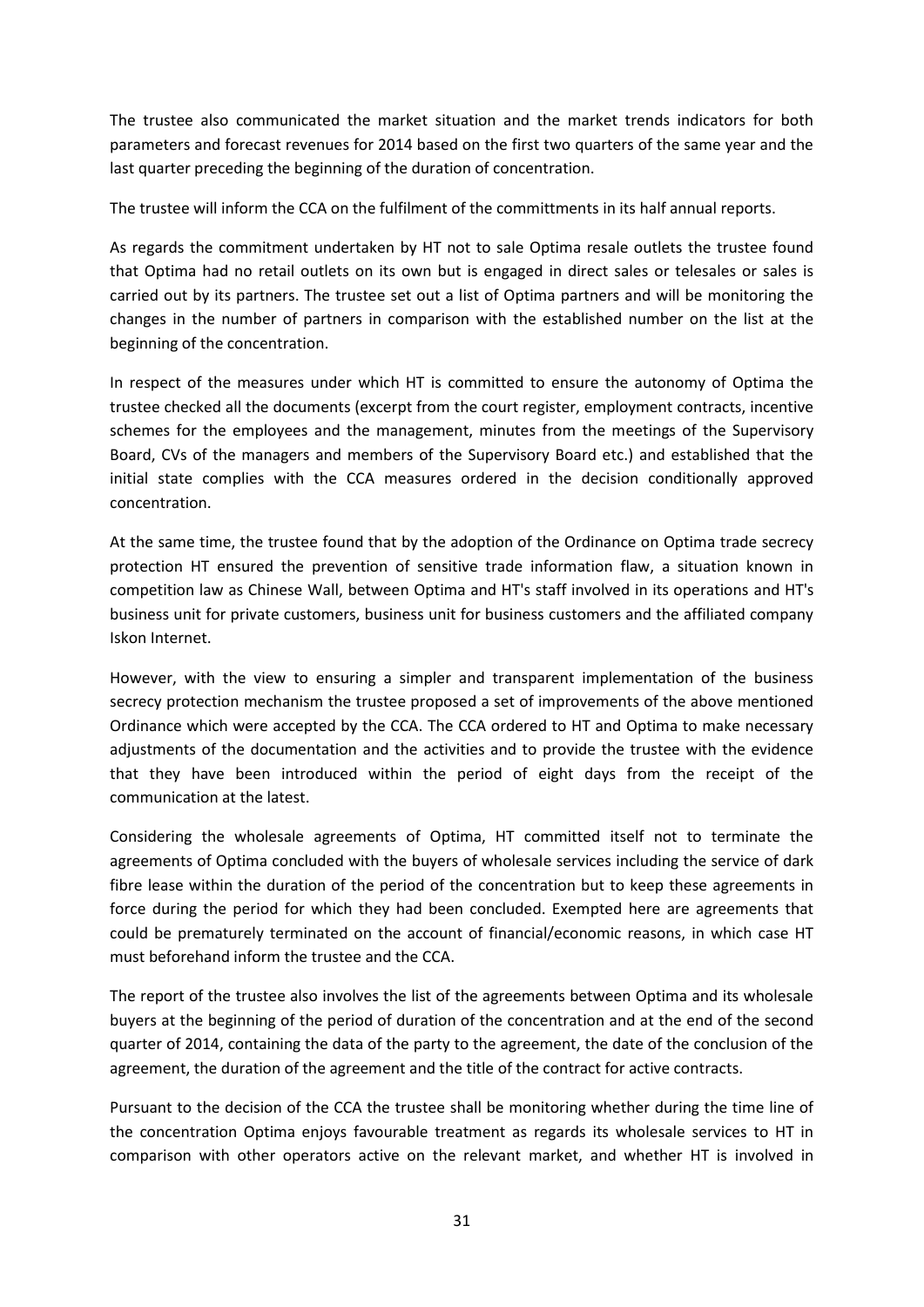The trustee also communicated the market situation and the market trends indicators for both parameters and forecast revenues for 2014 based on the first two quarters of the same year and the last quarter preceding the beginning of the duration of concentration.

The trustee will inform the CCA on the fulfilment of the committments in its half annual reports.

As regards the commitment undertaken by HT not to sale Optima resale outlets the trustee found that Optima had no retail outlets on its own but is engaged in direct sales or telesales or sales is carried out by its partners. The trustee set out a list of Optima partners and will be monitoring the changes in the number of partners in comparison with the established number on the list at the beginning of the concentration.

In respect of the measures under which HT is committed to ensure the autonomy of Optima the trustee checked all the documents (excerpt from the court register, employment contracts, incentive schemes for the employees and the management, minutes from the meetings of the Supervisory Board, CVs of the managers and members of the Supervisory Board etc.) and established that the initial state complies with the CCA measures ordered in the decision conditionally approved concentration.

At the same time, the trustee found that by the adoption of the Ordinance on Optima trade secrecy protection HT ensured the prevention of sensitive trade information flaw, a situation known in competition law as Chinese Wall, between Optima and HT's staff involved in its operations and HT's business unit for private customers, business unit for business customers and the affiliated company Iskon Internet.

However, with the view to ensuring a simpler and transparent implementation of the business secrecy protection mechanism the trustee proposed a set of improvements of the above mentioned Ordinance which were accepted by the CCA. The CCA ordered to HT and Optima to make necessary adjustments of the documentation and the activities and to provide the trustee with the evidence that they have been introduced within the period of eight days from the receipt of the communication at the latest.

Considering the wholesale agreements of Optima, HT committed itself not to terminate the agreements of Optima concluded with the buyers of wholesale services including the service of dark fibre lease within the duration of the period of the concentration but to keep these agreements in force during the period for which they had been concluded. Exempted here are agreements that could be prematurely terminated on the account of financial/economic reasons, in which case HT must beforehand inform the trustee and the CCA.

The report of the trustee also involves the list of the agreements between Optima and its wholesale buyers at the beginning of the period of duration of the concentration and at the end of the second quarter of 2014, containing the data of the party to the agreement, the date of the conclusion of the agreement, the duration of the agreement and the title of the contract for active contracts.

Pursuant to the decision of the CCA the trustee shall be monitoring whether during the time line of the concentration Optima enjoys favourable treatment as regards its wholesale services to HT in comparison with other operators active on the relevant market, and whether HT is involved in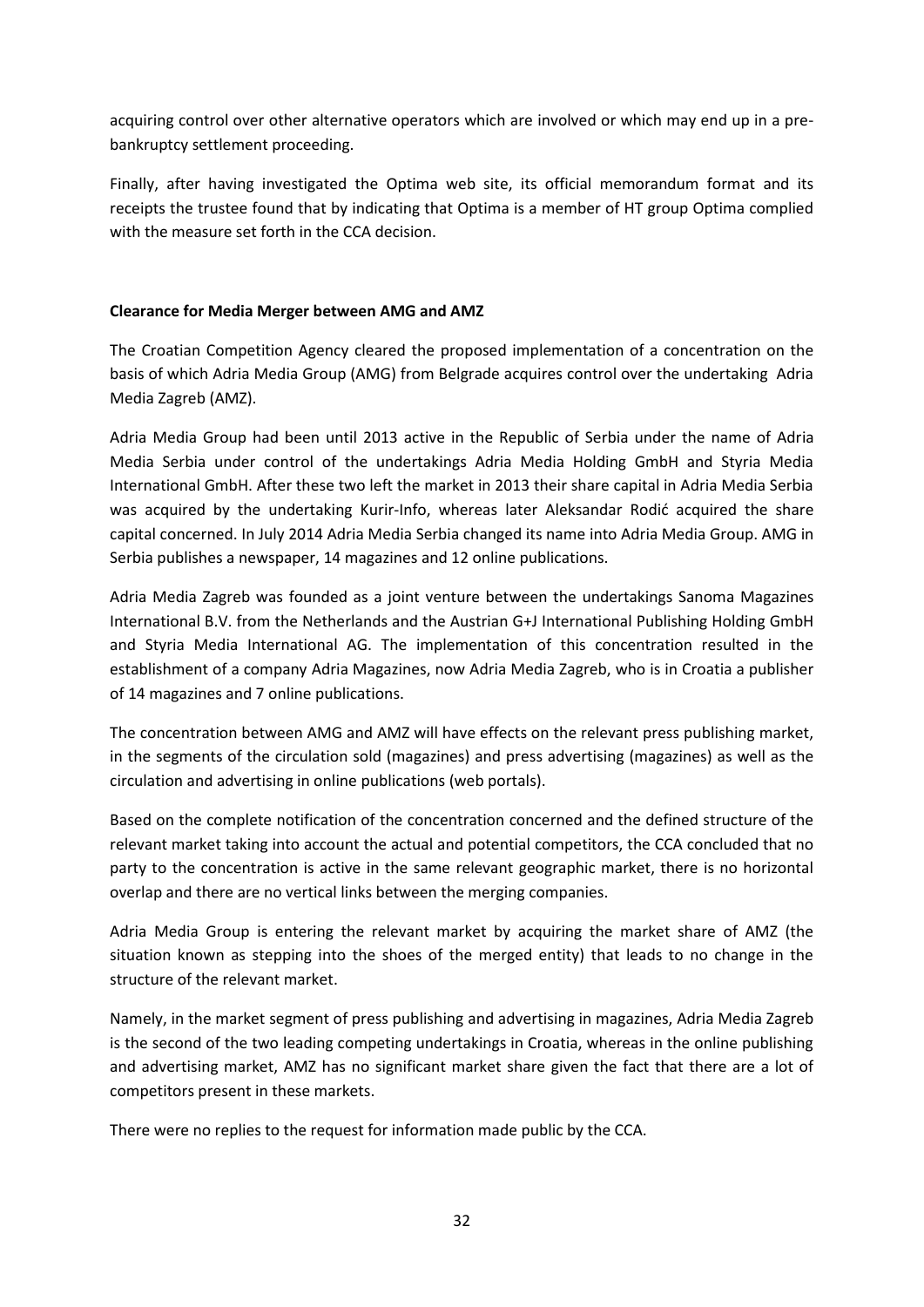acquiring control over other alternative operators which are involved or which may end up in a prebankruptcy settlement proceeding.

Finally, after having investigated the Optima web site, its official memorandum format and its receipts the trustee found that by indicating that Optima is a member of HT group Optima complied with the measure set forth in the CCA decision.

## **Clearance for Media Merger between AMG and AMZ**

The Croatian Competition Agency cleared the proposed implementation of a concentration on the basis of which Adria Media Group (AMG) from Belgrade acquires control over the undertaking Adria Media Zagreb (AMZ).

Adria Media Group had been until 2013 active in the Republic of Serbia under the name of Adria Media Serbia under control of the undertakings Adria Media Holding GmbH and Styria Media International GmbH. After these two left the market in 2013 their share capital in Adria Media Serbia was acquired by the undertaking Kurir-Info, whereas later Aleksandar Rodić acquired the share capital concerned. In July 2014 Adria Media Serbia changed its name into Adria Media Group. AMG in Serbia publishes a newspaper, 14 magazines and 12 online publications.

Adria Media Zagreb was founded as a joint venture between the undertakings Sanoma Magazines International B.V. from the Netherlands and the Austrian G+J International Publishing Holding GmbH and Styria Media International AG. The implementation of this concentration resulted in the establishment of a company Adria Magazines, now Adria Media Zagreb, who is in Croatia a publisher of 14 magazines and 7 online publications.

The concentration between AMG and AMZ will have effects on the relevant press publishing market, in the segments of the circulation sold (magazines) and press advertising (magazines) as well as the circulation and advertising in online publications (web portals).

Based on the complete notification of the concentration concerned and the defined structure of the relevant market taking into account the actual and potential competitors, the CCA concluded that no party to the concentration is active in the same relevant geographic market, there is no horizontal overlap and there are no vertical links between the merging companies.

Adria Media Group is entering the relevant market by acquiring the market share of AMZ (the situation known as stepping into the shoes of the merged entity) that leads to no change in the structure of the relevant market.

Namely, in the market segment of press publishing and advertising in magazines, Adria Media Zagreb is the second of the two leading competing undertakings in Croatia, whereas in the online publishing and advertising market, AMZ has no significant market share given the fact that there are a lot of competitors present in these markets.

There were no replies to the request for information made public by the CCA.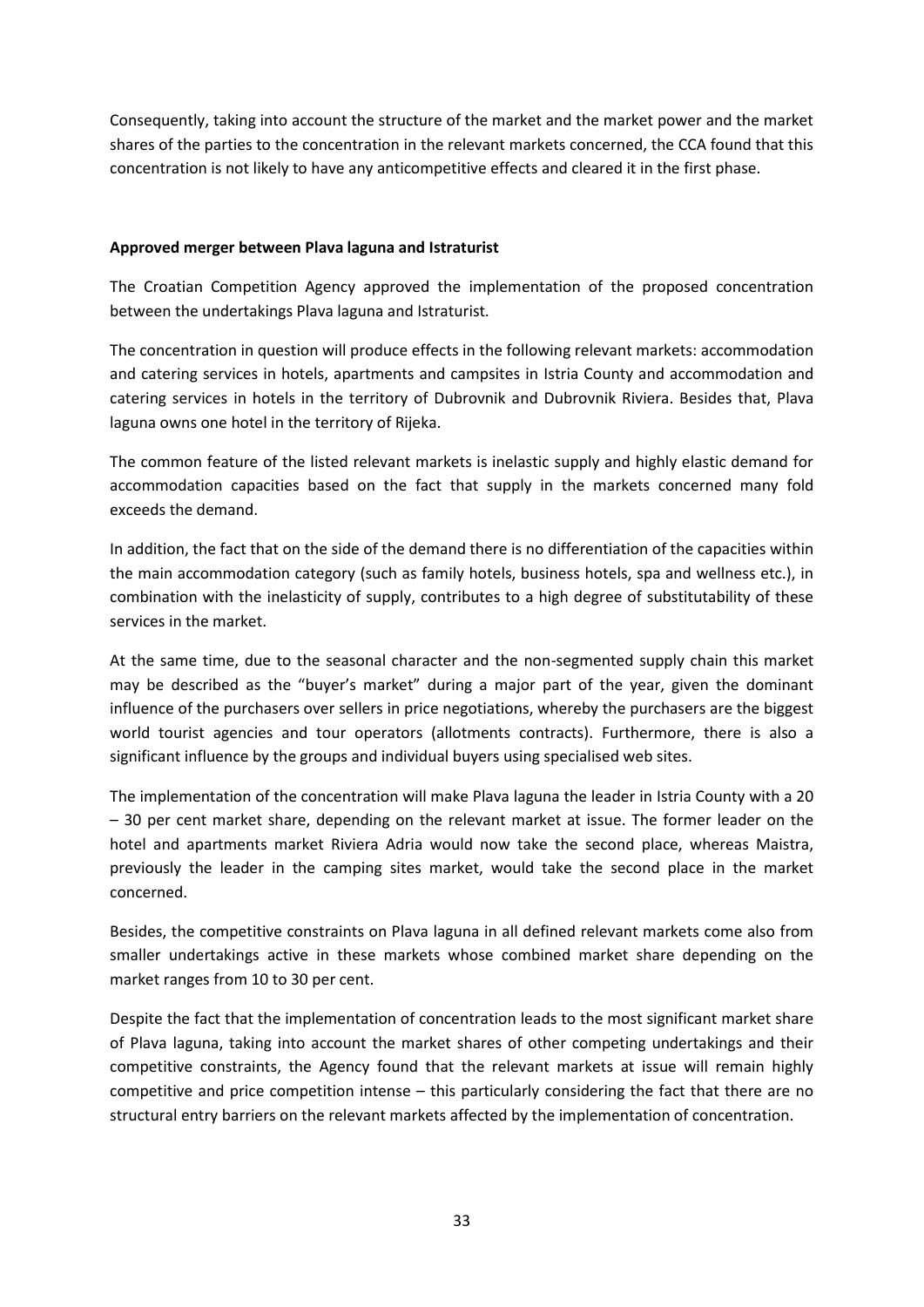Consequently, taking into account the structure of the market and the market power and the market shares of the parties to the concentration in the relevant markets concerned, the CCA found that this concentration is not likely to have any anticompetitive effects and cleared it in the first phase.

### **Approved merger between Plava laguna and Istraturist**

The Croatian Competition Agency approved the implementation of the proposed concentration between the undertakings Plava laguna and Istraturist.

The concentration in question will produce effects in the following relevant markets: accommodation and catering services in hotels, apartments and campsites in Istria County and accommodation and catering services in hotels in the territory of Dubrovnik and Dubrovnik Riviera. Besides that, Plava laguna owns one hotel in the territory of Rijeka.

The common feature of the listed relevant markets is inelastic supply and highly elastic demand for accommodation capacities based on the fact that supply in the markets concerned many fold exceeds the demand.

In addition, the fact that on the side of the demand there is no differentiation of the capacities within the main accommodation category (such as family hotels, business hotels, spa and wellness etc.), in combination with the inelasticity of supply, contributes to a high degree of substitutability of these services in the market.

At the same time, due to the seasonal character and the non-segmented supply chain this market may be described as the "buyer's market" during a major part of the year, given the dominant influence of the purchasers over sellers in price negotiations, whereby the purchasers are the biggest world tourist agencies and tour operators (allotments contracts). Furthermore, there is also a significant influence by the groups and individual buyers using specialised web sites.

The implementation of the concentration will make Plava laguna the leader in Istria County with a 20 – 30 per cent market share, depending on the relevant market at issue. The former leader on the hotel and apartments market Riviera Adria would now take the second place, whereas Maistra, previously the leader in the camping sites market, would take the second place in the market concerned.

Besides, the competitive constraints on Plava laguna in all defined relevant markets come also from smaller undertakings active in these markets whose combined market share depending on the market ranges from 10 to 30 per cent.

Despite the fact that the implementation of concentration leads to the most significant market share of Plava laguna, taking into account the market shares of other competing undertakings and their competitive constraints, the Agency found that the relevant markets at issue will remain highly competitive and price competition intense – this particularly considering the fact that there are no structural entry barriers on the relevant markets affected by the implementation of concentration.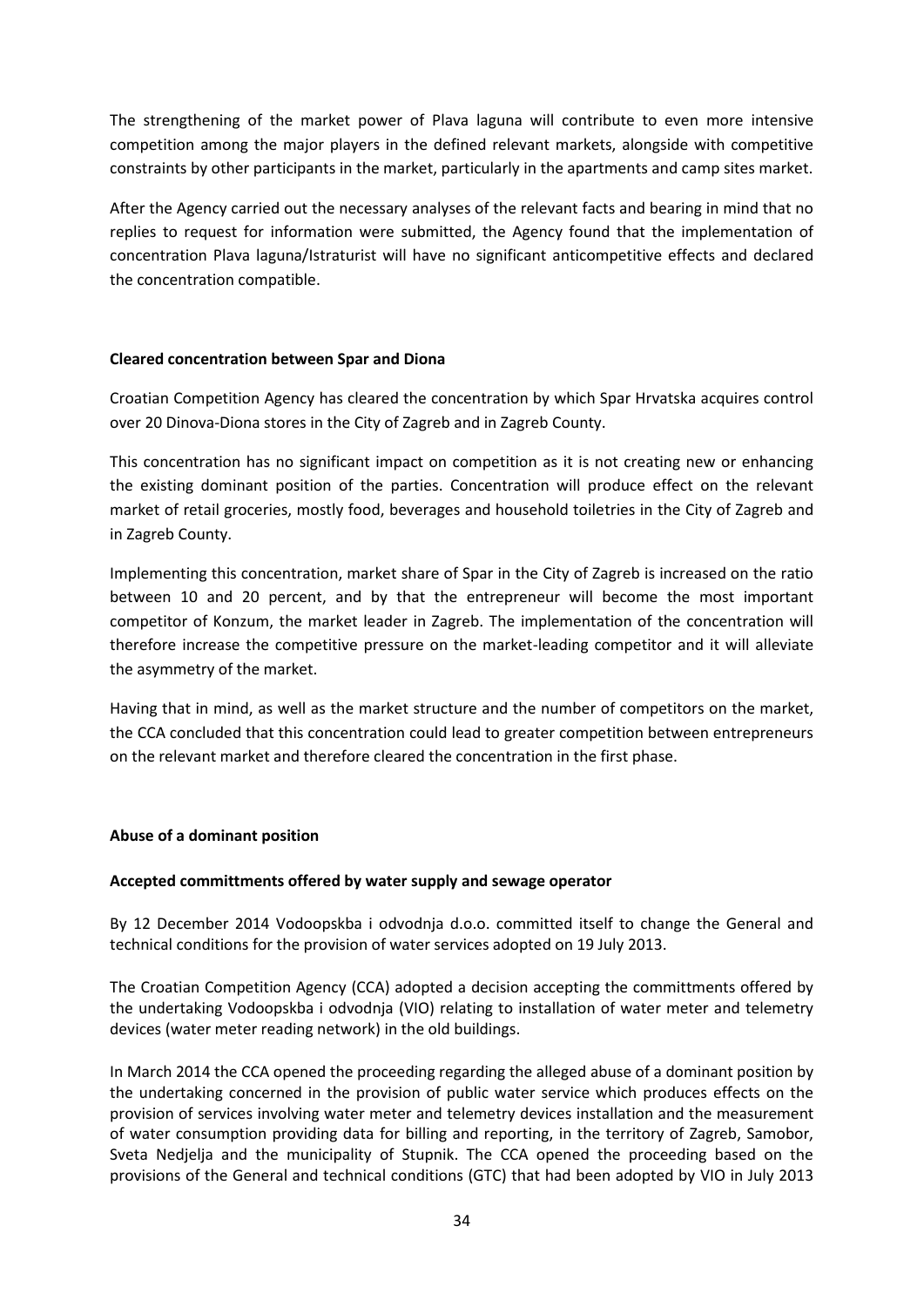The strengthening of the market power of Plava laguna will contribute to even more intensive competition among the major players in the defined relevant markets, alongside with competitive constraints by other participants in the market, particularly in the apartments and camp sites market.

After the Agency carried out the necessary analyses of the relevant facts and bearing in mind that no replies to request for information were submitted, the Agency found that the implementation of concentration Plava laguna/Istraturist will have no significant anticompetitive effects and declared the concentration compatible.

#### **Cleared concentration between Spar and Diona**

Croatian Competition Agency has cleared the concentration by which Spar Hrvatska acquires control over 20 Dinova-Diona stores in the City of Zagreb and in Zagreb County.

This concentration has no significant impact on competition as it is not creating new or enhancing the existing dominant position of the parties. Concentration will produce effect on the relevant market of retail groceries, mostly food, beverages and household toiletries in the City of Zagreb and in Zagreb County.

Implementing this concentration, market share of Spar in the City of Zagreb is increased on the ratio between 10 and 20 percent, and by that the entrepreneur will become the most important competitor of Konzum, the market leader in Zagreb. The implementation of the concentration will therefore increase the competitive pressure on the market-leading competitor and it will alleviate the asymmetry of the market.

Having that in mind, as well as the market structure and the number of competitors on the market, the CCA concluded that this concentration could lead to greater competition between entrepreneurs on the relevant market and therefore cleared the concentration in the first phase.

## **Abuse of a dominant position**

#### **Accepted committments offered by water supply and sewage operator**

By 12 December 2014 Vodoopskba i odvodnja d.o.o. committed itself to change the General and technical conditions for the provision of water services adopted on 19 July 2013.

The Croatian Competition Agency (CCA) adopted a decision accepting the committments offered by the undertaking Vodoopskba i odvodnja (VIO) relating to installation of water meter and telemetry devices (water meter reading network) in the old buildings.

In March 2014 the CCA opened the proceeding regarding the alleged abuse of a dominant position by the undertaking concerned in the provision of public water service which produces effects on the provision of services involving water meter and telemetry devices installation and the measurement of water consumption providing data for billing and reporting, in the territory of Zagreb, Samobor, Sveta Nedjelja and the municipality of Stupnik. The CCA opened the proceeding based on the provisions of the General and technical conditions (GTC) that had been adopted by VIO in July 2013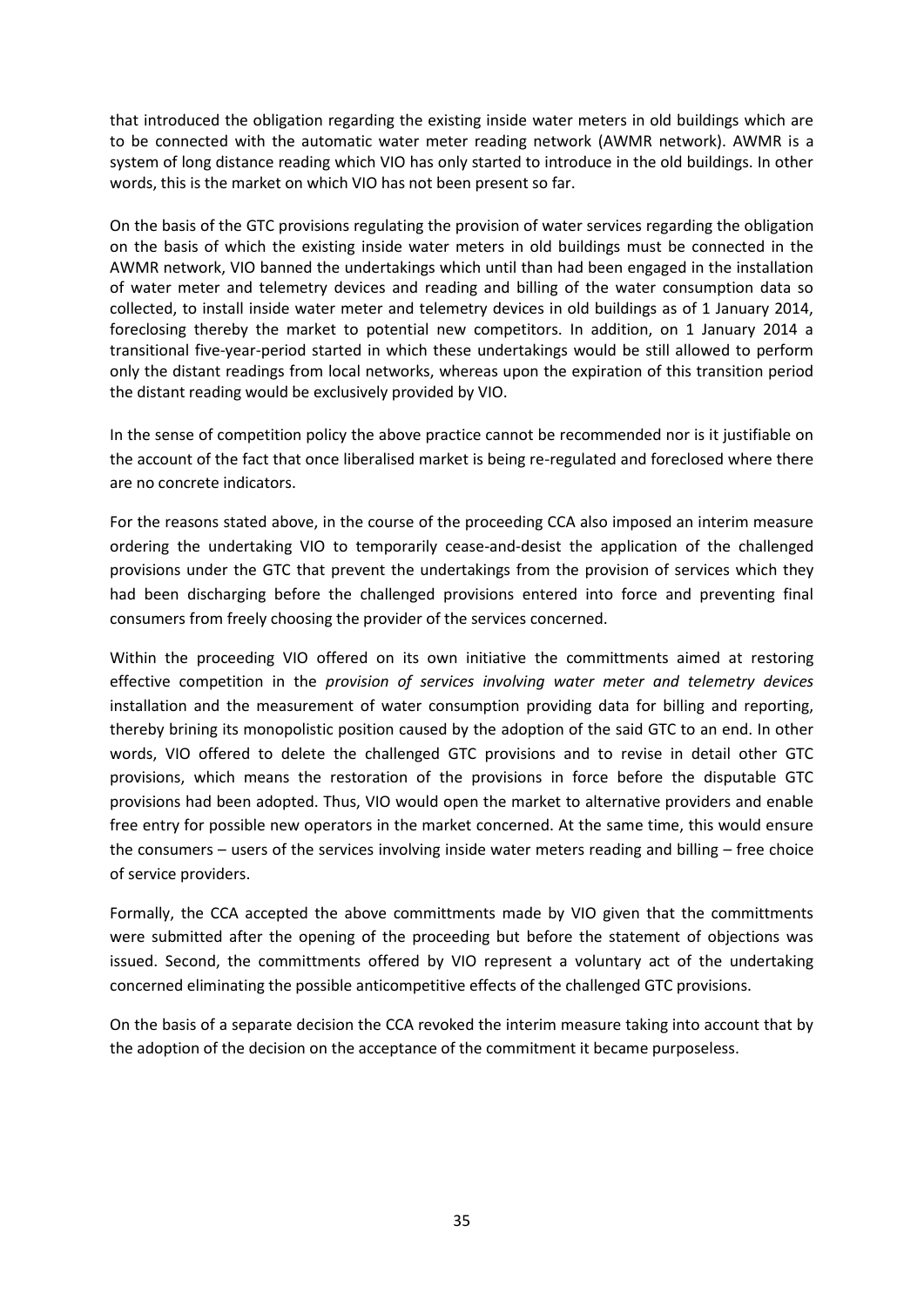that introduced the obligation regarding the existing inside water meters in old buildings which are to be connected with the automatic water meter reading network (AWMR network). AWMR is a system of long distance reading which VIO has only started to introduce in the old buildings. In other words, this is the market on which VIO has not been present so far.

On the basis of the GTC provisions regulating the provision of water services regarding the obligation on the basis of which the existing inside water meters in old buildings must be connected in the AWMR network, VIO banned the undertakings which until than had been engaged in the installation of water meter and telemetry devices and reading and billing of the water consumption data so collected, to install inside water meter and telemetry devices in old buildings as of 1 January 2014, foreclosing thereby the market to potential new competitors. In addition, on 1 January 2014 a transitional five-year-period started in which these undertakings would be still allowed to perform only the distant readings from local networks, whereas upon the expiration of this transition period the distant reading would be exclusively provided by VIO.

In the sense of competition policy the above practice cannot be recommended nor is it justifiable on the account of the fact that once liberalised market is being re-regulated and foreclosed where there are no concrete indicators.

For the reasons stated above, in the course of the proceeding CCA also imposed an interim measure ordering the undertaking VIO to temporarily cease-and-desist the application of the challenged provisions under the GTC that prevent the undertakings from the provision of services which they had been discharging before the challenged provisions entered into force and preventing final consumers from freely choosing the provider of the services concerned.

Within the proceeding VIO offered on its own initiative the committments aimed at restoring effective competition in the *provision of services involving water meter and telemetry devices* installation and the measurement of water consumption providing data for billing and reporting, thereby brining its monopolistic position caused by the adoption of the said GTC to an end. In other words, VIO offered to delete the challenged GTC provisions and to revise in detail other GTC provisions, which means the restoration of the provisions in force before the disputable GTC provisions had been adopted. Thus, VIO would open the market to alternative providers and enable free entry for possible new operators in the market concerned. At the same time, this would ensure the consumers – users of the services involving inside water meters reading and billing – free choice of service providers.

Formally, the CCA accepted the above committments made by VIO given that the committments were submitted after the opening of the proceeding but before the statement of objections was issued. Second, the committments offered by VIO represent a voluntary act of the undertaking concerned eliminating the possible anticompetitive effects of the challenged GTC provisions.

On the basis of a separate decision the CCA revoked the interim measure taking into account that by the adoption of the decision on the acceptance of the commitment it became purposeless.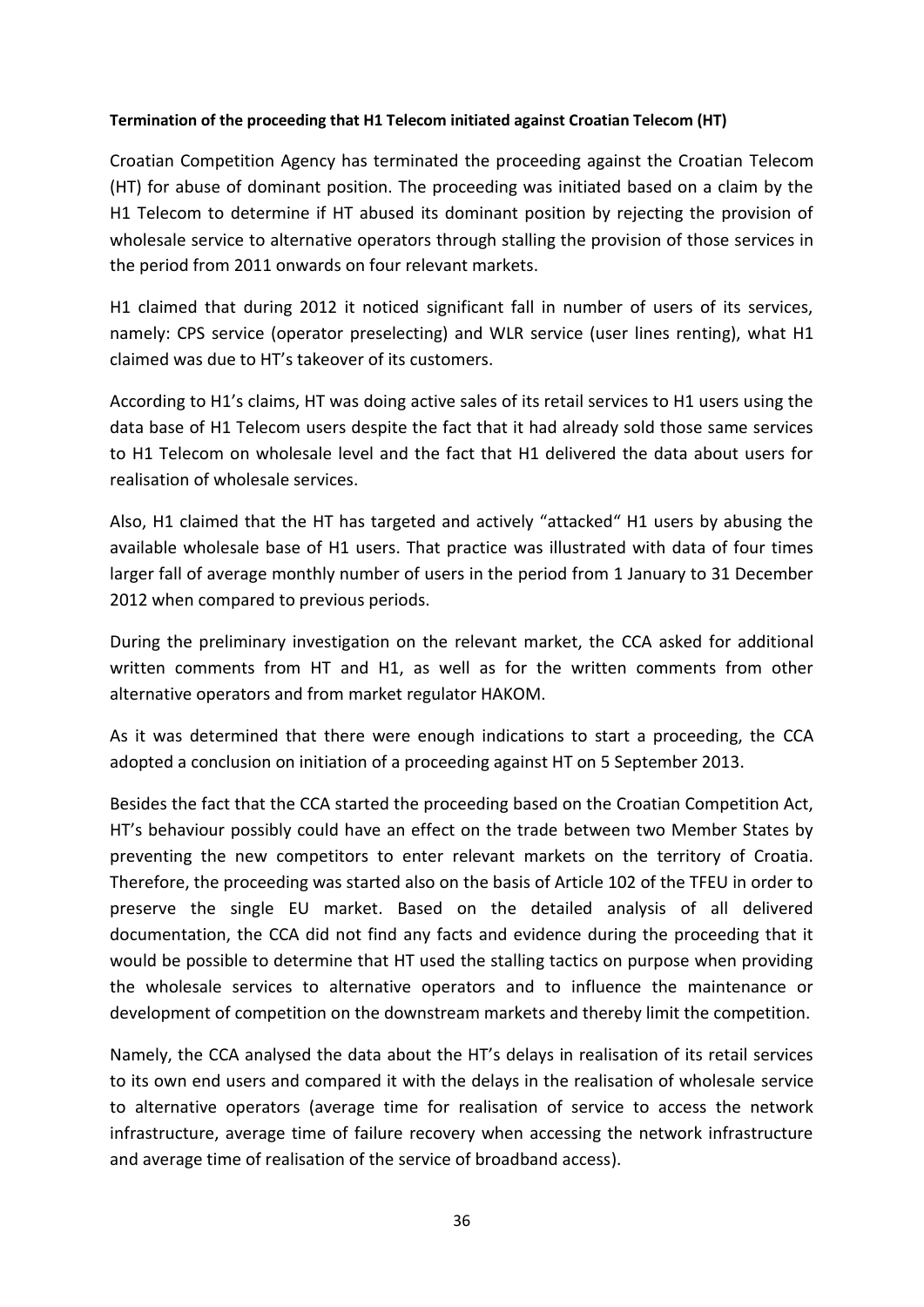## **Termination of the proceeding that H1 Telecom initiated against Croatian Telecom (HT)**

Croatian Competition Agency has terminated the proceeding against the Croatian Telecom (HT) for abuse of dominant position. The proceeding was initiated based on a claim by the H1 Telecom to determine if HT abused its dominant position by rejecting the provision of wholesale service to alternative operators through stalling the provision of those services in the period from 2011 onwards on four relevant markets.

H1 claimed that during 2012 it noticed significant fall in number of users of its services, namely: CPS service (operator preselecting) and WLR service (user lines renting), what H1 claimed was due to HT's takeover of its customers.

According to H1's claims, HT was doing active sales of its retail services to H1 users using the data base of H1 Telecom users despite the fact that it had already sold those same services to H1 Telecom on wholesale level and the fact that H1 delivered the data about users for realisation of wholesale services.

Also, H1 claimed that the HT has targeted and actively "attacked" H1 users by abusing the available wholesale base of H1 users. That practice was illustrated with data of four times larger fall of average monthly number of users in the period from 1 January to 31 December 2012 when compared to previous periods.

During the preliminary investigation on the relevant market, the CCA asked for additional written comments from HT and H1, as well as for the written comments from other alternative operators and from market regulator HAKOM.

As it was determined that there were enough indications to start a proceeding, the CCA adopted a conclusion on initiation of a proceeding against HT on 5 September 2013.

Besides the fact that the CCA started the proceeding based on the Croatian Competition Act, HT's behaviour possibly could have an effect on the trade between two Member States by preventing the new competitors to enter relevant markets on the territory of Croatia. Therefore, the proceeding was started also on the basis of Article 102 of the TFEU in order to preserve the single EU market. Based on the detailed analysis of all delivered documentation, the CCA did not find any facts and evidence during the proceeding that it would be possible to determine that HT used the stalling tactics on purpose when providing the wholesale services to alternative operators and to influence the maintenance or development of competition on the downstream markets and thereby limit the competition.

Namely, the CCA analysed the data about the HT's delays in realisation of its retail services to its own end users and compared it with the delays in the realisation of wholesale service to alternative operators (average time for realisation of service to access the network infrastructure, average time of failure recovery when accessing the network infrastructure and average time of realisation of the service of broadband access).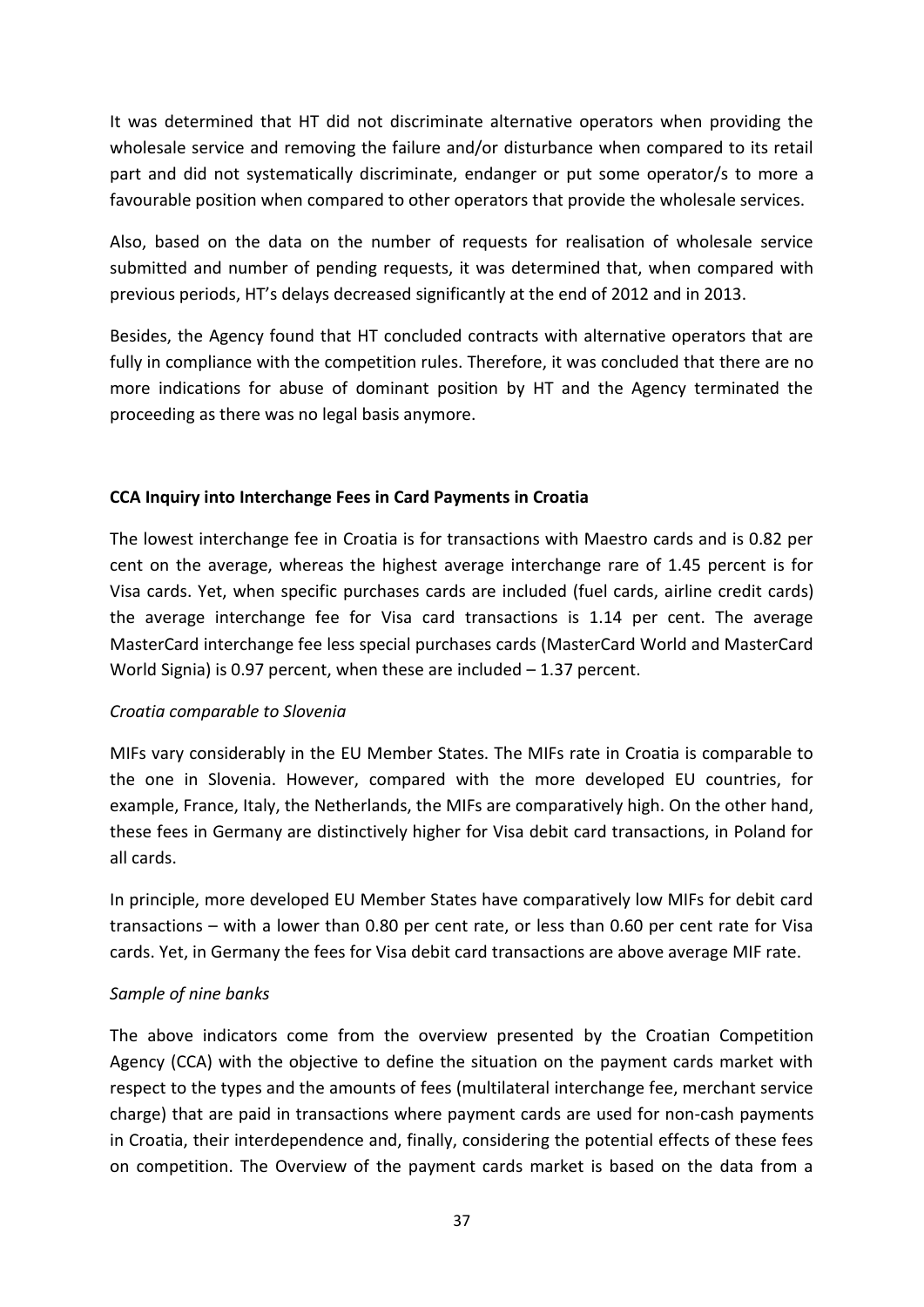It was determined that HT did not discriminate alternative operators when providing the wholesale service and removing the failure and/or disturbance when compared to its retail part and did not systematically discriminate, endanger or put some operator/s to more a favourable position when compared to other operators that provide the wholesale services.

Also, based on the data on the number of requests for realisation of wholesale service submitted and number of pending requests, it was determined that, when compared with previous periods, HT's delays decreased significantly at the end of 2012 and in 2013.

Besides, the Agency found that HT concluded contracts with alternative operators that are fully in compliance with the competition rules. Therefore, it was concluded that there are no more indications for abuse of dominant position by HT and the Agency terminated the proceeding as there was no legal basis anymore.

## **CCA Inquiry into Interchange Fees in Card Payments in Croatia**

The lowest interchange fee in Croatia is for transactions with Maestro cards and is 0.82 per cent on the average, whereas the highest average interchange rare of 1.45 percent is for Visa cards. Yet, when specific purchases cards are included (fuel cards, airline credit cards) the average interchange fee for Visa card transactions is 1.14 per cent. The average MasterCard interchange fee less special purchases cards (MasterCard World and MasterCard World Signia) is 0.97 percent, when these are included – 1.37 percent.

## *Croatia comparable to Slovenia*

MIFs vary considerably in the EU Member States. The MIFs rate in Croatia is comparable to the one in Slovenia. However, compared with the more developed EU countries, for example, France, Italy, the Netherlands, the MIFs are comparatively high. On the other hand, these fees in Germany are distinctively higher for Visa debit card transactions, in Poland for all cards.

In principle, more developed EU Member States have comparatively low MIFs for debit card transactions – with a lower than 0.80 per cent rate, or less than 0.60 per cent rate for Visa cards. Yet, in Germany the fees for Visa debit card transactions are above average MIF rate.

## *Sample of nine banks*

The above indicators come from the overview presented by the Croatian Competition Agency (CCA) with the objective to define the situation on the payment cards market with respect to the types and the amounts of fees (multilateral interchange fee, merchant service charge) that are paid in transactions where payment cards are used for non-cash payments in Croatia, their interdependence and, finally, considering the potential effects of these fees on competition. The Overview of the payment cards market is based on the data from a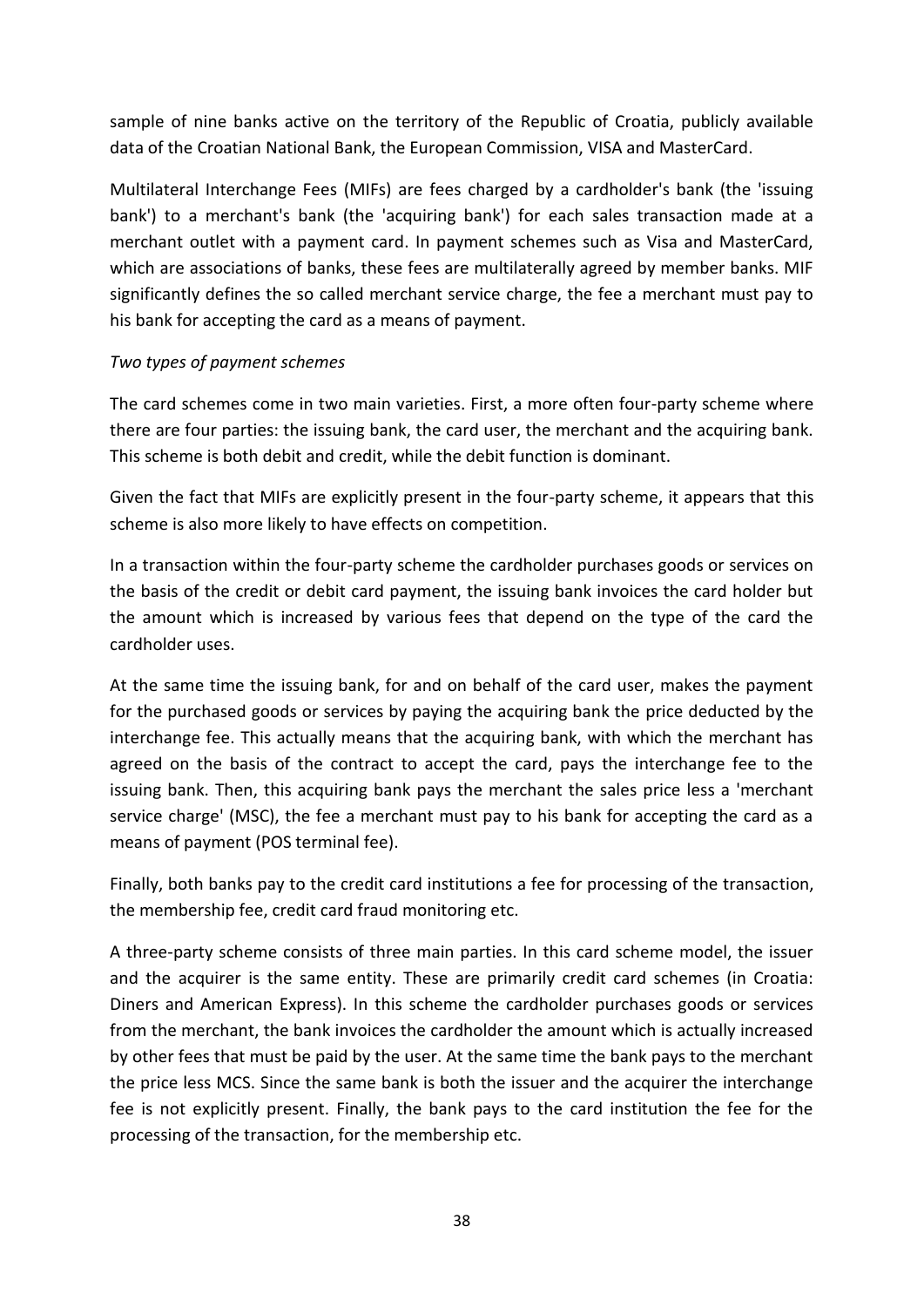sample of nine banks active on the territory of the Republic of Croatia, publicly available data of the Croatian National Bank, the European Commission, VISA and MasterCard.

Multilateral Interchange Fees (MIFs) are fees charged by a cardholder's bank (the 'issuing bank') to a merchant's bank (the 'acquiring bank') for each sales transaction made at a merchant outlet with a payment card. In payment schemes such as Visa and MasterCard, which are associations of banks, these fees are multilaterally agreed by member banks. MIF significantly defines the so called merchant service charge, the fee a merchant must pay to his bank for accepting the card as a means of payment.

## *Two types of payment schemes*

The card schemes come in two main varieties. First, a more often four-party scheme where there are four parties: the issuing bank, the card user, the merchant and the acquiring bank. This scheme is both debit and credit, while the debit function is dominant.

Given the fact that MIFs are explicitly present in the four-party scheme, it appears that this scheme is also more likely to have effects on competition.

In a transaction within the four-party scheme the cardholder purchases goods or services on the basis of the credit or debit card payment, the issuing bank invoices the card holder but the amount which is increased by various fees that depend on the type of the card the cardholder uses.

At the same time the issuing bank, for and on behalf of the card user, makes the payment for the purchased goods or services by paying the acquiring bank the price deducted by the interchange fee. This actually means that the acquiring bank, with which the merchant has agreed on the basis of the contract to accept the card, pays the interchange fee to the issuing bank. Then, this acquiring bank pays the merchant the sales price less a 'merchant service charge' (MSC), the fee a merchant must pay to his bank for accepting the card as a means of payment (POS terminal fee).

Finally, both banks pay to the credit card institutions a fee for processing of the transaction, the membership fee, credit card fraud monitoring etc.

A three-party scheme consists of three main parties. In this card scheme model, the issuer and the acquirer is the same entity. These are primarily credit card schemes (in Croatia: Diners and American Express). In this scheme the cardholder purchases goods or services from the merchant, the bank invoices the cardholder the amount which is actually increased by other fees that must be paid by the user. At the same time the bank pays to the merchant the price less MCS. Since the same bank is both the issuer and the acquirer the interchange fee is not explicitly present. Finally, the bank pays to the card institution the fee for the processing of the transaction, for the membership etc.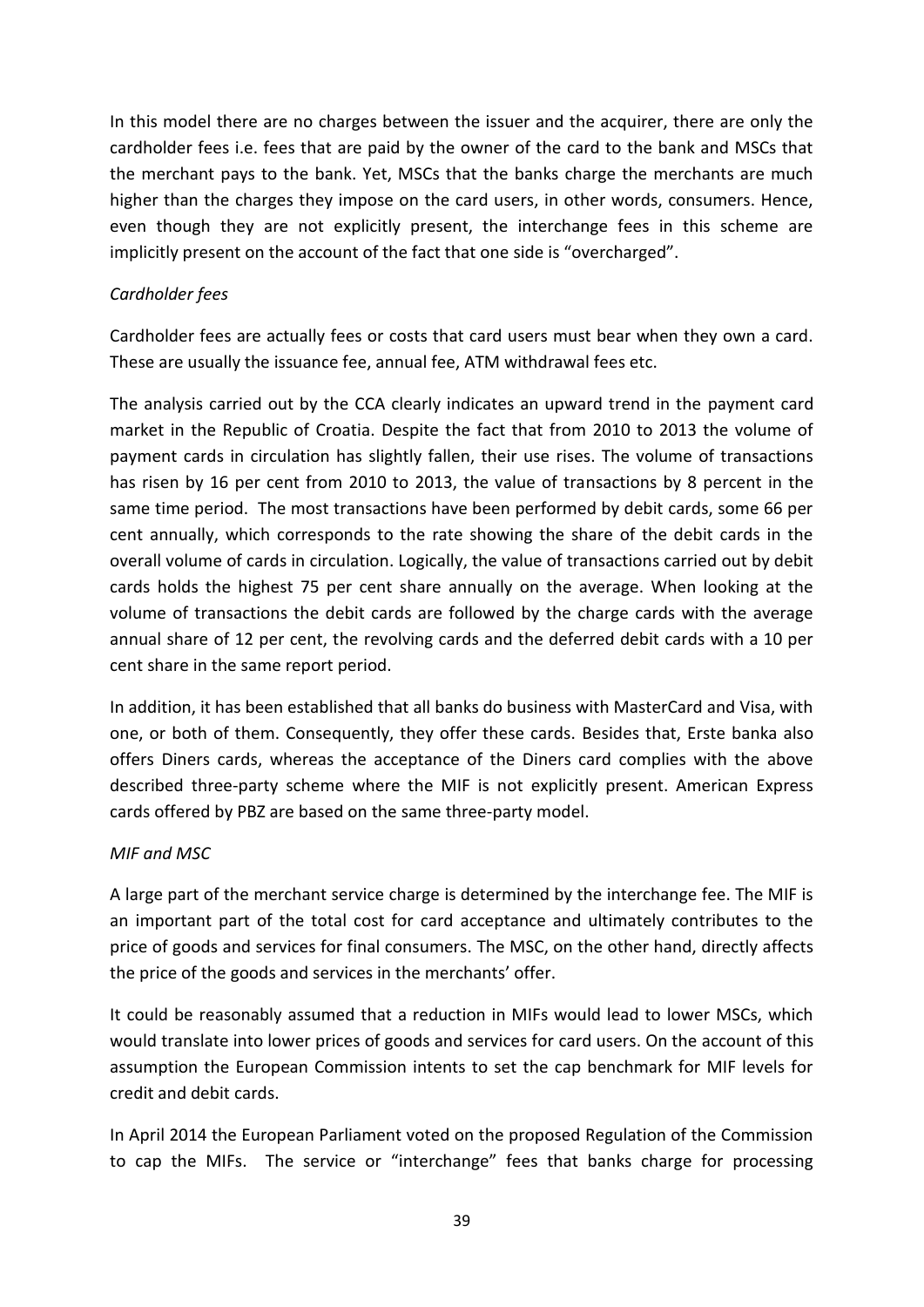In this model there are no charges between the issuer and the acquirer, there are only the cardholder fees i.e. fees that are paid by the owner of the card to the bank and MSCs that the merchant pays to the bank. Yet, MSCs that the banks charge the merchants are much higher than the charges they impose on the card users, in other words, consumers. Hence, even though they are not explicitly present, the interchange fees in this scheme are implicitly present on the account of the fact that one side is "overcharged".

## *Cardholder fees*

Cardholder fees are actually fees or costs that card users must bear when they own a card. These are usually the issuance fee, annual fee, ATM withdrawal fees etc.

The analysis carried out by the CCA clearly indicates an upward trend in the payment card market in the Republic of Croatia. Despite the fact that from 2010 to 2013 the volume of payment cards in circulation has slightly fallen, their use rises. The volume of transactions has risen by 16 per cent from 2010 to 2013, the value of transactions by 8 percent in the same time period. The most transactions have been performed by debit cards, some 66 per cent annually, which corresponds to the rate showing the share of the debit cards in the overall volume of cards in circulation. Logically, the value of transactions carried out by debit cards holds the highest 75 per cent share annually on the average. When looking at the volume of transactions the debit cards are followed by the charge cards with the average annual share of 12 per cent, the revolving cards and the deferred debit cards with a 10 per cent share in the same report period.

In addition, it has been established that all banks do business with MasterCard and Visa, with one, or both of them. Consequently, they offer these cards. Besides that, Erste banka also offers Diners cards, whereas the acceptance of the Diners card complies with the above described three-party scheme where the MIF is not explicitly present. American Express cards offered by PBZ are based on the same three-party model.

## *MIF and MSC*

A large part of the merchant service charge is determined by the interchange fee. The MIF is an important part of the total cost for card acceptance and ultimately contributes to the price of goods and services for final consumers. The MSC, on the other hand, directly affects the price of the goods and services in the merchants' offer.

It could be reasonably assumed that a reduction in MIFs would lead to lower MSCs, which would translate into lower prices of goods and services for card users. On the account of this assumption the European Commission intents to set the cap benchmark for MIF levels for credit and debit cards.

In April 2014 the European Parliament voted on the proposed Regulation of the Commission to cap the MIFs. The service or "interchange" fees that banks charge for processing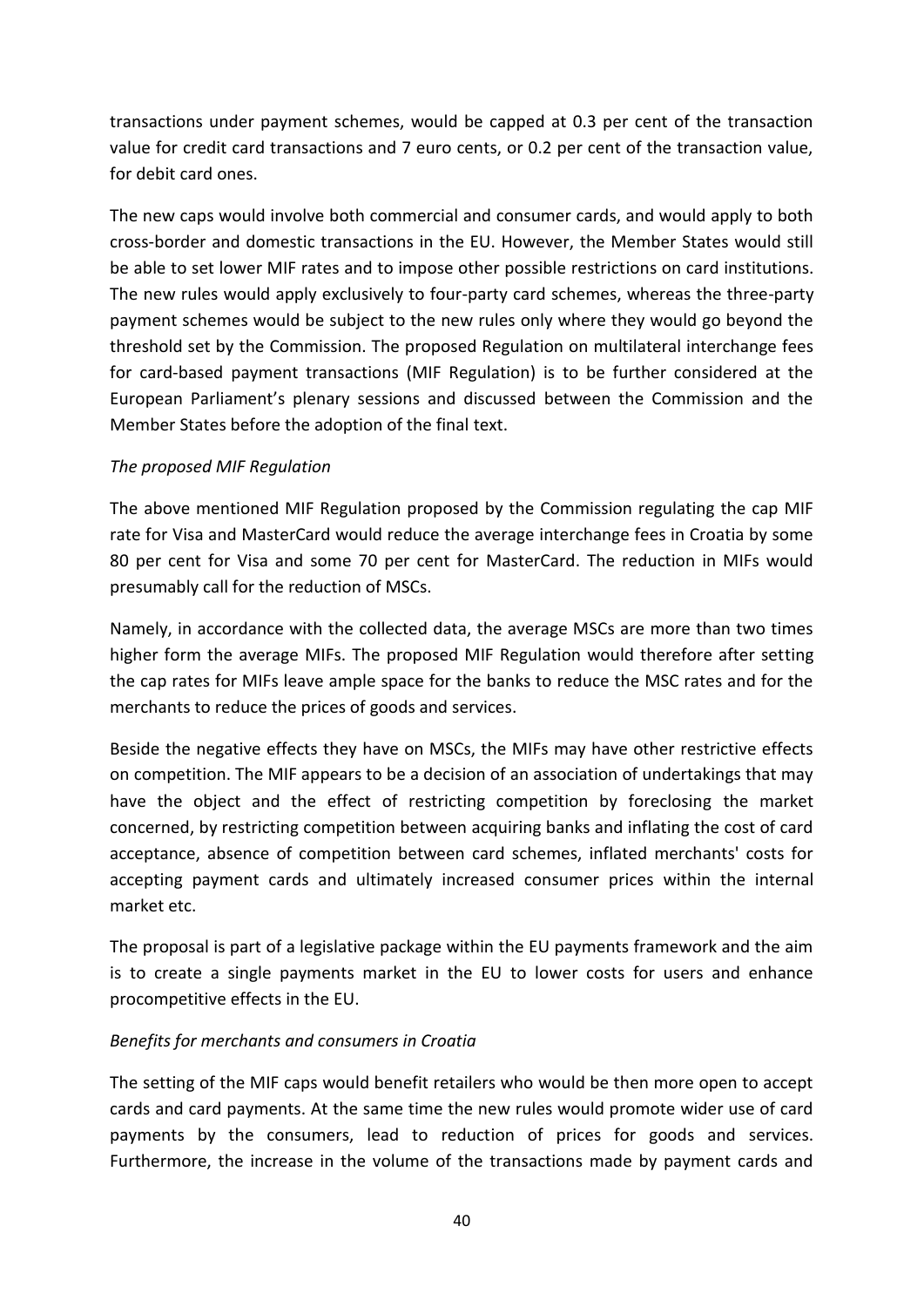transactions under payment schemes, would be capped at 0.3 per cent of the transaction value for credit card transactions and 7 euro cents, or 0.2 per cent of the transaction value, for debit card ones.

The new caps would involve both commercial and consumer cards, and would apply to both cross-border and domestic transactions in the EU. However, the Member States would still be able to set lower MIF rates and to impose other possible restrictions on card institutions. The new rules would apply exclusively to four-party card schemes, whereas the three-party payment schemes would be subject to the new rules only where they would go beyond the threshold set by the Commission. The proposed Regulation on multilateral interchange fees for card-based payment transactions (MIF Regulation) is to be further considered at the European Parliament's plenary sessions and discussed between the Commission and the Member States before the adoption of the final text.

## *The proposed MIF Regulation*

The above mentioned MIF Regulation proposed by the Commission regulating the cap MIF rate for Visa and MasterCard would reduce the average interchange fees in Croatia by some 80 per cent for Visa and some 70 per cent for MasterCard. The reduction in MIFs would presumably call for the reduction of MSCs.

Namely, in accordance with the collected data, the average MSCs are more than two times higher form the average MIFs. The proposed MIF Regulation would therefore after setting the cap rates for MIFs leave ample space for the banks to reduce the MSC rates and for the merchants to reduce the prices of goods and services.

Beside the negative effects they have on MSCs, the MIFs may have other restrictive effects on competition. The MIF appears to be a decision of an association of undertakings that may have the object and the effect of restricting competition by foreclosing the market concerned, by restricting competition between acquiring banks and inflating the cost of card acceptance, absence of competition between card schemes, inflated merchants' costs for accepting payment cards and ultimately increased consumer prices within the internal market etc.

The proposal is part of a legislative package within the EU payments framework and the aim is to create a single payments market in the EU to lower costs for users and enhance procompetitive effects in the EU.

## *Benefits for merchants and consumers in Croatia*

The setting of the MIF caps would benefit retailers who would be then more open to accept cards and card payments. At the same time the new rules would promote wider use of card payments by the consumers, lead to reduction of prices for goods and services. Furthermore, the increase in the volume of the transactions made by payment cards and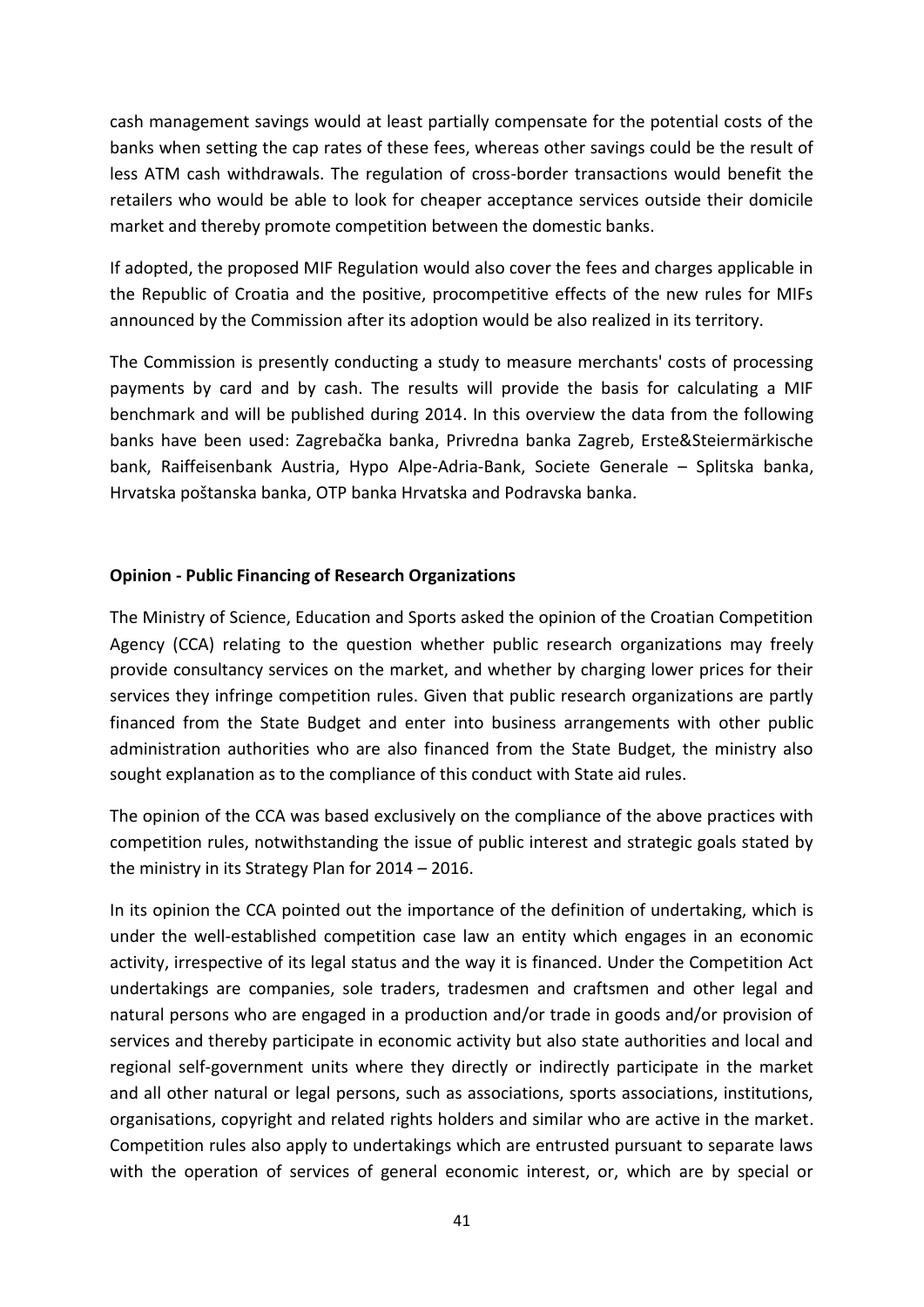cash management savings would at least partially compensate for the potential costs of the banks when setting the cap rates of these fees, whereas other savings could be the result of less ATM cash withdrawals. The regulation of cross-border transactions would benefit the retailers who would be able to look for cheaper acceptance services outside their domicile market and thereby promote competition between the domestic banks.

If adopted, the proposed MIF Regulation would also cover the fees and charges applicable in the Republic of Croatia and the positive, procompetitive effects of the new rules for MIFs announced by the Commission after its adoption would be also realized in its territory.

The Commission is presently conducting a study to measure merchants' costs of processing payments by card and by cash. The results will provide the basis for calculating a MIF benchmark and will be published during 2014. In this overview the data from the following banks have been used: Zagrebačka banka, Privredna banka Zagreb, Erste&Steiermärkische bank, Raiffeisenbank Austria, Hypo Alpe-Adria-Bank, Societe Generale – Splitska banka, Hrvatska poštanska banka, OTP banka Hrvatska and Podravska banka.

## **Opinion - Public Financing of Research Organizations**

The Ministry of Science, Education and Sports asked the opinion of the Croatian Competition Agency (CCA) relating to the question whether public research organizations may freely provide consultancy services on the market, and whether by charging lower prices for their services they infringe competition rules. Given that public research organizations are partly financed from the State Budget and enter into business arrangements with other public administration authorities who are also financed from the State Budget, the ministry also sought explanation as to the compliance of this conduct with State aid rules.

The opinion of the CCA was based exclusively on the compliance of the above practices with competition rules, notwithstanding the issue of public interest and strategic goals stated by the ministry in its Strategy Plan for 2014 – 2016.

In its opinion the CCA pointed out the importance of the definition of undertaking, which is under the well-established competition case law an entity which engages in an economic activity, irrespective of its legal status and the way it is financed. Under the Competition Act undertakings are companies, sole traders, tradesmen and craftsmen and other legal and natural persons who are engaged in a production and/or trade in goods and/or provision of services and thereby participate in economic activity but also state authorities and local and regional self-government units where they directly or indirectly participate in the market and all other natural or legal persons, such as associations, sports associations, institutions, organisations, copyright and related rights holders and similar who are active in the market. Competition rules also apply to undertakings which are entrusted pursuant to separate laws with the operation of services of general economic interest, or, which are by special or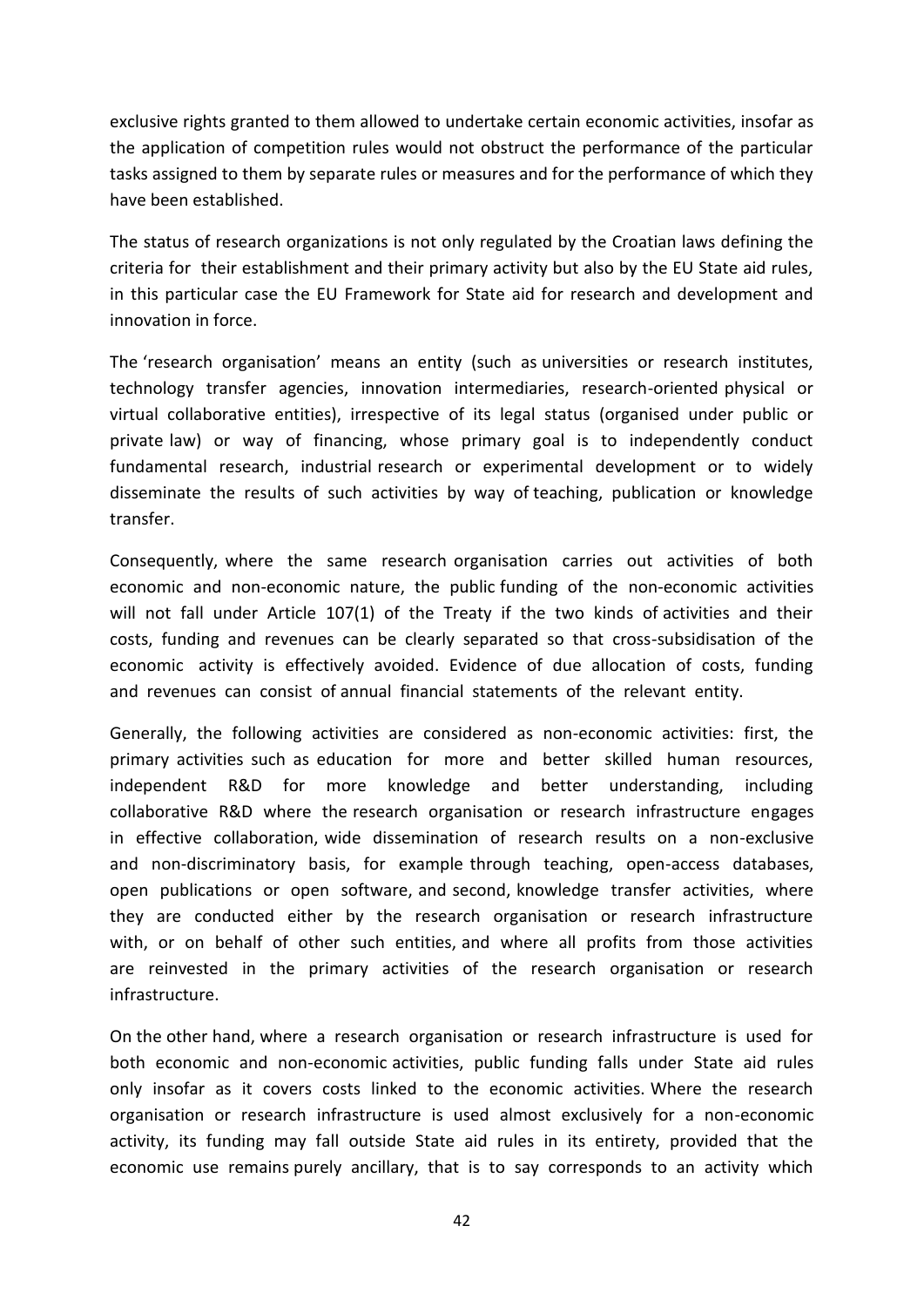exclusive rights granted to them allowed to undertake certain economic activities, insofar as the application of competition rules would not obstruct the performance of the particular tasks assigned to them by separate rules or measures and for the performance of which they have been established.

The status of research organizations is not only regulated by the Croatian laws defining the criteria for their establishment and their primary activity but also by the EU State aid rules, in this particular case the EU Framework for State aid for research and development and innovation in force.

The 'research organisation' means an entity (such as universities or research institutes, technology transfer agencies, innovation intermediaries, research-oriented physical or virtual collaborative entities), irrespective of its legal status (organised under public or private law) or way of financing, whose primary goal is to independently conduct fundamental research, industrial research or experimental development or to widely disseminate the results of such activities by way of teaching, publication or knowledge transfer.

Consequently, where the same research organisation carries out activities of both economic and non-economic nature, the public funding of the non-economic activities will not fall under Article 107(1) of the Treaty if the two kinds of activities and their costs, funding and revenues can be clearly separated so that cross-subsidisation of the economic activity is effectively avoided. Evidence of due allocation of costs, funding and revenues can consist of annual financial statements of the relevant entity.

Generally, the following activities are considered as non-economic activities: first, the primary activities such as education for more and better skilled human resources, independent R&D for more knowledge and better understanding, including collaborative R&D where the research organisation or research infrastructure engages in effective collaboration, wide dissemination of research results on a non-exclusive and non-discriminatory basis, for example through teaching, open-access databases, open publications or open software, and second, knowledge transfer activities, where they are conducted either by the research organisation or research infrastructure with, or on behalf of other such entities, and where all profits from those activities are reinvested in the primary activities of the research organisation or research infrastructure.

On the other hand, where a research organisation or research infrastructure is used for both economic and non-economic activities, public funding falls under State aid rules only insofar as it covers costs linked to the economic activities. Where the research organisation or research infrastructure is used almost exclusively for a non-economic activity, its funding may fall outside State aid rules in its entirety, provided that the economic use remains purely ancillary, that is to say corresponds to an activity which

42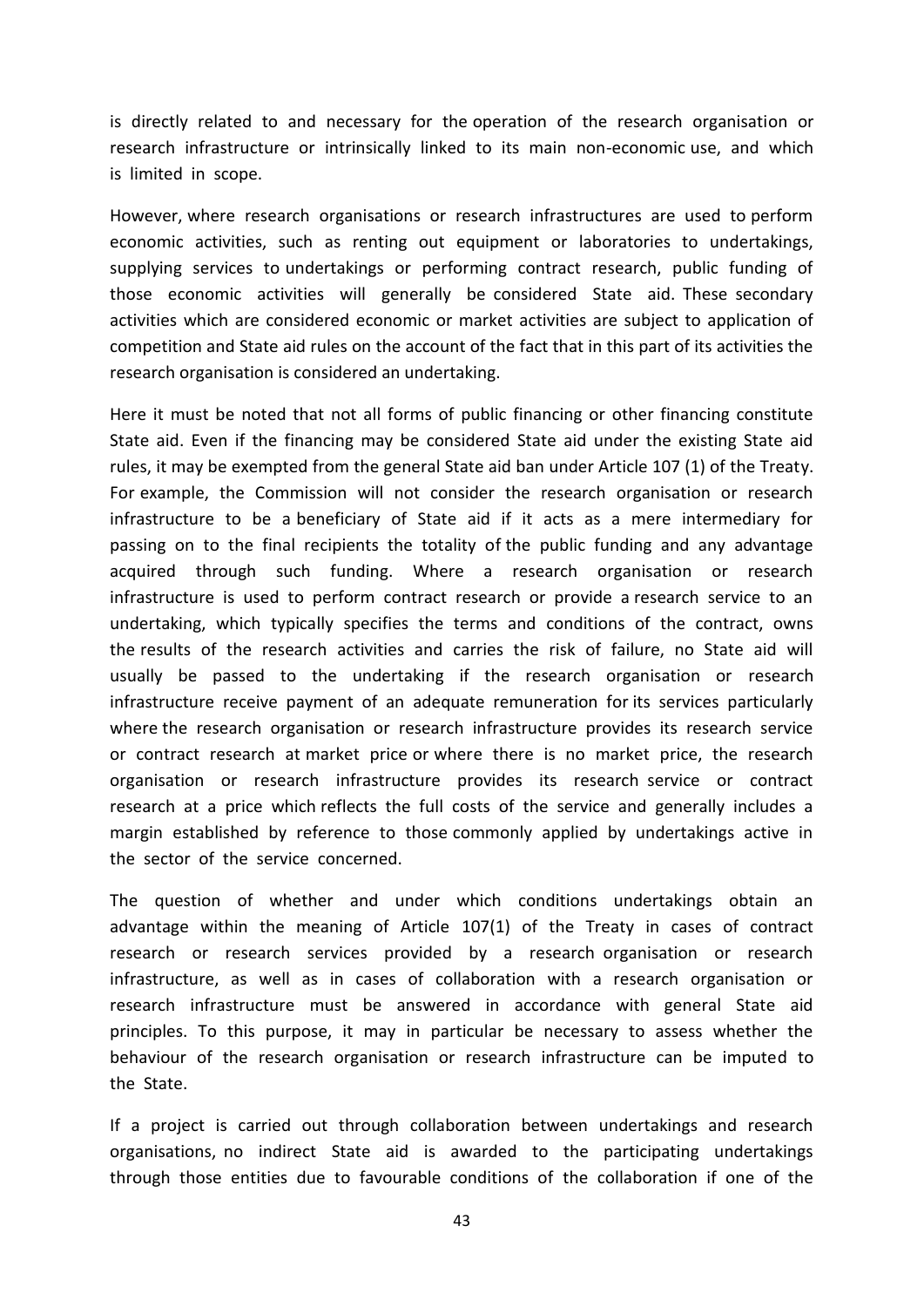is directly related to and necessary for the operation of the research organisation or research infrastructure or intrinsically linked to its main non-economic use, and which is limited in scope.

However, where research organisations or research infrastructures are used to perform economic activities, such as renting out equipment or laboratories to undertakings, supplying services to undertakings or performing contract research, public funding of those economic activities will generally be considered State aid. These secondary activities which are considered economic or market activities are subject to application of competition and State aid rules on the account of the fact that in this part of its activities the research organisation is considered an undertaking.

Here it must be noted that not all forms of public financing or other financing constitute State aid. Even if the financing may be considered State aid under the existing State aid rules, it may be exempted from the general State aid ban under Article 107 (1) of the Treaty. For example, the Commission will not consider the research organisation or research infrastructure to be a beneficiary of State aid if it acts as a mere intermediary for passing on to the final recipients the totality of the public funding and any advantage acquired through such funding. Where a research organisation or research infrastructure is used to perform contract research or provide a research service to an undertaking, which typically specifies the terms and conditions of the contract, owns the results of the research activities and carries the risk of failure, no State aid will usually be passed to the undertaking if the research organisation or research infrastructure receive payment of an adequate remuneration for its services particularly where the research organisation or research infrastructure provides its research service or contract research at market price or where there is no market price, the research organisation or research infrastructure provides its research service or contract research at a price which reflects the full costs of the service and generally includes a margin established by reference to those commonly applied by undertakings active in the sector of the service concerned.

The question of whether and under which conditions undertakings obtain an advantage within the meaning of Article 107(1) of the Treaty in cases of contract research or research services provided by a research organisation or research infrastructure, as well as in cases of collaboration with a research organisation or research infrastructure must be answered in accordance with general State aid principles. To this purpose, it may in particular be necessary to assess whether the behaviour of the research organisation or research infrastructure can be imputed to the State.

If a project is carried out through collaboration between undertakings and research organisations, no indirect State aid is awarded to the participating undertakings through those entities due to favourable conditions of the collaboration if one of the

43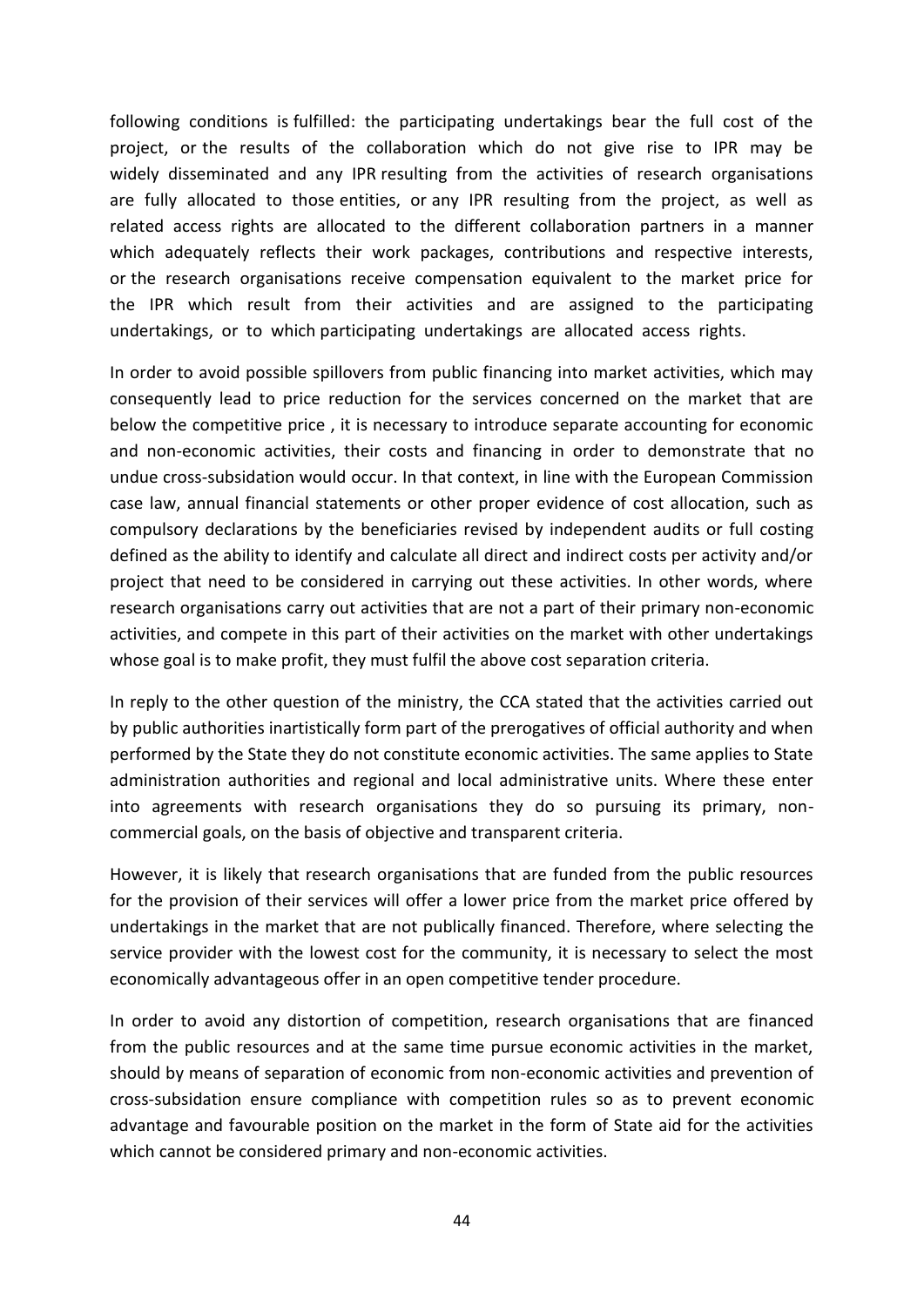following conditions is fulfilled: the participating undertakings bear the full cost of the project, or the results of the collaboration which do not give rise to IPR may be widely disseminated and any IPR resulting from the activities of research organisations are fully allocated to those entities, or any IPR resulting from the project, as well as related access rights are allocated to the different collaboration partners in a manner which adequately reflects their work packages, contributions and respective interests, or the research organisations receive compensation equivalent to the market price for the IPR which result from their activities and are assigned to the participating undertakings, or to which participating undertakings are allocated access rights.

In order to avoid possible spillovers from public financing into market activities, which may consequently lead to price reduction for the services concerned on the market that are below the competitive price , it is necessary to introduce separate accounting for economic and non-economic activities, their costs and financing in order to demonstrate that no undue cross-subsidation would occur. In that context, in line with the European Commission case law, annual financial statements or other proper evidence of cost allocation, such as compulsory declarations by the beneficiaries revised by independent audits or full costing defined as the ability to identify and calculate all direct and indirect costs per activity and/or project that need to be considered in carrying out these activities. In other words, where research organisations carry out activities that are not a part of their primary non-economic activities, and compete in this part of their activities on the market with other undertakings whose goal is to make profit, they must fulfil the above cost separation criteria.

In reply to the other question of the ministry, the CCA stated that the activities carried out by public authorities inartistically form part of the prerogatives of official authority and when performed by the State they do not constitute economic activities. The same applies to State administration authorities and regional and local administrative units. Where these enter into agreements with research organisations they do so pursuing its primary, noncommercial goals, on the basis of objective and transparent criteria.

However, it is likely that research organisations that are funded from the public resources for the provision of their services will offer a lower price from the market price offered by undertakings in the market that are not publically financed. Therefore, where selecting the service provider with the lowest cost for the community, it is necessary to select the most economically advantageous offer in an open competitive tender procedure.

In order to avoid any distortion of competition, research organisations that are financed from the public resources and at the same time pursue economic activities in the market, should by means of separation of economic from non-economic activities and prevention of cross-subsidation ensure compliance with competition rules so as to prevent economic advantage and favourable position on the market in the form of State aid for the activities which cannot be considered primary and non-economic activities.